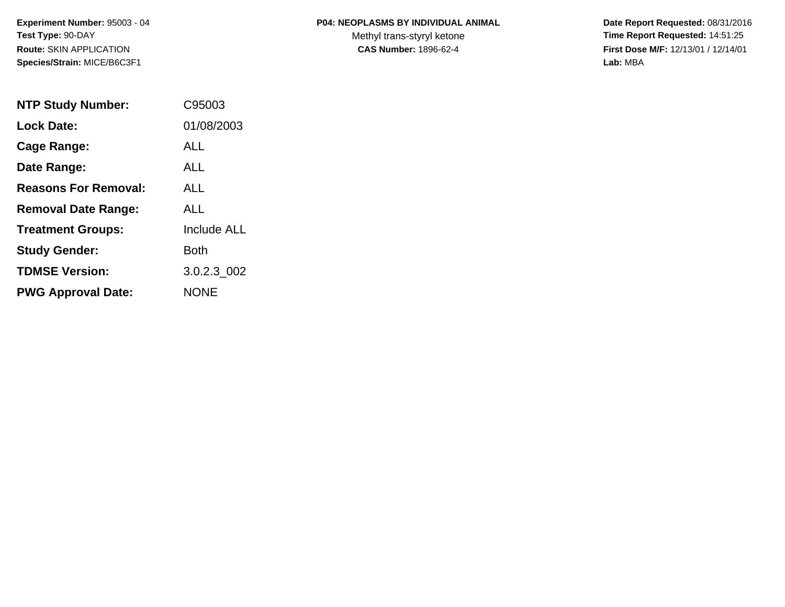#### **P04: NEOPLASMS BY INDIVIDUAL ANIMAL**

Methyl trans-styryl ketone<br>CAS Number: 1896-62-4

| <b>NTP Study Number:</b>    | C95003             |
|-----------------------------|--------------------|
| <b>Lock Date:</b>           | 01/08/2003         |
| Cage Range:                 | ALL                |
| Date Range:                 | ALL.               |
| <b>Reasons For Removal:</b> | <b>ALL</b>         |
| <b>Removal Date Range:</b>  | ALL                |
| <b>Treatment Groups:</b>    | <b>Include ALL</b> |
| <b>Study Gender:</b>        | Both               |
| <b>TDMSE Version:</b>       | 3.0.2.3 002        |
| <b>PWG Approval Date:</b>   | <b>NONE</b>        |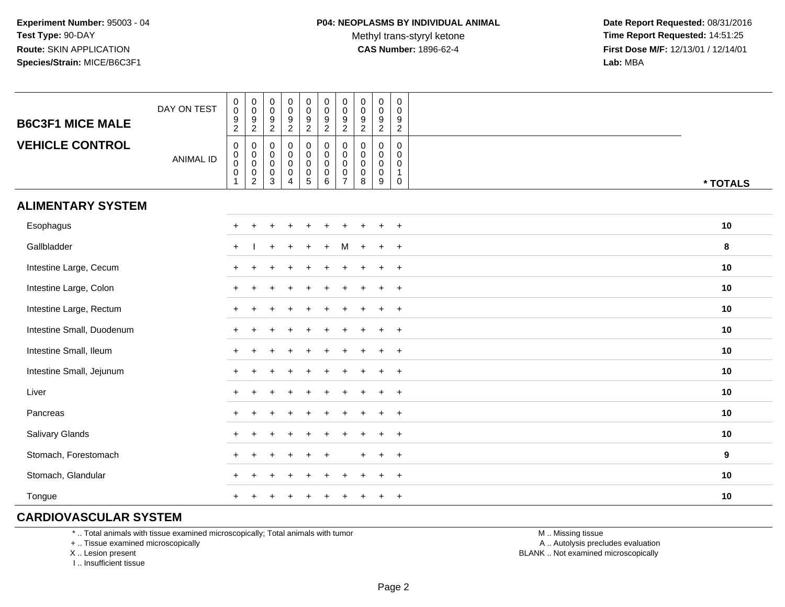Methyl trans-styryl ketone<br>CAS Number: 1896-62-4

 **Date Report Requested:** 08/31/2016 **Time Report Requested:** 14:51:25 **First Dose M/F:** 12/13/01 / 12/14/01<br>**Lab:** MBA **Lab:** MBA

| <b>B6C3F1 MICE MALE</b>   | DAY ON TEST      | $_{\rm 0}^{\rm 0}$<br>$\frac{9}{2}$                  | $\begin{smallmatrix} 0\\0 \end{smallmatrix}$<br>$\frac{9}{2}$           | $_{\rm 0}^{\rm 0}$<br>$\boldsymbol{9}$<br>$\overline{2}$      | $\pmb{0}$<br>$\mathsf 0$<br>$\boldsymbol{9}$<br>$\overline{2}$                   | $\pmb{0}$<br>$\mathbf 0$<br>$\boldsymbol{9}$<br>$\overline{2}$ | $\pmb{0}$<br>$\mathbf 0$<br>$\boldsymbol{9}$<br>$\overline{2}$ | $\pmb{0}$<br>$\mathsf{O}\xspace$<br>$\boldsymbol{9}$<br>$\overline{2}$     | $_{\rm 0}^{\rm 0}$<br>$\boldsymbol{9}$<br>$\overline{2}$ | $\pmb{0}$<br>$\mathbf 0$<br>$\frac{9}{2}$           | $\mathbf 0$<br>$\mathbf 0$<br>$\frac{9}{2}$                              |          |
|---------------------------|------------------|------------------------------------------------------|-------------------------------------------------------------------------|---------------------------------------------------------------|----------------------------------------------------------------------------------|----------------------------------------------------------------|----------------------------------------------------------------|----------------------------------------------------------------------------|----------------------------------------------------------|-----------------------------------------------------|--------------------------------------------------------------------------|----------|
| <b>VEHICLE CONTROL</b>    | <b>ANIMAL ID</b> | $\mathbf 0$<br>$\pmb{0}$<br>$\pmb{0}$<br>$\mathbf 0$ | 0<br>$_{\rm 0}^{\rm 0}$<br>$\begin{smallmatrix} 0\\2 \end{smallmatrix}$ | $\mathbf 0$<br>$\mathbf 0$<br>$\mathbf 0$<br>$\mathbf 0$<br>3 | $\mathbf 0$<br>$\mathbf 0$<br>$\mathsf{O}\xspace$<br>$\pmb{0}$<br>$\overline{4}$ | 0<br>$\mathbf 0$<br>$\pmb{0}$<br>$\pmb{0}$<br>$\overline{5}$   | 0<br>0<br>$\pmb{0}$<br>$\pmb{0}$<br>6                          | $\mathbf 0$<br>$\mathbf 0$<br>$\mathbf 0$<br>$\mathbf 0$<br>$\overline{7}$ | 0<br>$\mathbf 0$<br>$\pmb{0}$<br>$\pmb{0}$<br>8          | 0<br>$\mathbf 0$<br>$\mathbf 0$<br>$\mathbf 0$<br>9 | $\mathbf 0$<br>$\mathbf 0$<br>$\mathbf 0$<br>$\mathbf{1}$<br>$\mathbf 0$ | * TOTALS |
| <b>ALIMENTARY SYSTEM</b>  |                  |                                                      |                                                                         |                                                               |                                                                                  |                                                                |                                                                |                                                                            |                                                          |                                                     |                                                                          |          |
| Esophagus                 |                  | $\pm$                                                |                                                                         |                                                               |                                                                                  |                                                                |                                                                |                                                                            |                                                          | $\pm$                                               | $+$                                                                      | $10$     |
| Gallbladder               |                  | $\ddot{}$                                            |                                                                         |                                                               |                                                                                  |                                                                |                                                                | м                                                                          |                                                          | $\pm$                                               | $+$                                                                      | 8        |
| Intestine Large, Cecum    |                  |                                                      |                                                                         |                                                               |                                                                                  |                                                                |                                                                |                                                                            |                                                          |                                                     | $\overline{1}$                                                           | 10       |
| Intestine Large, Colon    |                  |                                                      |                                                                         |                                                               |                                                                                  |                                                                |                                                                |                                                                            |                                                          |                                                     | $\overline{+}$                                                           | 10       |
| Intestine Large, Rectum   |                  |                                                      |                                                                         |                                                               |                                                                                  |                                                                |                                                                |                                                                            |                                                          | $\div$                                              | $+$                                                                      | 10       |
| Intestine Small, Duodenum |                  | $\div$                                               |                                                                         |                                                               |                                                                                  |                                                                |                                                                |                                                                            | $\overline{ }$                                           | $\pm$                                               | $+$                                                                      | 10       |
| Intestine Small, Ileum    |                  | $\pm$                                                |                                                                         |                                                               |                                                                                  |                                                                |                                                                |                                                                            |                                                          | $\ddot{}$                                           | $^{+}$                                                                   | 10       |
| Intestine Small, Jejunum  |                  | $\pm$                                                |                                                                         |                                                               |                                                                                  |                                                                |                                                                |                                                                            | $\ddot{}$                                                | $\ddot{}$                                           | $+$                                                                      | 10       |
| Liver                     |                  | $+$                                                  |                                                                         |                                                               |                                                                                  |                                                                |                                                                |                                                                            |                                                          | $\pm$                                               | $+$                                                                      | 10       |
| Pancreas                  |                  | $\pm$                                                |                                                                         |                                                               |                                                                                  |                                                                |                                                                |                                                                            |                                                          | $\pm$                                               | $+$                                                                      | 10       |
| Salivary Glands           |                  | $\ddot{}$                                            |                                                                         |                                                               |                                                                                  |                                                                |                                                                |                                                                            |                                                          | $\ddot{}$                                           | $\overline{+}$                                                           | 10       |
| Stomach, Forestomach      |                  |                                                      |                                                                         |                                                               |                                                                                  |                                                                |                                                                |                                                                            | ÷.                                                       | $\pm$                                               | $+$                                                                      | 9        |
| Stomach, Glandular        |                  |                                                      |                                                                         |                                                               |                                                                                  |                                                                |                                                                |                                                                            |                                                          |                                                     | $\overline{+}$                                                           | 10       |
| Tongue                    |                  |                                                      |                                                                         |                                                               |                                                                                  |                                                                |                                                                |                                                                            |                                                          |                                                     | $\ddot{}$                                                                | 10       |

### **CARDIOVASCULAR SYSTEM**

\* .. Total animals with tissue examined microscopically; Total animals with tumor

+ .. Tissue examined microscopically

X .. Lesion present

I .. Insufficient tissue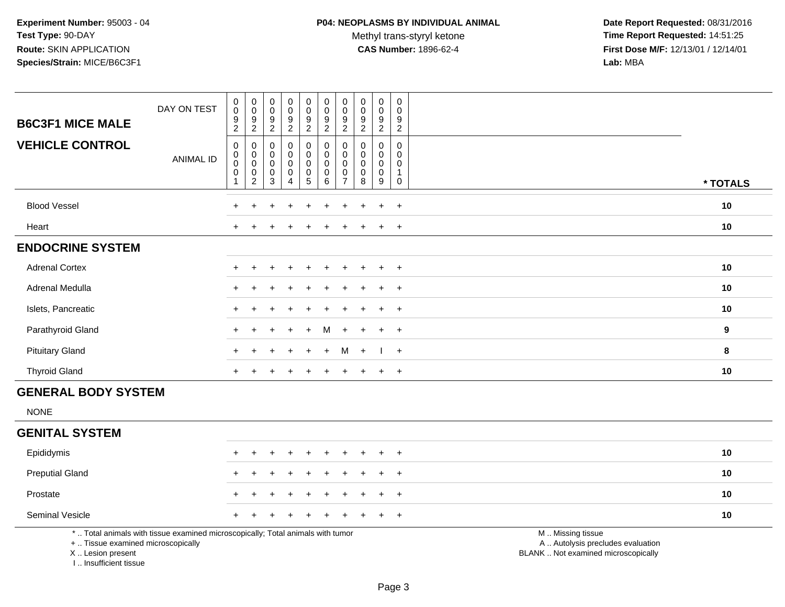Methyl trans-styryl ketone<br>CAS Number: 1896-62-4

| <b>B6C3F1 MICE MALE</b>                                                          | DAY ON TEST                                                                     | 0<br>$\mathbf 0$<br>$\frac{9}{2}$ | $\pmb{0}$<br>$\overline{0}$<br>$\frac{9}{2}$ | $\pmb{0}$<br>$\mathbf 0$<br>$\boldsymbol{9}$ | 0<br>$\mathbf 0$<br>$\frac{9}{2}$ | $\pmb{0}$<br>$\mathbf 0$<br>$\frac{9}{2}$ | $\pmb{0}$<br>$\mathsf{O}\xspace$<br>$\frac{9}{2}$ | $\pmb{0}$<br>$\pmb{0}$<br>$\frac{9}{2}$ | $\pmb{0}$<br>$\mathbf 0$<br>$\frac{9}{2}$ | $\pmb{0}$<br>$\mathbf 0$<br>$\boldsymbol{9}$ | $\pmb{0}$<br>$\mathbf 0$<br>$\boldsymbol{9}$ |                                                                                               |          |
|----------------------------------------------------------------------------------|---------------------------------------------------------------------------------|-----------------------------------|----------------------------------------------|----------------------------------------------|-----------------------------------|-------------------------------------------|---------------------------------------------------|-----------------------------------------|-------------------------------------------|----------------------------------------------|----------------------------------------------|-----------------------------------------------------------------------------------------------|----------|
|                                                                                  |                                                                                 |                                   |                                              | $\overline{2}$                               |                                   |                                           |                                                   |                                         |                                           | $\overline{2}$                               | $\overline{2}$                               |                                                                                               |          |
| <b>VEHICLE CONTROL</b>                                                           | <b>ANIMAL ID</b>                                                                | $\mathbf 0$<br>0                  | $\mathbf 0$<br>$\pmb{0}$                     | $\mathbf 0$<br>$\mathbf 0$                   | $\mathbf 0$<br>$\mathbf 0$        | 0<br>$\mathbf 0$                          | $\mathsf 0$<br>$\mathbf 0$                        | $\mathbf 0$<br>0                        | $\mathbf 0$<br>0                          | $\mathbf 0$<br>$\mathbf 0$                   | $\mathbf 0$<br>0                             |                                                                                               |          |
|                                                                                  |                                                                                 | $\boldsymbol{0}$<br>$\mathbf 0$   | $\overline{0}$<br>$\mathbf 0$                | $\mathbf 0$<br>$\mathbf 0$                   | $\mathbf 0$<br>$\mathbf 0$        | $\pmb{0}$<br>$\pmb{0}$                    | $\mathbf 0$<br>$\mathbf 0$                        | $\mathsf{O}\xspace$<br>$\pmb{0}$        | $\mathbf 0$<br>$\pmb{0}$                  | $\mathbf 0$<br>$\mathbf 0$                   | $\mathbf 0$<br>$\mathbf{1}$                  |                                                                                               |          |
|                                                                                  |                                                                                 | -1                                | $\overline{2}$                               | 3                                            | 4                                 | 5                                         | 6                                                 | $\overline{7}$                          | 8                                         | 9                                            | $\pmb{0}$                                    |                                                                                               | * TOTALS |
| <b>Blood Vessel</b>                                                              |                                                                                 |                                   |                                              |                                              |                                   |                                           |                                                   |                                         |                                           | $\div$                                       | $+$                                          |                                                                                               | 10       |
| Heart                                                                            |                                                                                 | $^+$                              |                                              |                                              |                                   |                                           |                                                   |                                         |                                           | $\pm$                                        | $+$                                          |                                                                                               | 10       |
| <b>ENDOCRINE SYSTEM</b>                                                          |                                                                                 |                                   |                                              |                                              |                                   |                                           |                                                   |                                         |                                           |                                              |                                              |                                                                                               |          |
| <b>Adrenal Cortex</b>                                                            |                                                                                 |                                   |                                              |                                              |                                   |                                           |                                                   |                                         |                                           | ÷                                            | $+$                                          |                                                                                               | 10       |
| Adrenal Medulla                                                                  |                                                                                 |                                   |                                              |                                              |                                   |                                           |                                                   |                                         |                                           | ÷                                            | $+$                                          |                                                                                               | 10       |
| Islets, Pancreatic                                                               |                                                                                 |                                   |                                              |                                              |                                   |                                           |                                                   |                                         |                                           |                                              | $\ddot{}$                                    |                                                                                               | 10       |
| Parathyroid Gland                                                                |                                                                                 |                                   |                                              |                                              |                                   |                                           | м                                                 |                                         |                                           |                                              | $+$                                          |                                                                                               | 9        |
| <b>Pituitary Gland</b>                                                           |                                                                                 |                                   |                                              |                                              |                                   | $\ddot{}$                                 | $+$                                               | M                                       | $+$                                       |                                              | $+$                                          |                                                                                               | 8        |
| <b>Thyroid Gland</b>                                                             |                                                                                 | $+$                               |                                              |                                              |                                   | $\ddot{}$                                 | $\ddot{}$                                         | $\ddot{}$                               | $\ddot{}$                                 | $\ddot{}$                                    | $+$                                          |                                                                                               | 10       |
| <b>GENERAL BODY SYSTEM</b>                                                       |                                                                                 |                                   |                                              |                                              |                                   |                                           |                                                   |                                         |                                           |                                              |                                              |                                                                                               |          |
| <b>NONE</b>                                                                      |                                                                                 |                                   |                                              |                                              |                                   |                                           |                                                   |                                         |                                           |                                              |                                              |                                                                                               |          |
| <b>GENITAL SYSTEM</b>                                                            |                                                                                 |                                   |                                              |                                              |                                   |                                           |                                                   |                                         |                                           |                                              |                                              |                                                                                               |          |
| Epididymis                                                                       |                                                                                 | $\div$                            |                                              |                                              |                                   | $\ddot{}$                                 | $\ddot{}$                                         | $\div$                                  | +                                         | $\ddot{}$                                    | $+$                                          |                                                                                               | 10       |
| <b>Preputial Gland</b>                                                           |                                                                                 |                                   |                                              |                                              |                                   |                                           |                                                   |                                         |                                           |                                              | $\ddot{}$                                    |                                                                                               | 10       |
| Prostate                                                                         |                                                                                 |                                   |                                              |                                              |                                   |                                           |                                                   |                                         |                                           |                                              | $\ddot{}$                                    |                                                                                               | 10       |
| <b>Seminal Vesicle</b>                                                           |                                                                                 |                                   |                                              |                                              |                                   |                                           |                                                   |                                         |                                           |                                              | $+$                                          |                                                                                               | 10       |
| +  Tissue examined microscopically<br>X  Lesion present<br>I Insufficient tissue | *  Total animals with tissue examined microscopically; Total animals with tumor |                                   |                                              |                                              |                                   |                                           |                                                   |                                         |                                           |                                              |                                              | M  Missing tissue<br>A  Autolysis precludes evaluation<br>BLANK  Not examined microscopically |          |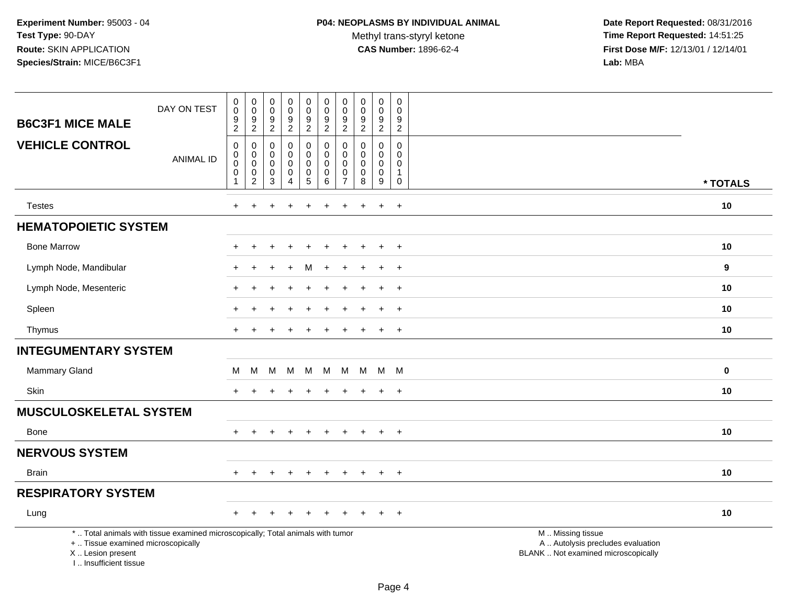Methyl trans-styryl ketone<br>CAS Number: 1896-62-4

|                                                                                  | DAY ON TEST                                                                     | $\pmb{0}$<br>$\mathbf 0$<br>$\boldsymbol{9}$ | $\boldsymbol{0}$<br>$\pmb{0}$<br>9                                  | $\pmb{0}$<br>$\mathbf 0$<br>9                            | $\pmb{0}$<br>$\pmb{0}$<br>9                  | $\mathbf 0$<br>$\mathbf 0$<br>$\boldsymbol{9}$      | $\pmb{0}$<br>$\mathbf 0$<br>$\boldsymbol{9}$ | $\pmb{0}$<br>$\mathbf 0$<br>9                         | $\pmb{0}$<br>$\pmb{0}$<br>9          | $\pmb{0}$<br>0<br>9                        | $\mathbf 0$<br>$\mathbf 0$<br>9                        |                                                                                               |             |
|----------------------------------------------------------------------------------|---------------------------------------------------------------------------------|----------------------------------------------|---------------------------------------------------------------------|----------------------------------------------------------|----------------------------------------------|-----------------------------------------------------|----------------------------------------------|-------------------------------------------------------|--------------------------------------|--------------------------------------------|--------------------------------------------------------|-----------------------------------------------------------------------------------------------|-------------|
| <b>B6C3F1 MICE MALE</b>                                                          |                                                                                 | $\overline{2}$                               | $\overline{2}$                                                      | $\overline{2}$                                           | $\overline{2}$                               | $\boldsymbol{2}$                                    | $\overline{2}$                               | $\overline{c}$                                        | $\overline{2}$                       | $\overline{2}$                             | $\overline{2}$                                         |                                                                                               |             |
| <b>VEHICLE CONTROL</b>                                                           | <b>ANIMAL ID</b>                                                                | 0<br>0<br>$\mathbf 0$<br>$\mathbf 0$         | $\mathbf 0$<br>$\boldsymbol{0}$<br>$\ddot{\mathbf{0}}$<br>$\pmb{0}$ | $\mathbf 0$<br>$\mathbf 0$<br>$\mathbf 0$<br>$\mathbf 0$ | 0<br>0<br>$\mathsf{O}\xspace$<br>$\mathbf 0$ | $\mathbf 0$<br>0<br>$\boldsymbol{0}$<br>$\mathbf 0$ | 0<br>$\mathbf 0$<br>0<br>$\mathbf 0$         | $\mathbf 0$<br>$\Omega$<br>$\mathbf 0$<br>$\mathbf 0$ | 0<br>$\mathbf 0$<br>$\mathbf 0$<br>0 | 0<br>$\mathbf 0$<br>$\pmb{0}$<br>$\pmb{0}$ | $\mathbf 0$<br>$\Omega$<br>$\mathbf 0$<br>$\mathbf{1}$ |                                                                                               |             |
|                                                                                  |                                                                                 | 1                                            | $\overline{2}$                                                      | $\mathbf{3}$                                             | $\overline{4}$                               | $\overline{5}$                                      | 6                                            | $\overline{7}$                                        | $\overline{8}$                       | $\overline{9}$                             | 0                                                      |                                                                                               | * TOTALS    |
| <b>Testes</b>                                                                    |                                                                                 | $\ddot{}$                                    | $\ddot{}$                                                           |                                                          | $\ddot{}$                                    | $\ddot{}$                                           | $\ddot{}$                                    | $\pm$                                                 | $\overline{+}$                       | $\ddot{}$                                  | $+$                                                    |                                                                                               | 10          |
| <b>HEMATOPOIETIC SYSTEM</b>                                                      |                                                                                 |                                              |                                                                     |                                                          |                                              |                                                     |                                              |                                                       |                                      |                                            |                                                        |                                                                                               |             |
| <b>Bone Marrow</b>                                                               |                                                                                 | ٠                                            |                                                                     |                                                          |                                              |                                                     |                                              |                                                       |                                      | $\ddot{}$                                  | $^{+}$                                                 |                                                                                               | 10          |
| Lymph Node, Mandibular                                                           |                                                                                 |                                              |                                                                     |                                                          |                                              | м                                                   |                                              |                                                       |                                      | $\ddot{}$                                  | $+$                                                    |                                                                                               | 9           |
| Lymph Node, Mesenteric                                                           |                                                                                 | $\ddot{}$                                    |                                                                     |                                                          |                                              |                                                     |                                              |                                                       |                                      | $\pm$                                      | $+$                                                    |                                                                                               | 10          |
| Spleen                                                                           |                                                                                 |                                              |                                                                     |                                                          |                                              |                                                     |                                              |                                                       |                                      |                                            | $\ddot{}$                                              |                                                                                               | 10          |
| Thymus                                                                           |                                                                                 | $\pm$                                        |                                                                     |                                                          |                                              |                                                     |                                              |                                                       | $\pm$                                | $+$                                        | $^+$                                                   |                                                                                               | 10          |
| <b>INTEGUMENTARY SYSTEM</b>                                                      |                                                                                 |                                              |                                                                     |                                                          |                                              |                                                     |                                              |                                                       |                                      |                                            |                                                        |                                                                                               |             |
| Mammary Gland                                                                    |                                                                                 | м                                            | м                                                                   | м                                                        | M                                            | M                                                   | M                                            | M                                                     | M                                    | M                                          | M                                                      |                                                                                               | $\mathbf 0$ |
| Skin                                                                             |                                                                                 | $\pm$                                        |                                                                     |                                                          |                                              |                                                     |                                              |                                                       |                                      | $\ddot{}$                                  | $+$                                                    |                                                                                               | 10          |
| <b>MUSCULOSKELETAL SYSTEM</b>                                                    |                                                                                 |                                              |                                                                     |                                                          |                                              |                                                     |                                              |                                                       |                                      |                                            |                                                        |                                                                                               |             |
| <b>Bone</b>                                                                      |                                                                                 | $+$                                          | $\ddot{}$                                                           | $\div$                                                   | $+$                                          | $\ddot{}$                                           | $\ddot{}$                                    | $\pm$                                                 | $+$                                  | $+$                                        | $+$                                                    |                                                                                               | 10          |
| <b>NERVOUS SYSTEM</b>                                                            |                                                                                 |                                              |                                                                     |                                                          |                                              |                                                     |                                              |                                                       |                                      |                                            |                                                        |                                                                                               |             |
| <b>Brain</b>                                                                     |                                                                                 | $\ddot{}$                                    | $\ddot{}$                                                           |                                                          | $\ddot{}$                                    | $\ddot{}$                                           | $\ddot{}$                                    | $\ddot{}$                                             | $\overline{+}$                       | $\ddot{}$                                  | $+$                                                    |                                                                                               | 10          |
| <b>RESPIRATORY SYSTEM</b>                                                        |                                                                                 |                                              |                                                                     |                                                          |                                              |                                                     |                                              |                                                       |                                      |                                            |                                                        |                                                                                               |             |
| Lung                                                                             |                                                                                 | $\ddot{}$                                    |                                                                     |                                                          |                                              |                                                     |                                              |                                                       |                                      | $\ddot{}$                                  | $+$                                                    |                                                                                               | 10          |
| +  Tissue examined microscopically<br>X  Lesion present<br>I Insufficient tissue | *  Total animals with tissue examined microscopically; Total animals with tumor |                                              |                                                                     |                                                          |                                              |                                                     |                                              |                                                       |                                      |                                            |                                                        | M  Missing tissue<br>A  Autolysis precludes evaluation<br>BLANK  Not examined microscopically |             |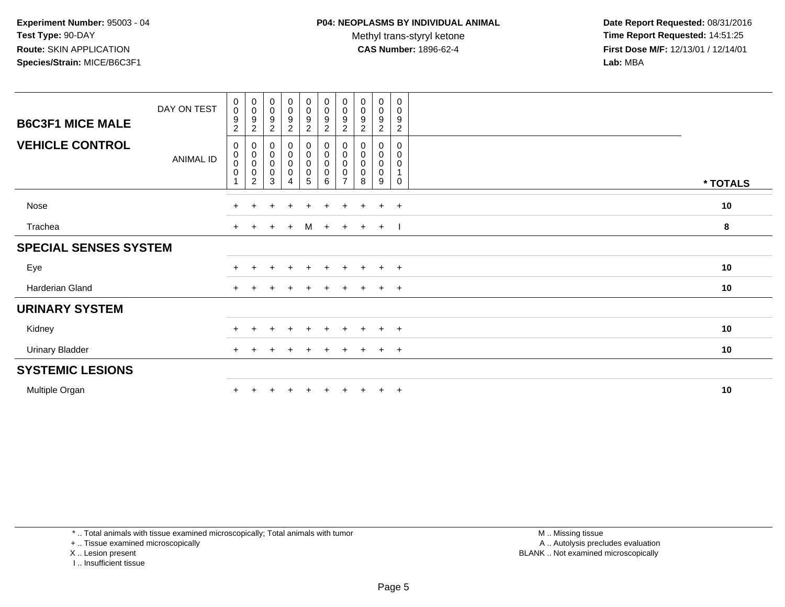Methyl trans-styryl ketone<br>CAS Number: 1896-62-4

 **Date Report Requested:** 08/31/2016 **Time Report Requested:** 14:51:25 **First Dose M/F:** 12/13/01 / 12/14/01<br>**Lab:** MBA **Lab:** MBA

|                              | DAY ON TEST | $\pmb{0}$<br>$\pmb{0}$<br>$\boldsymbol{9}$           | 0<br>$\boldsymbol{0}$<br>$\boldsymbol{9}$     | 0<br>$\pmb{0}$<br>9                   | $_{\rm 0}^{\rm 0}$<br>$\boldsymbol{9}$                               | $\begin{smallmatrix} 0\\0 \end{smallmatrix}$                | $\begin{smallmatrix}0\\0\end{smallmatrix}$                                                | 0<br>$\pmb{0}$<br>9                        | $\pmb{0}$<br>$\pmb{0}$<br>9 | $\pmb{0}$<br>$\pmb{0}$<br>$\boldsymbol{9}$ | 0<br>0<br>9                |          |
|------------------------------|-------------|------------------------------------------------------|-----------------------------------------------|---------------------------------------|----------------------------------------------------------------------|-------------------------------------------------------------|-------------------------------------------------------------------------------------------|--------------------------------------------|-----------------------------|--------------------------------------------|----------------------------|----------|
| <b>B6C3F1 MICE MALE</b>      |             | $\sqrt{2}$                                           | 2                                             | $\overline{c}$                        | $\overline{c}$                                                       | $\frac{9}{2}$                                               | $\frac{9}{2}$                                                                             | 2                                          | $\overline{c}$              | 2                                          | $\overline{c}$             |          |
| <b>VEHICLE CONTROL</b>       | ANIMAL ID   | 0<br>$\pmb{0}$<br>$\pmb{0}$<br>$\boldsymbol{0}$<br>1 | 0<br>$\pmb{0}$<br>$\pmb{0}$<br>$\pmb{0}$<br>2 | 0<br>$\pmb{0}$<br>$\pmb{0}$<br>0<br>3 | $\begin{smallmatrix}0\0\0\end{smallmatrix}$<br>$\mathsf 0$<br>0<br>4 | $\begin{smallmatrix}0\0\0\0\end{smallmatrix}$<br>$\sqrt{5}$ | $\begin{smallmatrix} 0\\0 \end{smallmatrix}$<br>$\pmb{0}$<br>$\pmb{0}$<br>$6\phantom{1}6$ | 0<br>$\pmb{0}$<br>0<br>0<br>$\overline{ }$ | 0<br>0<br>0<br>8            | 0<br>0<br>0<br>0<br>9                      | 0<br>0<br>0<br>$\mathbf 0$ | * TOTALS |
| Nose                         |             | $+$                                                  |                                               |                                       | $\ddot{}$                                                            |                                                             |                                                                                           |                                            |                             | $\ddot{}$                                  | $+$                        | 10       |
| Trachea                      |             | $+$                                                  |                                               | $+$                                   | $+$                                                                  | M                                                           | $+$                                                                                       | $+$                                        | $+$                         | $+$                                        |                            | 8        |
| <b>SPECIAL SENSES SYSTEM</b> |             |                                                      |                                               |                                       |                                                                      |                                                             |                                                                                           |                                            |                             |                                            |                            |          |
| Eye                          |             |                                                      |                                               | $\pm$                                 | $\ddot{}$                                                            | $\pm$                                                       | $+$                                                                                       | $\pm$                                      | $+$                         | $+$ $+$                                    |                            | 10       |
| Harderian Gland              |             | $+$                                                  |                                               |                                       | $\pm$                                                                | $+$                                                         | $+$                                                                                       | $\pm$                                      | $+$                         | $+$ $+$                                    |                            | 10       |
| <b>URINARY SYSTEM</b>        |             |                                                      |                                               |                                       |                                                                      |                                                             |                                                                                           |                                            |                             |                                            |                            |          |
| Kidney                       |             |                                                      |                                               |                                       | $\div$                                                               | $+$                                                         | $+$                                                                                       | $\pm$                                      | $+$                         | $+$                                        | $+$                        | 10       |
| <b>Urinary Bladder</b>       |             |                                                      |                                               |                                       |                                                                      |                                                             |                                                                                           |                                            |                             | $\ddot{}$                                  | $+$                        | 10       |
| <b>SYSTEMIC LESIONS</b>      |             |                                                      |                                               |                                       |                                                                      |                                                             |                                                                                           |                                            |                             |                                            |                            |          |
| Multiple Organ               |             |                                                      |                                               |                                       |                                                                      |                                                             |                                                                                           |                                            |                             | $+$                                        | $+$                        | 10       |

\* .. Total animals with tissue examined microscopically; Total animals with tumor

+ .. Tissue examined microscopically

X .. Lesion present

I .. Insufficient tissue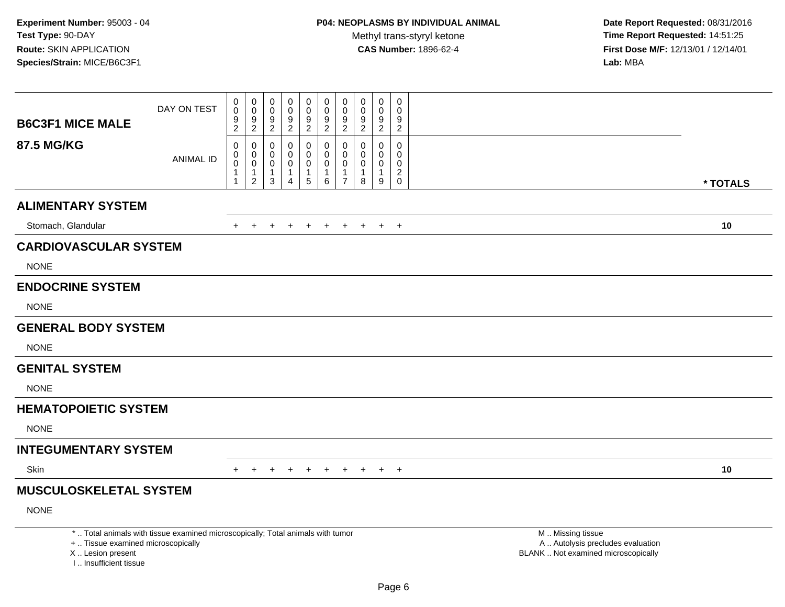| <b>B6C3F1 MICE MALE</b>                                                          | DAY ON TEST                                                                     | 0<br>$\ddot{\mathbf{0}}$<br>$\frac{9}{2}$ | 0<br>$\mathsf 0$<br>9<br>$\overline{2}$             | 0<br>$\mathbf 0$<br>9<br>2                                 | 0<br>0<br>9<br>$\overline{c}$                             | 0<br>$\pmb{0}$<br>9<br>2                            | 0<br>$\ddot{\mathbf{0}}$<br>$\boldsymbol{9}$<br>$\overline{2}$ | 0<br>$\mathbf 0$<br>9<br>$\overline{2}$                     | 0<br>$\mathbf 0$<br>$\frac{9}{2}$              | 0<br>0<br>9<br>$\overline{2}$                        | $\mathbf 0$<br>$\mathbf 0$<br>9<br>$\overline{2}$                         |                                                                                               |          |
|----------------------------------------------------------------------------------|---------------------------------------------------------------------------------|-------------------------------------------|-----------------------------------------------------|------------------------------------------------------------|-----------------------------------------------------------|-----------------------------------------------------|----------------------------------------------------------------|-------------------------------------------------------------|------------------------------------------------|------------------------------------------------------|---------------------------------------------------------------------------|-----------------------------------------------------------------------------------------------|----------|
| <b>87.5 MG/KG</b>                                                                | <b>ANIMAL ID</b>                                                                | $\pmb{0}$<br>0<br>$\pmb{0}$<br>1          | 0<br>$\mathbf 0$<br>0<br>$\mathbf{1}$<br>$\sqrt{2}$ | $\mathbf 0$<br>$\Omega$<br>0<br>$\mathbf{1}$<br>$\sqrt{3}$ | $\Omega$<br>$\Omega$<br>0<br>1<br>$\overline{\mathbf{4}}$ | $\mathbf 0$<br>$\mathbf 0$<br>$\mathbf 0$<br>1<br>5 | $\mathbf 0$<br>$\mathbf 0$<br>0<br>$\mathbf{1}$<br>$\,6\,$     | $\Omega$<br>$\Omega$<br>0<br>$\mathbf{1}$<br>$\overline{7}$ | $\Omega$<br>$\Omega$<br>0<br>$\mathbf{1}$<br>8 | $\mathbf 0$<br>$\mathbf 0$<br>0<br>$\mathbf{1}$<br>9 | $\Omega$<br>$\Omega$<br>$\mathbf 0$<br>$\overline{2}$<br>$\boldsymbol{0}$ |                                                                                               | * TOTALS |
| <b>ALIMENTARY SYSTEM</b>                                                         |                                                                                 |                                           |                                                     |                                                            |                                                           |                                                     |                                                                |                                                             |                                                |                                                      |                                                                           |                                                                                               |          |
| Stomach, Glandular                                                               |                                                                                 | $+$                                       | $+$                                                 | $\ddot{}$                                                  |                                                           | $+$                                                 | $+$                                                            | $+$                                                         | $+$                                            | $+$                                                  | $+$                                                                       |                                                                                               | 10       |
| <b>CARDIOVASCULAR SYSTEM</b>                                                     |                                                                                 |                                           |                                                     |                                                            |                                                           |                                                     |                                                                |                                                             |                                                |                                                      |                                                                           |                                                                                               |          |
| <b>NONE</b>                                                                      |                                                                                 |                                           |                                                     |                                                            |                                                           |                                                     |                                                                |                                                             |                                                |                                                      |                                                                           |                                                                                               |          |
| <b>ENDOCRINE SYSTEM</b>                                                          |                                                                                 |                                           |                                                     |                                                            |                                                           |                                                     |                                                                |                                                             |                                                |                                                      |                                                                           |                                                                                               |          |
| <b>NONE</b>                                                                      |                                                                                 |                                           |                                                     |                                                            |                                                           |                                                     |                                                                |                                                             |                                                |                                                      |                                                                           |                                                                                               |          |
| <b>GENERAL BODY SYSTEM</b>                                                       |                                                                                 |                                           |                                                     |                                                            |                                                           |                                                     |                                                                |                                                             |                                                |                                                      |                                                                           |                                                                                               |          |
| <b>NONE</b>                                                                      |                                                                                 |                                           |                                                     |                                                            |                                                           |                                                     |                                                                |                                                             |                                                |                                                      |                                                                           |                                                                                               |          |
| <b>GENITAL SYSTEM</b>                                                            |                                                                                 |                                           |                                                     |                                                            |                                                           |                                                     |                                                                |                                                             |                                                |                                                      |                                                                           |                                                                                               |          |
| <b>NONE</b>                                                                      |                                                                                 |                                           |                                                     |                                                            |                                                           |                                                     |                                                                |                                                             |                                                |                                                      |                                                                           |                                                                                               |          |
| <b>HEMATOPOIETIC SYSTEM</b>                                                      |                                                                                 |                                           |                                                     |                                                            |                                                           |                                                     |                                                                |                                                             |                                                |                                                      |                                                                           |                                                                                               |          |
| <b>NONE</b>                                                                      |                                                                                 |                                           |                                                     |                                                            |                                                           |                                                     |                                                                |                                                             |                                                |                                                      |                                                                           |                                                                                               |          |
| <b>INTEGUMENTARY SYSTEM</b>                                                      |                                                                                 |                                           |                                                     |                                                            |                                                           |                                                     |                                                                |                                                             |                                                |                                                      |                                                                           |                                                                                               |          |
| Skin                                                                             |                                                                                 | $+$                                       | $+$                                                 | $\pm$                                                      | $\pm$                                                     | $+$                                                 | $+$                                                            |                                                             | + + + +                                        |                                                      |                                                                           |                                                                                               | 10       |
| <b>MUSCULOSKELETAL SYSTEM</b>                                                    |                                                                                 |                                           |                                                     |                                                            |                                                           |                                                     |                                                                |                                                             |                                                |                                                      |                                                                           |                                                                                               |          |
| <b>NONE</b>                                                                      |                                                                                 |                                           |                                                     |                                                            |                                                           |                                                     |                                                                |                                                             |                                                |                                                      |                                                                           |                                                                                               |          |
| +  Tissue examined microscopically<br>X  Lesion present<br>I Insufficient tissue | *  Total animals with tissue examined microscopically; Total animals with tumor |                                           |                                                     |                                                            |                                                           |                                                     |                                                                |                                                             |                                                |                                                      |                                                                           | M  Missing tissue<br>A  Autolysis precludes evaluation<br>BLANK  Not examined microscopically |          |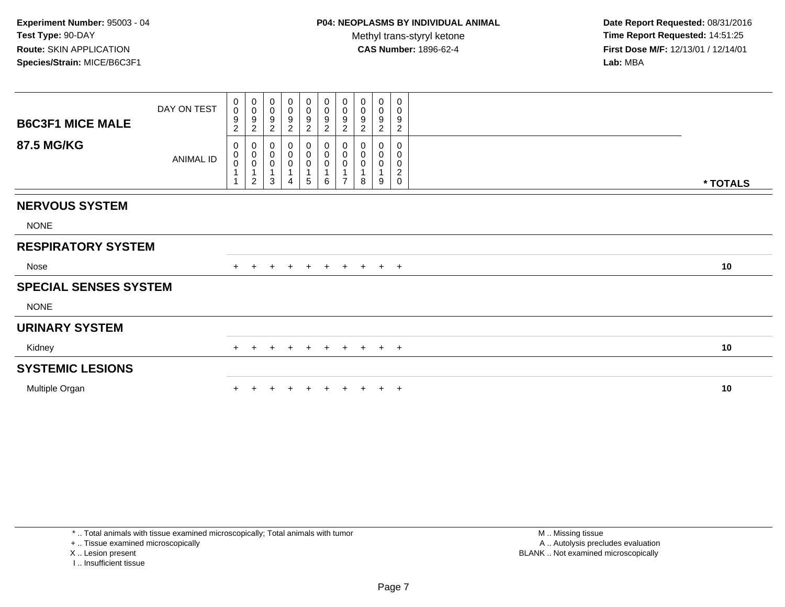**Date Report Requested:** 08/31/2016 **Time Report Requested:** 14:51:25 **First Dose M/F:** 12/13/01 / 12/14/01<br>**Lab:** MBA **Lab:** MBA

| <b>B6C3F1 MICE MALE</b>      | DAY ON TEST | $\mathbf 0$<br>$\mathbf 0$<br>9<br>$\overline{c}$ | $_{\rm 0}^{\rm 0}$<br>9<br>$\overline{c}$                            | $\begin{smallmatrix} 0\\0 \end{smallmatrix}$<br>$\frac{9}{2}$      | 0<br>0<br>9<br>$\overline{c}$ | $\begin{array}{c} 0 \\ 0 \\ 9 \\ 2 \end{array}$ | $_0^0$<br>9<br>$\overline{c}$                         | $\pmb{0}$<br>$\overline{0}$<br>$\boldsymbol{9}$<br>$\sqrt{2}$        | 0<br>$\mathbf 0$<br>9<br>$\overline{2}$ | 0<br>$\pmb{0}$<br>$\boldsymbol{9}$<br>$\overline{c}$ | 0<br>0<br>$\boldsymbol{9}$<br>$\overline{c}$ |          |
|------------------------------|-------------|---------------------------------------------------|----------------------------------------------------------------------|--------------------------------------------------------------------|-------------------------------|-------------------------------------------------|-------------------------------------------------------|----------------------------------------------------------------------|-----------------------------------------|------------------------------------------------------|----------------------------------------------|----------|
| <b>87.5 MG/KG</b>            | ANIMAL ID   | 0<br>0<br>$\bar{0}$                               | $\pmb{0}$<br>$\overline{0}$<br>0<br>$\mathbf{1}$<br>$\boldsymbol{2}$ | $\begin{smallmatrix}0\\0\\0\end{smallmatrix}$<br>$\mathbf{1}$<br>3 | 0<br>0<br>4                   | 0<br>$\overline{0}$<br>0<br>1<br>$\sqrt{5}$     | $\begin{smallmatrix}0\0\0\end{smallmatrix}$<br>0<br>6 | $\begin{smallmatrix}0\\0\\0\end{smallmatrix}$<br>1<br>$\overline{7}$ | 0<br>$\mathbf 0$<br>$\pmb{0}$<br>8      | 0<br>0<br>0<br>9                                     | 0<br>0<br>$\pmb{0}$<br>$\boldsymbol{2}$<br>0 | * TOTALS |
| <b>NERVOUS SYSTEM</b>        |             |                                                   |                                                                      |                                                                    |                               |                                                 |                                                       |                                                                      |                                         |                                                      |                                              |          |
| <b>NONE</b>                  |             |                                                   |                                                                      |                                                                    |                               |                                                 |                                                       |                                                                      |                                         |                                                      |                                              |          |
| <b>RESPIRATORY SYSTEM</b>    |             |                                                   |                                                                      |                                                                    |                               |                                                 |                                                       |                                                                      |                                         |                                                      |                                              |          |
| Nose                         |             |                                                   |                                                                      | $\pm$                                                              | $+$                           | $+$                                             |                                                       |                                                                      | $+$ + + + +                             |                                                      |                                              | 10       |
| <b>SPECIAL SENSES SYSTEM</b> |             |                                                   |                                                                      |                                                                    |                               |                                                 |                                                       |                                                                      |                                         |                                                      |                                              |          |
| <b>NONE</b>                  |             |                                                   |                                                                      |                                                                    |                               |                                                 |                                                       |                                                                      |                                         |                                                      |                                              |          |
| <b>URINARY SYSTEM</b>        |             |                                                   |                                                                      |                                                                    |                               |                                                 |                                                       |                                                                      |                                         |                                                      |                                              |          |
| Kidney                       |             | $+$                                               | $\ddot{}$                                                            | $\ddot{}$                                                          | $^+$                          | $+$                                             | $+$                                                   | $+$                                                                  |                                         |                                                      | $+$ $+$ $+$                                  | 10       |
| <b>SYSTEMIC LESIONS</b>      |             |                                                   |                                                                      |                                                                    |                               |                                                 |                                                       |                                                                      |                                         |                                                      |                                              |          |
| Multiple Organ               |             |                                                   |                                                                      |                                                                    |                               |                                                 |                                                       |                                                                      |                                         |                                                      | $+$                                          | 10       |

+ .. Tissue examined microscopically

X .. Lesion present

I .. Insufficient tissue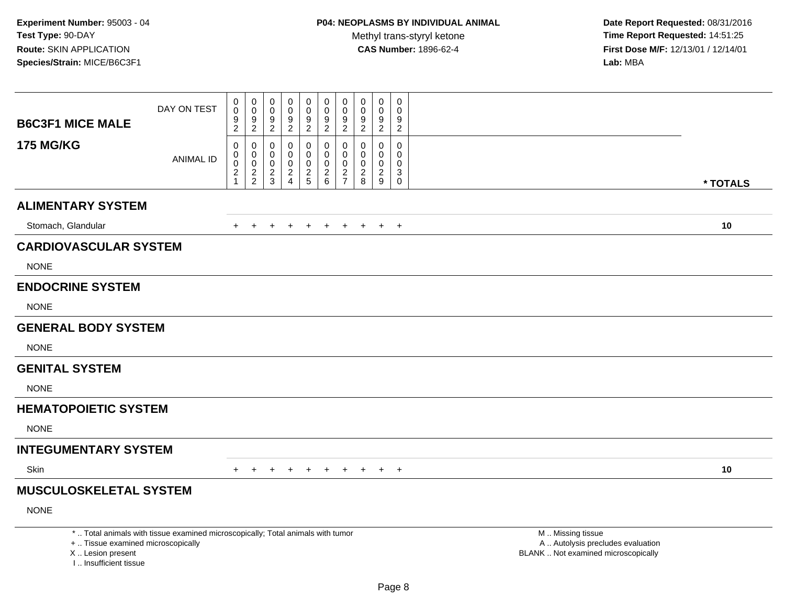| <b>B6C3F1 MICE MALE</b>                                                          | DAY ON TEST                                                                     | 0<br>$\ddot{\mathbf{0}}$<br>$\frac{9}{2}$               | 0<br>$\pmb{0}$<br>$\frac{9}{2}$        | 0<br>$\mathbf 0$<br>9<br>2                    | 0<br>$\mathbf 0$<br>9<br>$\overline{2}$                | 0<br>$\pmb{0}$<br>9<br>2                       | 0<br>$\ddot{\mathbf{0}}$<br>$\boldsymbol{9}$<br>$\overline{2}$ | 0<br>$\mathbf 0$<br>9<br>$\overline{2}$                                    | 0<br>$\mathbf 0$<br>$\frac{9}{2}$          | 0<br>$\mathsf{O}\xspace$<br>$\frac{9}{2}$                          | $\mathbf 0$<br>$\mathbf 0$<br>9<br>$\overline{2}$          |                                                                                               |          |
|----------------------------------------------------------------------------------|---------------------------------------------------------------------------------|---------------------------------------------------------|----------------------------------------|-----------------------------------------------|--------------------------------------------------------|------------------------------------------------|----------------------------------------------------------------|----------------------------------------------------------------------------|--------------------------------------------|--------------------------------------------------------------------|------------------------------------------------------------|-----------------------------------------------------------------------------------------------|----------|
| <b>175 MG/KG</b>                                                                 | <b>ANIMAL ID</b>                                                                | 0<br>0<br>$\pmb{0}$<br>$\overline{c}$<br>$\overline{1}$ | 0<br>$\mathbf 0$<br>0<br>$\frac{2}{2}$ | 0<br>0<br>0<br>$\overline{c}$<br>$\mathbf{3}$ | $\Omega$<br>0<br>0<br>$\overline{c}$<br>$\overline{4}$ | $\mathbf 0$<br>0<br>$\mathbf 0$<br>$rac{2}{5}$ | 0<br>$\mathbf 0$<br>$\pmb{0}$<br>$\frac{2}{6}$                 | $\mathbf 0$<br>$\Omega$<br>$\mathbf 0$<br>$\overline{a}$<br>$\overline{7}$ | $\Omega$<br>$\Omega$<br>0<br>$\frac{2}{8}$ | $\mathbf 0$<br>$\mathbf 0$<br>$\pmb{0}$<br>$\overline{a}$<br>$9\,$ | $\mathbf 0$<br>$\Omega$<br>$\mathbf 0$<br>3<br>$\mathbf 0$ |                                                                                               | * TOTALS |
| <b>ALIMENTARY SYSTEM</b>                                                         |                                                                                 |                                                         |                                        |                                               |                                                        |                                                |                                                                |                                                                            |                                            |                                                                    |                                                            |                                                                                               |          |
| Stomach, Glandular                                                               |                                                                                 | $+$                                                     | $+$                                    | $\ddot{}$                                     | $\ddot{}$                                              | $+$                                            | $+$                                                            | $+$                                                                        | $+$                                        | $+$ $+$                                                            |                                                            |                                                                                               | 10       |
| <b>CARDIOVASCULAR SYSTEM</b>                                                     |                                                                                 |                                                         |                                        |                                               |                                                        |                                                |                                                                |                                                                            |                                            |                                                                    |                                                            |                                                                                               |          |
| <b>NONE</b>                                                                      |                                                                                 |                                                         |                                        |                                               |                                                        |                                                |                                                                |                                                                            |                                            |                                                                    |                                                            |                                                                                               |          |
| <b>ENDOCRINE SYSTEM</b>                                                          |                                                                                 |                                                         |                                        |                                               |                                                        |                                                |                                                                |                                                                            |                                            |                                                                    |                                                            |                                                                                               |          |
| <b>NONE</b>                                                                      |                                                                                 |                                                         |                                        |                                               |                                                        |                                                |                                                                |                                                                            |                                            |                                                                    |                                                            |                                                                                               |          |
| <b>GENERAL BODY SYSTEM</b>                                                       |                                                                                 |                                                         |                                        |                                               |                                                        |                                                |                                                                |                                                                            |                                            |                                                                    |                                                            |                                                                                               |          |
| <b>NONE</b>                                                                      |                                                                                 |                                                         |                                        |                                               |                                                        |                                                |                                                                |                                                                            |                                            |                                                                    |                                                            |                                                                                               |          |
| <b>GENITAL SYSTEM</b>                                                            |                                                                                 |                                                         |                                        |                                               |                                                        |                                                |                                                                |                                                                            |                                            |                                                                    |                                                            |                                                                                               |          |
| <b>NONE</b>                                                                      |                                                                                 |                                                         |                                        |                                               |                                                        |                                                |                                                                |                                                                            |                                            |                                                                    |                                                            |                                                                                               |          |
| <b>HEMATOPOIETIC SYSTEM</b>                                                      |                                                                                 |                                                         |                                        |                                               |                                                        |                                                |                                                                |                                                                            |                                            |                                                                    |                                                            |                                                                                               |          |
| <b>NONE</b>                                                                      |                                                                                 |                                                         |                                        |                                               |                                                        |                                                |                                                                |                                                                            |                                            |                                                                    |                                                            |                                                                                               |          |
| <b>INTEGUMENTARY SYSTEM</b>                                                      |                                                                                 |                                                         |                                        |                                               |                                                        |                                                |                                                                |                                                                            |                                            |                                                                    |                                                            |                                                                                               |          |
| <b>Skin</b>                                                                      |                                                                                 | $+$                                                     | $+$                                    | $\pm$                                         | $\ddot{}$                                              | $+$                                            | $+$                                                            | $+$ $-$                                                                    | $+$                                        | $+$ $+$                                                            |                                                            |                                                                                               | 10       |
| <b>MUSCULOSKELETAL SYSTEM</b>                                                    |                                                                                 |                                                         |                                        |                                               |                                                        |                                                |                                                                |                                                                            |                                            |                                                                    |                                                            |                                                                                               |          |
| <b>NONE</b>                                                                      |                                                                                 |                                                         |                                        |                                               |                                                        |                                                |                                                                |                                                                            |                                            |                                                                    |                                                            |                                                                                               |          |
| +  Tissue examined microscopically<br>X  Lesion present<br>I Insufficient tissue | *  Total animals with tissue examined microscopically; Total animals with tumor |                                                         |                                        |                                               |                                                        |                                                |                                                                |                                                                            |                                            |                                                                    |                                                            | M  Missing tissue<br>A  Autolysis precludes evaluation<br>BLANK  Not examined microscopically |          |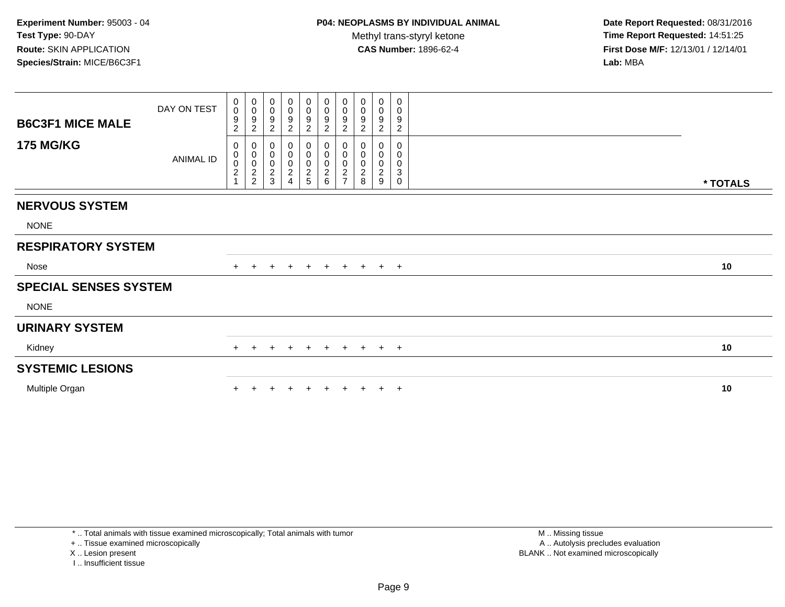**Date Report Requested:** 08/31/2016 **Time Report Requested:** 14:51:25 **First Dose M/F:** 12/13/01 / 12/14/01<br>**Lab:** MBA **Lab:** MBA

| <b>B6C3F1 MICE MALE</b>      | DAY ON TEST | 0<br>$\mathbf 0$<br>9<br>2              | $\boldsymbol{0}$<br>$\overline{0}$<br>$\boldsymbol{9}$<br>$\overline{c}$ | 0<br>$\pmb{0}$<br>$\boldsymbol{9}$<br>$\boldsymbol{2}$ | 0<br>0<br>9<br>$\boldsymbol{2}$                         | $\mathbf 0$<br>$\pmb{0}$<br>$\boldsymbol{9}$<br>$\boldsymbol{2}$ | $\begin{array}{c} 0 \\ 0 \\ 9 \\ 2 \end{array}$ | $\begin{array}{c} 0 \\ 0 \\ 9 \\ 2 \end{array}$ | 0<br>$\mathbf 0$<br>9<br>$\overline{c}$      | 0<br>$\pmb{0}$<br>$\boldsymbol{9}$<br>$\overline{c}$ | $\mathbf 0$<br>0<br>9<br>$\overline{\mathbf{c}}$ |          |
|------------------------------|-------------|-----------------------------------------|--------------------------------------------------------------------------|--------------------------------------------------------|---------------------------------------------------------|------------------------------------------------------------------|-------------------------------------------------|-------------------------------------------------|----------------------------------------------|------------------------------------------------------|--------------------------------------------------|----------|
| <b>175 MG/KG</b>             | ANIMAL ID   | 0<br>0<br>$\pmb{0}$<br>$\boldsymbol{2}$ | 000022                                                                   | 0<br>$\pmb{0}$<br>$\overline{0}$<br>$\frac{2}{3}$      | 0<br>0<br>$\pmb{0}$<br>$\overline{c}$<br>$\overline{4}$ | 0<br>0<br>0<br>2<br>5                                            |                                                 | $0000$<br>27                                    | 0<br>0<br>$\pmb{0}$<br>$\boldsymbol{2}$<br>8 | $\pmb{0}$<br>$\pmb{0}$<br>$\boldsymbol{2}$<br>9      | 0<br>0<br>0<br>3<br>0                            | * TOTALS |
| <b>NERVOUS SYSTEM</b>        |             |                                         |                                                                          |                                                        |                                                         |                                                                  |                                                 |                                                 |                                              |                                                      |                                                  |          |
| <b>NONE</b>                  |             |                                         |                                                                          |                                                        |                                                         |                                                                  |                                                 |                                                 |                                              |                                                      |                                                  |          |
| <b>RESPIRATORY SYSTEM</b>    |             |                                         |                                                                          |                                                        |                                                         |                                                                  |                                                 |                                                 |                                              |                                                      |                                                  |          |
| Nose                         |             |                                         | $+$                                                                      | $+$                                                    | $+$                                                     | $+$                                                              | $+$                                             |                                                 | + + + +                                      |                                                      |                                                  | 10       |
| <b>SPECIAL SENSES SYSTEM</b> |             |                                         |                                                                          |                                                        |                                                         |                                                                  |                                                 |                                                 |                                              |                                                      |                                                  |          |
| <b>NONE</b>                  |             |                                         |                                                                          |                                                        |                                                         |                                                                  |                                                 |                                                 |                                              |                                                      |                                                  |          |
| <b>URINARY SYSTEM</b>        |             |                                         |                                                                          |                                                        |                                                         |                                                                  |                                                 |                                                 |                                              |                                                      |                                                  |          |
| Kidney                       |             | $+$                                     | $+$                                                                      | $+$                                                    | $+$                                                     | $+$                                                              |                                                 |                                                 | + + + + +                                    |                                                      |                                                  | 10       |
| <b>SYSTEMIC LESIONS</b>      |             |                                         |                                                                          |                                                        |                                                         |                                                                  |                                                 |                                                 |                                              |                                                      |                                                  |          |
| Multiple Organ               |             |                                         |                                                                          |                                                        |                                                         |                                                                  |                                                 |                                                 |                                              |                                                      | $\pm$                                            | 10       |
|                              |             |                                         |                                                                          |                                                        |                                                         |                                                                  |                                                 |                                                 |                                              |                                                      |                                                  |          |

\* .. Total animals with tissue examined microscopically; Total animals with tumor

+ .. Tissue examined microscopically

X .. Lesion present

I .. Insufficient tissue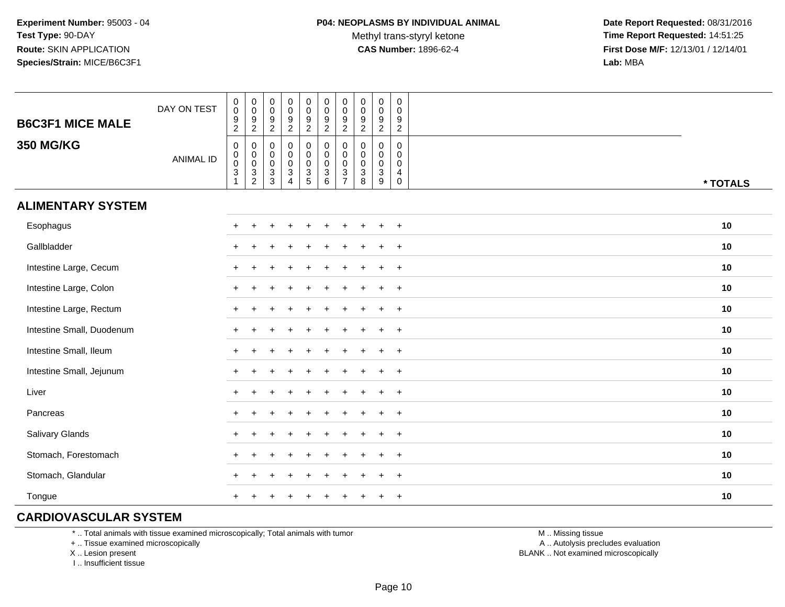**Date Report Requested:** 08/31/2016 **Time Report Requested:** 14:51:25 **First Dose M/F:** 12/13/01 / 12/14/01<br>**Lab:** MBA **Lab:** MBA

| <b>B6C3F1 MICE MALE</b>   | DAY ON TEST      | $_{\rm 0}^{\rm 0}$<br>$\frac{9}{2}$           | $_{\rm 0}^{\rm 0}$<br>$\frac{9}{2}$                                          | $_{\rm 0}^{\rm 0}$<br>$\frac{9}{2}$      | $\pmb{0}$<br>$\mathbf 0$<br>$\frac{9}{2}$                                                   | $_{\rm 0}^{\rm 0}$<br>$\frac{9}{2}$          | $\pmb{0}$<br>$\mathbf 0$<br>$\boldsymbol{9}$<br>$\overline{c}$ | $\pmb{0}$<br>$\mathbf 0$<br>$\boldsymbol{9}$<br>$\overline{2}$            | $\pmb{0}$<br>$\pmb{0}$<br>$\boldsymbol{9}$<br>$\overline{2}$ | $\pmb{0}$<br>0<br>$\boldsymbol{9}$<br>$\overline{2}$ | $\mathbf 0$<br>$\mathbf 0$<br>$\boldsymbol{9}$<br>$\overline{2}$ |          |
|---------------------------|------------------|-----------------------------------------------|------------------------------------------------------------------------------|------------------------------------------|---------------------------------------------------------------------------------------------|----------------------------------------------|----------------------------------------------------------------|---------------------------------------------------------------------------|--------------------------------------------------------------|------------------------------------------------------|------------------------------------------------------------------|----------|
| <b>350 MG/KG</b>          | <b>ANIMAL ID</b> | $\pmb{0}$<br>$_{\rm 0}^{\rm 0}$<br>$\sqrt{3}$ | $\mathbf 0$<br>$\begin{smallmatrix} 0\\0 \end{smallmatrix}$<br>$\frac{3}{2}$ | 0<br>$_{\rm 0}^{\rm 0}$<br>$\frac{3}{3}$ | $\mathbf 0$<br>$\overline{0}$<br>$\mathbf 0$<br>$\ensuremath{\mathsf{3}}$<br>$\overline{A}$ | $\pmb{0}$<br>$\overline{0}$<br>$\frac{3}{5}$ | 0<br>0<br>$\mathbf 0$<br>$\sqrt{3}$<br>6                       | $\mathbf 0$<br>$\mathbf 0$<br>$\mathbf 0$<br>$\sqrt{3}$<br>$\overline{7}$ | 0<br>0<br>$\mathbf 0$<br>$\mathbf{3}$<br>8                   | $\mathbf 0$<br>$\mathbf 0$<br>0<br>$\mathbf{3}$<br>9 | 0<br>$\mathbf 0$<br>$\mathbf 0$<br>4<br>$\mathbf 0$              | * TOTALS |
| <b>ALIMENTARY SYSTEM</b>  |                  |                                               |                                                                              |                                          |                                                                                             |                                              |                                                                |                                                                           |                                                              |                                                      |                                                                  |          |
| Esophagus                 |                  | $\ddot{}$                                     | $\ddot{}$                                                                    |                                          |                                                                                             |                                              |                                                                |                                                                           |                                                              | $\pm$                                                | $+$                                                              | 10       |
| Gallbladder               |                  | $\div$                                        |                                                                              |                                          |                                                                                             |                                              |                                                                |                                                                           |                                                              |                                                      | $\ddot{}$                                                        | 10       |
| Intestine Large, Cecum    |                  |                                               |                                                                              |                                          |                                                                                             |                                              |                                                                |                                                                           |                                                              |                                                      | $\overline{+}$                                                   | 10       |
| Intestine Large, Colon    |                  |                                               |                                                                              |                                          |                                                                                             |                                              |                                                                |                                                                           |                                                              |                                                      | $\ddot{}$                                                        | 10       |
| Intestine Large, Rectum   |                  |                                               |                                                                              |                                          |                                                                                             |                                              |                                                                |                                                                           |                                                              |                                                      | $\ddot{}$                                                        | 10       |
| Intestine Small, Duodenum |                  | $\ddot{}$                                     |                                                                              |                                          |                                                                                             |                                              |                                                                |                                                                           |                                                              | $\pm$                                                | $+$                                                              | 10       |
| Intestine Small, Ileum    |                  | $\ddot{}$                                     |                                                                              |                                          |                                                                                             |                                              |                                                                |                                                                           |                                                              | $+$                                                  | $+$                                                              | 10       |
| Intestine Small, Jejunum  |                  |                                               |                                                                              |                                          |                                                                                             |                                              |                                                                |                                                                           |                                                              | $\ddot{}$                                            | $+$                                                              | 10       |
| Liver                     |                  | $+$                                           |                                                                              |                                          |                                                                                             |                                              |                                                                |                                                                           |                                                              | $\ddot{}$                                            | $+$                                                              | 10       |
| Pancreas                  |                  | $+$                                           |                                                                              |                                          |                                                                                             |                                              |                                                                |                                                                           |                                                              | $\ddot{}$                                            | $+$                                                              | 10       |
| Salivary Glands           |                  | $\div$                                        |                                                                              |                                          |                                                                                             |                                              |                                                                |                                                                           |                                                              |                                                      | $+$                                                              | 10       |
| Stomach, Forestomach      |                  |                                               |                                                                              |                                          |                                                                                             |                                              |                                                                |                                                                           |                                                              |                                                      | $\ddot{}$                                                        | 10       |
| Stomach, Glandular        |                  |                                               |                                                                              |                                          |                                                                                             |                                              |                                                                |                                                                           |                                                              |                                                      | $\overline{+}$                                                   | 10       |
| Tongue                    |                  | $\ddot{}$                                     |                                                                              |                                          |                                                                                             |                                              |                                                                |                                                                           |                                                              | $\ddot{}$                                            | $\overline{+}$                                                   | 10       |

### **CARDIOVASCULAR SYSTEM**

\* .. Total animals with tissue examined microscopically; Total animals with tumor

+ .. Tissue examined microscopically

X .. Lesion present

I .. Insufficient tissue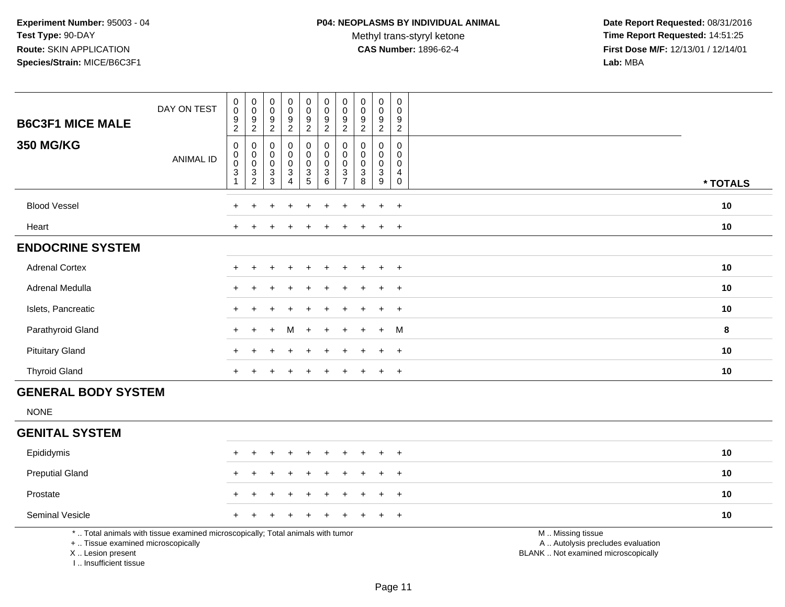Methyl trans-styryl ketone<br>CAS Number: 1896-62-4

| <b>B6C3F1 MICE MALE</b>                                                          | DAY ON TEST                                                                     | $_{\rm 0}^{\rm 0}$<br>$\frac{9}{2}$                             | $\begin{smallmatrix} 0\\0 \end{smallmatrix}$<br>$\frac{9}{2}$                       | $\pmb{0}$<br>$\mathsf 0$<br>$\frac{9}{2}$          | $\mathsf 0$<br>$\ddot{\mathbf{0}}$<br>$\frac{9}{2}$                      | $\pmb{0}$<br>$\pmb{0}$<br>$\boldsymbol{9}$<br>$\overline{2}$ | $\pmb{0}$<br>$\mathbf 0$<br>9<br>$\overline{2}$                                 | $\pmb{0}$<br>$\mathbf 0$<br>9<br>$\overline{c}$                   | $\pmb{0}$<br>$\mathsf{O}\xspace$<br>9<br>$\overline{2}$ | $\pmb{0}$<br>$\pmb{0}$<br>$\boldsymbol{9}$<br>$\overline{2}$    | $\mathbf 0$<br>$\mathbf 0$<br>9<br>$\overline{2}$                  |                                                                                               |          |
|----------------------------------------------------------------------------------|---------------------------------------------------------------------------------|-----------------------------------------------------------------|-------------------------------------------------------------------------------------|----------------------------------------------------|--------------------------------------------------------------------------|--------------------------------------------------------------|---------------------------------------------------------------------------------|-------------------------------------------------------------------|---------------------------------------------------------|-----------------------------------------------------------------|--------------------------------------------------------------------|-----------------------------------------------------------------------------------------------|----------|
| <b>350 MG/KG</b>                                                                 | <b>ANIMAL ID</b>                                                                | $\,0\,$<br>$_{\rm 0}^{\rm 0}$<br>$\mathbf{3}$<br>$\overline{1}$ | $\mathbf 0$<br>$\mathbf 0$<br>$\ddot{\mathbf{0}}$<br>$\mathbf{3}$<br>$\overline{2}$ | $\mathbf 0$<br>$\mathbf 0$<br>0<br>3<br>$\sqrt{3}$ | $\mathbf 0$<br>$\mathbf 0$<br>$\pmb{0}$<br>$\mathsf 3$<br>$\overline{A}$ | 0<br>0<br>$\pmb{0}$<br>$\frac{3}{5}$                         | $\mathbf 0$<br>$\mathbf 0$<br>$\pmb{0}$<br>$\ensuremath{\mathsf{3}}$<br>$\,6\,$ | 0<br>$\mathbf 0$<br>$\mathbf 0$<br>$\mathbf{3}$<br>$\overline{7}$ | 0<br>$\Omega$<br>$\mathbf 0$<br>$\mathbf{3}$<br>8       | 0<br>$\mathbf 0$<br>$\pmb{0}$<br>$\sqrt{3}$<br>$\boldsymbol{9}$ | $\mathbf 0$<br>$\Omega$<br>$\mathbf 0$<br>4<br>$\mathsf{O}\xspace$ |                                                                                               | * TOTALS |
| <b>Blood Vessel</b>                                                              |                                                                                 |                                                                 |                                                                                     |                                                    |                                                                          |                                                              |                                                                                 |                                                                   |                                                         |                                                                 | $+$                                                                |                                                                                               | 10       |
| Heart                                                                            |                                                                                 |                                                                 |                                                                                     |                                                    |                                                                          |                                                              |                                                                                 |                                                                   |                                                         | $\mathbf +$                                                     | $+$                                                                |                                                                                               | 10       |
| <b>ENDOCRINE SYSTEM</b>                                                          |                                                                                 |                                                                 |                                                                                     |                                                    |                                                                          |                                                              |                                                                                 |                                                                   |                                                         |                                                                 |                                                                    |                                                                                               |          |
| <b>Adrenal Cortex</b>                                                            |                                                                                 |                                                                 |                                                                                     |                                                    |                                                                          |                                                              |                                                                                 |                                                                   |                                                         |                                                                 | $+$                                                                |                                                                                               | 10       |
| Adrenal Medulla                                                                  |                                                                                 |                                                                 |                                                                                     |                                                    |                                                                          |                                                              |                                                                                 |                                                                   |                                                         | $\ddot{}$                                                       | $+$                                                                |                                                                                               | 10       |
| Islets, Pancreatic                                                               |                                                                                 |                                                                 |                                                                                     |                                                    |                                                                          |                                                              |                                                                                 |                                                                   |                                                         |                                                                 | $\overline{ }$                                                     |                                                                                               | 10       |
| Parathyroid Gland                                                                |                                                                                 |                                                                 |                                                                                     |                                                    | м                                                                        | $\ddot{}$                                                    |                                                                                 |                                                                   |                                                         | $\ddot{}$                                                       | M                                                                  |                                                                                               | 8        |
| <b>Pituitary Gland</b>                                                           |                                                                                 |                                                                 |                                                                                     |                                                    |                                                                          |                                                              |                                                                                 |                                                                   |                                                         | $\ddot{+}$                                                      | $+$                                                                |                                                                                               | 10       |
| <b>Thyroid Gland</b>                                                             |                                                                                 |                                                                 |                                                                                     |                                                    |                                                                          |                                                              |                                                                                 |                                                                   |                                                         | $\ddot{}$                                                       | $+$                                                                |                                                                                               | 10       |
| <b>GENERAL BODY SYSTEM</b>                                                       |                                                                                 |                                                                 |                                                                                     |                                                    |                                                                          |                                                              |                                                                                 |                                                                   |                                                         |                                                                 |                                                                    |                                                                                               |          |
| <b>NONE</b>                                                                      |                                                                                 |                                                                 |                                                                                     |                                                    |                                                                          |                                                              |                                                                                 |                                                                   |                                                         |                                                                 |                                                                    |                                                                                               |          |
| <b>GENITAL SYSTEM</b>                                                            |                                                                                 |                                                                 |                                                                                     |                                                    |                                                                          |                                                              |                                                                                 |                                                                   |                                                         |                                                                 |                                                                    |                                                                                               |          |
| Epididymis                                                                       |                                                                                 |                                                                 | $\ddot{}$                                                                           | +                                                  | $\overline{ }$                                                           | $\ddot{}$                                                    |                                                                                 |                                                                   |                                                         | $\ddot{}$                                                       | $+$                                                                |                                                                                               | 10       |
| <b>Preputial Gland</b>                                                           |                                                                                 |                                                                 |                                                                                     |                                                    |                                                                          |                                                              |                                                                                 |                                                                   |                                                         |                                                                 | $\overline{+}$                                                     |                                                                                               | 10       |
| Prostate                                                                         |                                                                                 |                                                                 |                                                                                     |                                                    |                                                                          |                                                              |                                                                                 |                                                                   |                                                         |                                                                 | $\overline{ }$                                                     |                                                                                               | 10       |
| Seminal Vesicle                                                                  |                                                                                 |                                                                 |                                                                                     |                                                    |                                                                          |                                                              |                                                                                 |                                                                   |                                                         |                                                                 | $+$                                                                |                                                                                               | 10       |
| +  Tissue examined microscopically<br>X  Lesion present<br>I Insufficient tissue | *  Total animals with tissue examined microscopically; Total animals with tumor |                                                                 |                                                                                     |                                                    |                                                                          |                                                              |                                                                                 |                                                                   |                                                         |                                                                 |                                                                    | M  Missing tissue<br>A  Autolysis precludes evaluation<br>BLANK  Not examined microscopically |          |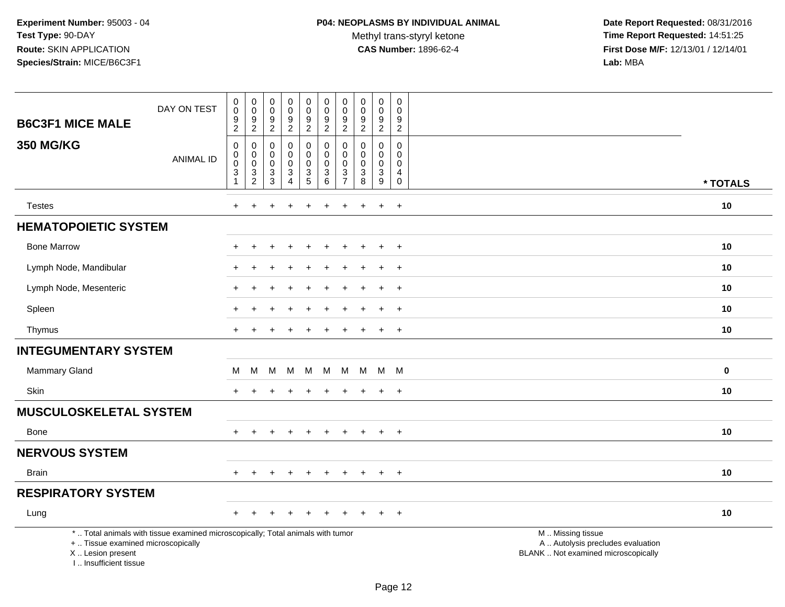Methyl trans-styryl ketone<br>CAS Number: 1896-62-4

| <b>B6C3F1 MICE MALE</b>                                                            | DAY ON TEST                                                                     | $\boldsymbol{0}$<br>$\mathbf 0$<br>$\boldsymbol{9}$<br>$\overline{c}$             | $\pmb{0}$<br>$\mathsf 0$<br>$\boldsymbol{9}$<br>$\boldsymbol{2}$ | $\pmb{0}$<br>$\mathsf{O}\xspace$<br>$\boldsymbol{9}$<br>$\sqrt{2}$ | $\pmb{0}$<br>$\frac{0}{9}$<br>$\overline{2}$                            | $\boldsymbol{0}$<br>$\mathbf 0$<br>$\frac{9}{2}$ | $\pmb{0}$<br>$\mathsf{O}\xspace$<br>$\boldsymbol{9}$<br>$\overline{2}$ | $\pmb{0}$<br>$\mathbf 0$<br>$\boldsymbol{9}$<br>$\sqrt{2}$ | $\mathsf 0$<br>$\mathbf 0$<br>$\boldsymbol{9}$<br>$\overline{2}$          | $\mathsf 0$<br>$\mathbf 0$<br>9<br>$\overline{2}$ | $\pmb{0}$<br>$\mathbf 0$<br>$\frac{9}{2}$       |                                                                                               |          |
|------------------------------------------------------------------------------------|---------------------------------------------------------------------------------|-----------------------------------------------------------------------------------|------------------------------------------------------------------|--------------------------------------------------------------------|-------------------------------------------------------------------------|--------------------------------------------------|------------------------------------------------------------------------|------------------------------------------------------------|---------------------------------------------------------------------------|---------------------------------------------------|-------------------------------------------------|-----------------------------------------------------------------------------------------------|----------|
| <b>350 MG/KG</b>                                                                   | <b>ANIMAL ID</b>                                                                | $\boldsymbol{0}$<br>$\mathbf 0$<br>$\overline{0}$<br>$\sqrt{3}$<br>$\overline{1}$ | $\mathbf 0$<br>$\boldsymbol{0}$<br>$\pmb{0}$<br>$\frac{3}{2}$    | $\mathbf 0$<br>0<br>$\mathbf 0$<br>3<br>$\overline{3}$             | 0<br>$\pmb{0}$<br>$\mathsf{O}\xspace$<br>$\mathbf{3}$<br>$\overline{4}$ | 0<br>$\mathbf 0$<br>$\frac{0}{3}$                | $\mathbf 0$<br>$\pmb{0}$<br>$\overline{0}$<br>$\frac{3}{6}$            | 0<br>$\mathbf 0$<br>$\mathbf 0$<br>3<br>$\overline{7}$     | $\mathbf 0$<br>$\mathbf 0$<br>$\mathbf 0$<br>$\sqrt{3}$<br>$\overline{8}$ | 0<br>0<br>$\mathsf{O}\xspace$<br>$\frac{3}{9}$    | 0<br>0<br>$\pmb{0}$<br>4<br>$\mathsf{O}\xspace$ |                                                                                               |          |
|                                                                                    |                                                                                 |                                                                                   |                                                                  |                                                                    |                                                                         |                                                  |                                                                        |                                                            |                                                                           |                                                   |                                                 |                                                                                               | * TOTALS |
| <b>Testes</b>                                                                      |                                                                                 | $\ddot{}$                                                                         | $\ddot{}$                                                        |                                                                    | $\ddot{}$                                                               | $\ddot{}$                                        | $\ddot{}$                                                              | $\ddot{}$                                                  | $\div$                                                                    | $\ddot{}$                                         | $+$                                             |                                                                                               | 10       |
| <b>HEMATOPOIETIC SYSTEM</b>                                                        |                                                                                 |                                                                                   |                                                                  |                                                                    |                                                                         |                                                  |                                                                        |                                                            |                                                                           |                                                   |                                                 |                                                                                               |          |
| <b>Bone Marrow</b>                                                                 |                                                                                 |                                                                                   |                                                                  |                                                                    |                                                                         |                                                  |                                                                        |                                                            |                                                                           | $\ddot{}$                                         | $+$                                             |                                                                                               | 10       |
| Lymph Node, Mandibular                                                             |                                                                                 |                                                                                   |                                                                  |                                                                    |                                                                         |                                                  |                                                                        |                                                            |                                                                           | $\ddot{}$                                         | $\overline{+}$                                  |                                                                                               | 10       |
| Lymph Node, Mesenteric                                                             |                                                                                 |                                                                                   | ÷                                                                |                                                                    |                                                                         |                                                  |                                                                        |                                                            |                                                                           | $\ddot{}$                                         | $+$                                             |                                                                                               | 10       |
| Spleen                                                                             |                                                                                 |                                                                                   |                                                                  |                                                                    |                                                                         |                                                  |                                                                        |                                                            |                                                                           |                                                   | $\ddot{}$                                       |                                                                                               | 10       |
| Thymus                                                                             |                                                                                 | $\pm$                                                                             |                                                                  |                                                                    |                                                                         |                                                  |                                                                        |                                                            |                                                                           | $\ddot{}$                                         | $+$                                             |                                                                                               | 10       |
| <b>INTEGUMENTARY SYSTEM</b>                                                        |                                                                                 |                                                                                   |                                                                  |                                                                    |                                                                         |                                                  |                                                                        |                                                            |                                                                           |                                                   |                                                 |                                                                                               |          |
| <b>Mammary Gland</b>                                                               |                                                                                 | м                                                                                 | M                                                                | M                                                                  | M                                                                       | M                                                | M                                                                      | M                                                          | M                                                                         | M                                                 | - M                                             |                                                                                               | 0        |
| Skin                                                                               |                                                                                 |                                                                                   |                                                                  |                                                                    |                                                                         |                                                  |                                                                        |                                                            |                                                                           | $\ddot{}$                                         | $+$                                             |                                                                                               | 10       |
| <b>MUSCULOSKELETAL SYSTEM</b>                                                      |                                                                                 |                                                                                   |                                                                  |                                                                    |                                                                         |                                                  |                                                                        |                                                            |                                                                           |                                                   |                                                 |                                                                                               |          |
| Bone                                                                               |                                                                                 | $+$                                                                               | $\pm$                                                            |                                                                    | $+$                                                                     | $\ddot{}$                                        | $+$                                                                    | $\pm$                                                      | $+$                                                                       | $+$                                               | $+$                                             |                                                                                               | 10       |
| <b>NERVOUS SYSTEM</b>                                                              |                                                                                 |                                                                                   |                                                                  |                                                                    |                                                                         |                                                  |                                                                        |                                                            |                                                                           |                                                   |                                                 |                                                                                               |          |
| <b>Brain</b>                                                                       |                                                                                 | $\ddot{}$                                                                         |                                                                  |                                                                    | $\overline{1}$                                                          | $\div$                                           |                                                                        | $\ddot{}$                                                  |                                                                           | $\overline{+}$                                    | $+$                                             |                                                                                               | 10       |
| <b>RESPIRATORY SYSTEM</b>                                                          |                                                                                 |                                                                                   |                                                                  |                                                                    |                                                                         |                                                  |                                                                        |                                                            |                                                                           |                                                   |                                                 |                                                                                               |          |
| Lung                                                                               |                                                                                 |                                                                                   |                                                                  |                                                                    |                                                                         |                                                  |                                                                        |                                                            |                                                                           |                                                   | $\ddot{}$                                       |                                                                                               | 10       |
| +  Tissue examined microscopically<br>X  Lesion present<br>I., Insufficient tissue | *  Total animals with tissue examined microscopically; Total animals with tumor |                                                                                   |                                                                  |                                                                    |                                                                         |                                                  |                                                                        |                                                            |                                                                           |                                                   |                                                 | M  Missing tissue<br>A  Autolysis precludes evaluation<br>BLANK  Not examined microscopically |          |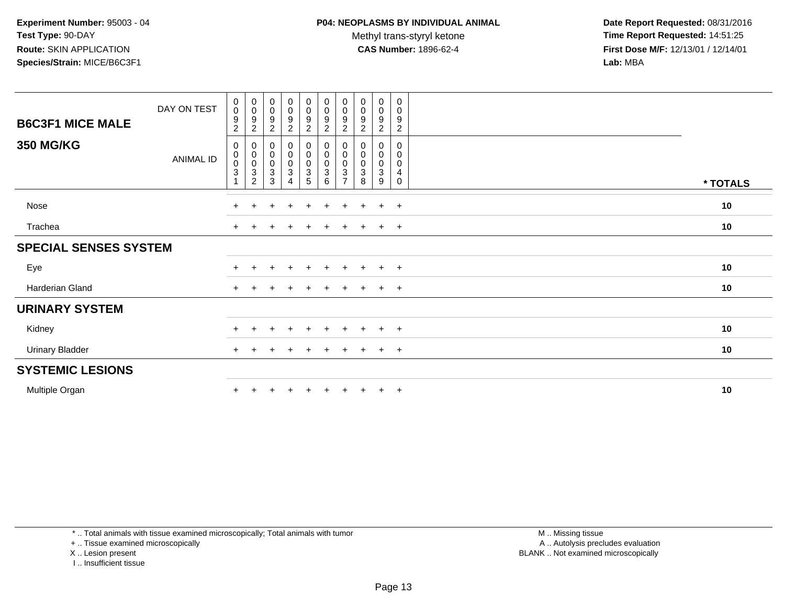**Date Report Requested:** 08/31/2016 **Time Report Requested:** 14:51:25 **First Dose M/F:** 12/13/01 / 12/14/01<br>**Lab:** MBA **Lab:** MBA

| <b>B6C3F1 MICE MALE</b>      | DAY ON TEST      | 0<br>$\mathbf 0$<br>$\boldsymbol{9}$<br>$\sqrt{2}$ | $\mathbf 0$<br>$\pmb{0}$<br>$\boldsymbol{9}$<br>$\overline{c}$                     | $\pmb{0}$<br>$\pmb{0}$<br>9<br>$\overline{c}$            | $\begin{smallmatrix}0\0\0\end{smallmatrix}$<br>9<br>$\overline{2}$ | $_0^0$<br>9<br>$\overline{2}$ | $_{\rm 0}^{\rm 0}$<br>$\boldsymbol{9}$<br>$\overline{2}$ | $_{\rm 0}^{\rm 0}$<br>9<br>$\overline{c}$  | $\pmb{0}$<br>$\pmb{0}$<br>9<br>$\overline{c}$ | $\mathbf 0$<br>$\mathsf{O}\xspace$<br>9<br>$\overline{c}$ | 0<br>0<br>9<br>$\overline{2}$   |          |
|------------------------------|------------------|----------------------------------------------------|------------------------------------------------------------------------------------|----------------------------------------------------------|--------------------------------------------------------------------|-------------------------------|----------------------------------------------------------|--------------------------------------------|-----------------------------------------------|-----------------------------------------------------------|---------------------------------|----------|
| <b>350 MG/KG</b>             | <b>ANIMAL ID</b> | 0<br>$\pmb{0}$<br>$_{3}^{\rm 0}$                   | $\pmb{0}$<br>$\pmb{0}$<br>$\pmb{0}$<br>$\ensuremath{\mathsf{3}}$<br>$\overline{2}$ | $\pmb{0}$<br>$\mathbf 0$<br>$\pmb{0}$<br>$\sqrt{3}$<br>3 | $_{\rm 0}^{\rm 0}$<br>$_{3}^{\rm 0}$<br>4                          | 0<br>0<br>0<br>$\frac{3}{5}$  | $\pmb{0}$<br>$\pmb{0}$<br>$\frac{0}{3}$                  | 0<br>$\pmb{0}$<br>0<br>3<br>$\overline{7}$ | 0<br>$\pmb{0}$<br>$\boldsymbol{0}$<br>3<br>8  | 0<br>$\pmb{0}$<br>$\pmb{0}$<br>$\mathbf{3}$<br>9          | 0<br>0<br>0<br>4<br>$\mathbf 0$ | * TOTALS |
| Nose                         |                  | $+$                                                | $\pm$                                                                              | $\div$                                                   | $\div$                                                             | $\ddot{}$                     | $\pm$                                                    | $\pm$                                      | $\pm$                                         | $+$                                                       | $+$                             | 10       |
| Trachea                      |                  |                                                    |                                                                                    |                                                          | $\div$                                                             | $\pm$                         |                                                          |                                            |                                               | $\pm$                                                     | $+$                             | 10       |
| <b>SPECIAL SENSES SYSTEM</b> |                  |                                                    |                                                                                    |                                                          |                                                                    |                               |                                                          |                                            |                                               |                                                           |                                 |          |
| Eye                          |                  |                                                    |                                                                                    |                                                          | $\ddot{}$                                                          | $\ddot{}$                     | $+$                                                      | $\pm$                                      | $+$                                           | $+$                                                       | $+$                             | 10       |
| Harderian Gland              |                  | $+$                                                |                                                                                    |                                                          | $\div$                                                             | $\div$                        | $\div$                                                   | $\div$                                     |                                               | $+$                                                       | $+$                             | 10       |
| <b>URINARY SYSTEM</b>        |                  |                                                    |                                                                                    |                                                          |                                                                    |                               |                                                          |                                            |                                               |                                                           |                                 |          |
| Kidney                       |                  |                                                    |                                                                                    |                                                          | $\div$                                                             | $\pm$                         | $\div$                                                   | $\div$                                     |                                               | $\ddot{}$                                                 | $+$                             | 10       |
| <b>Urinary Bladder</b>       |                  |                                                    |                                                                                    |                                                          |                                                                    | $\pm$                         |                                                          |                                            |                                               | $\pm$                                                     | $+$                             | 10       |
| <b>SYSTEMIC LESIONS</b>      |                  |                                                    |                                                                                    |                                                          |                                                                    |                               |                                                          |                                            |                                               |                                                           |                                 |          |
| Multiple Organ               |                  |                                                    |                                                                                    |                                                          |                                                                    |                               |                                                          |                                            |                                               | $\ddot{}$                                                 | $+$                             | 10       |

\* .. Total animals with tissue examined microscopically; Total animals with tumor

+ .. Tissue examined microscopically

X .. Lesion present

I .. Insufficient tissue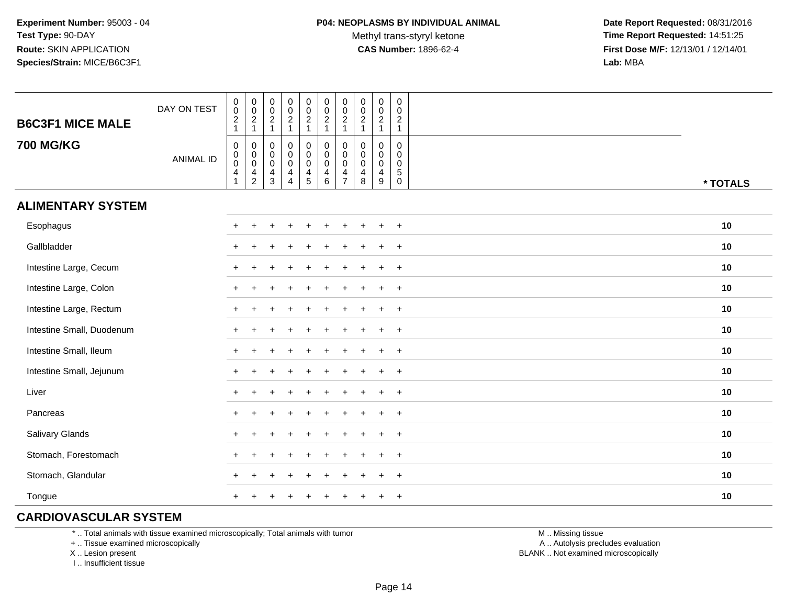**Date Report Requested:** 08/31/2016 **Time Report Requested:** 14:51:25 **First Dose M/F:** 12/13/01 / 12/14/01<br>**Lab:** MBA **Lab:** MBA

| <b>B6C3F1 MICE MALE</b>   | DAY ON TEST      | $\begin{smallmatrix} 0\\0 \end{smallmatrix}$<br>$\frac{2}{1}$ | $\begin{smallmatrix} 0\\0 \end{smallmatrix}$<br>$\frac{2}{1}$ | $\begin{matrix} 0 \\ 0 \\ 2 \\ 1 \end{matrix}$                  | $\begin{array}{c} 0 \\ 0 \\ 2 \\ 1 \end{array}$                                   | $\begin{smallmatrix} 0\\0 \end{smallmatrix}$<br>$\frac{2}{1}$                | $\pmb{0}$<br>$\pmb{0}$<br>$\sqrt{2}$<br>$\mathbf{1}$ | $\mathsf 0$<br>$\mathbf 0$<br>$\overline{2}$<br>$\overline{1}$                | $\begin{array}{c} 0 \\ 0 \\ 2 \\ 1 \end{array}$            | $\begin{smallmatrix}0\0\0\end{smallmatrix}$<br>$\frac{2}{1}$   | $\pmb{0}$<br>$\mathbf 0$<br>$\overline{c}$<br>$\mathbf{1}$   |          |
|---------------------------|------------------|---------------------------------------------------------------|---------------------------------------------------------------|-----------------------------------------------------------------|-----------------------------------------------------------------------------------|------------------------------------------------------------------------------|------------------------------------------------------|-------------------------------------------------------------------------------|------------------------------------------------------------|----------------------------------------------------------------|--------------------------------------------------------------|----------|
| <b>700 MG/KG</b>          | <b>ANIMAL ID</b> | $\mathbf 0$<br>$\mathbf 0$<br>$\mathbf 0$<br>4                | $\boldsymbol{0}$<br>$_{\rm 0}^{\rm 0}$<br>$\frac{4}{2}$       | $\mathbf 0$<br>$\overline{0}$<br>$\overline{4}$<br>$\mathbf{3}$ | $\begin{smallmatrix}0\\0\\0\end{smallmatrix}$<br>$\overline{4}$<br>$\overline{4}$ | $\boldsymbol{0}$<br>$\pmb{0}$<br>$\mathbf 0$<br>$\overline{4}$<br>$\sqrt{5}$ | 0<br>$\mathbf 0$<br>$\mathbf 0$<br>4<br>6            | $\mathbf 0$<br>$\mathbf 0$<br>$\mathbf 0$<br>$\overline{4}$<br>$\overline{7}$ | 0<br>$\begin{smallmatrix}0\0\0\end{smallmatrix}$<br>4<br>8 | $\mathbf 0$<br>$\pmb{0}$<br>$\mathbf 0$<br>$\overline{4}$<br>9 | 0<br>$\mathbf 0$<br>$\mathbf 0$<br>$\sqrt{5}$<br>$\mathbf 0$ | * TOTALS |
| <b>ALIMENTARY SYSTEM</b>  |                  |                                                               |                                                               |                                                                 |                                                                                   |                                                                              |                                                      |                                                                               |                                                            |                                                                |                                                              |          |
| Esophagus                 |                  | $\ddot{}$                                                     |                                                               |                                                                 |                                                                                   |                                                                              |                                                      |                                                                               |                                                            | $\div$                                                         | $\overline{+}$                                               | 10       |
| Gallbladder               |                  | $\pm$                                                         |                                                               |                                                                 |                                                                                   |                                                                              |                                                      |                                                                               |                                                            |                                                                | $\overline{+}$                                               | 10       |
| Intestine Large, Cecum    |                  | $\pm$                                                         |                                                               |                                                                 |                                                                                   |                                                                              |                                                      |                                                                               |                                                            |                                                                | $\overline{+}$                                               | 10       |
| Intestine Large, Colon    |                  | ÷                                                             |                                                               |                                                                 |                                                                                   |                                                                              |                                                      |                                                                               |                                                            |                                                                | $\ddot{}$                                                    | $10$     |
| Intestine Large, Rectum   |                  |                                                               |                                                               |                                                                 |                                                                                   |                                                                              |                                                      |                                                                               |                                                            |                                                                | $\overline{+}$                                               | 10       |
| Intestine Small, Duodenum |                  | $\ddot{}$                                                     |                                                               |                                                                 |                                                                                   |                                                                              |                                                      |                                                                               |                                                            | $\ddot{}$                                                      | $+$                                                          | 10       |
| Intestine Small, Ileum    |                  |                                                               |                                                               |                                                                 |                                                                                   |                                                                              |                                                      |                                                                               |                                                            | $\pm$                                                          | $+$                                                          | 10       |
| Intestine Small, Jejunum  |                  | $\ddot{}$                                                     |                                                               |                                                                 |                                                                                   |                                                                              |                                                      |                                                                               |                                                            | $\ddot{}$                                                      | $+$                                                          | 10       |
| Liver                     |                  | $\ddot{}$                                                     |                                                               |                                                                 |                                                                                   |                                                                              |                                                      |                                                                               |                                                            | $\pm$                                                          | $\overline{+}$                                               | 10       |
| Pancreas                  |                  | $+$                                                           |                                                               |                                                                 |                                                                                   |                                                                              |                                                      |                                                                               |                                                            | $\ddot{}$                                                      | $\overline{+}$                                               | 10       |
| Salivary Glands           |                  | $\ddot{}$                                                     |                                                               |                                                                 |                                                                                   |                                                                              |                                                      |                                                                               |                                                            | $\pm$                                                          | $\overline{+}$                                               | 10       |
| Stomach, Forestomach      |                  | $\div$                                                        |                                                               |                                                                 |                                                                                   |                                                                              |                                                      |                                                                               |                                                            |                                                                | $\ddot{}$                                                    | 10       |
| Stomach, Glandular        |                  | ÷                                                             |                                                               |                                                                 |                                                                                   |                                                                              |                                                      |                                                                               |                                                            |                                                                | $\ddot{}$                                                    | 10       |
| Tongue                    |                  | $\ddot{}$                                                     |                                                               |                                                                 |                                                                                   |                                                                              |                                                      |                                                                               |                                                            |                                                                | $\overline{+}$                                               | 10       |

### **CARDIOVASCULAR SYSTEM**

\* .. Total animals with tissue examined microscopically; Total animals with tumor

+ .. Tissue examined microscopically

X .. Lesion present

I .. Insufficient tissue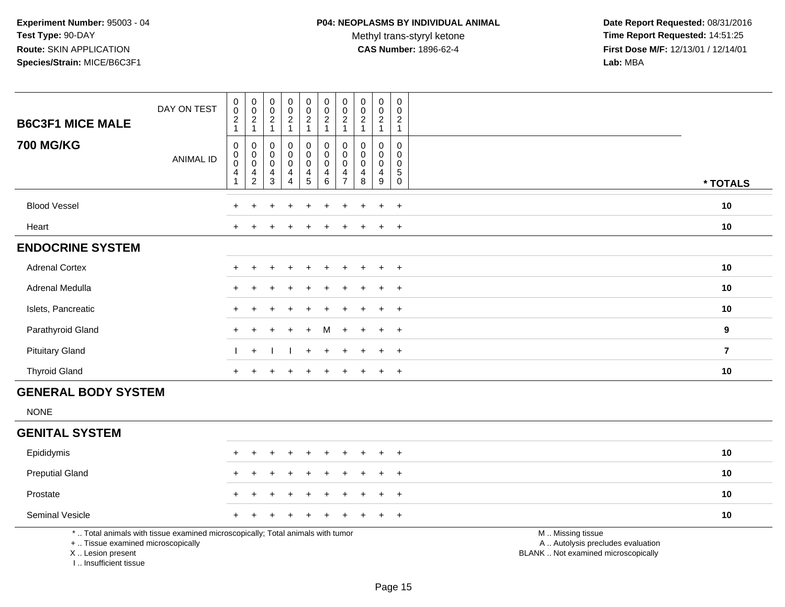Methyl trans-styryl ketone<br>CAS Number: 1896-62-4

| <b>B6C3F1 MICE MALE</b>                                                          | DAY ON TEST                                                                     | $\pmb{0}$<br>$\pmb{0}$<br>$\boldsymbol{2}$<br>$\mathbf{1}$                | $\pmb{0}$<br>$\pmb{0}$<br>$\overline{2}$<br>$\mathbf{1}$ | $\pmb{0}$<br>$\mathbf 0$<br>$\overline{c}$<br>$\mathbf{1}$ | $\pmb{0}$<br>$\begin{smallmatrix} 0\\2 \end{smallmatrix}$<br>$\mathbf{1}$ | $\pmb{0}$<br>$\pmb{0}$<br>$\overline{2}$<br>$\mathbf{1}$ | $\pmb{0}$<br>$\pmb{0}$<br>$\sqrt{2}$<br>$\mathbf{1}$                       | $\pmb{0}$<br>$\mathbf 0$<br>$\overline{2}$<br>$\mathbf{1}$               | $\pmb{0}$<br>$\pmb{0}$<br>$\overline{c}$<br>$\mathbf{1}$ | $\pmb{0}$<br>$\mathbf 0$<br>$\overline{2}$<br>$\mathbf{1}$                      | $\pmb{0}$<br>$\mathbf 0$<br>$\overline{2}$<br>$\mathbf{1}$       |                                                                                               |                |
|----------------------------------------------------------------------------------|---------------------------------------------------------------------------------|---------------------------------------------------------------------------|----------------------------------------------------------|------------------------------------------------------------|---------------------------------------------------------------------------|----------------------------------------------------------|----------------------------------------------------------------------------|--------------------------------------------------------------------------|----------------------------------------------------------|---------------------------------------------------------------------------------|------------------------------------------------------------------|-----------------------------------------------------------------------------------------------|----------------|
| <b>700 MG/KG</b>                                                                 | <b>ANIMAL ID</b>                                                                | $\pmb{0}$<br>$\mathbf 0$<br>$\mathbf 0$<br>$\overline{4}$<br>$\mathbf{1}$ | 0<br>$\mathbf 0$<br>$\pmb{0}$<br>4<br>$\overline{c}$     | $\mathbf 0$<br>$\mathbf 0$<br>$\pmb{0}$<br>4<br>3          | 0<br>0<br>$\pmb{0}$<br>4<br>$\overline{4}$                                | 0<br>$\mathbf 0$<br>$\mathbf 0$<br>$\frac{4}{5}$         | $\pmb{0}$<br>$\mathbf 0$<br>$\pmb{0}$<br>$\overline{4}$<br>$6\phantom{1}6$ | $\mathbf 0$<br>$\Omega$<br>$\pmb{0}$<br>$\overline{4}$<br>$\overline{7}$ | $\mathbf 0$<br>$\Omega$<br>$\mathsf{O}\xspace$<br>4<br>8 | $\mathbf 0$<br>$\mathbf 0$<br>$\mathbf 0$<br>$\overline{4}$<br>$\boldsymbol{9}$ | 0<br>$\Omega$<br>$\mathbf 0$<br>$\overline{5}$<br>$\overline{0}$ |                                                                                               | * TOTALS       |
| <b>Blood Vessel</b>                                                              |                                                                                 |                                                                           |                                                          |                                                            |                                                                           |                                                          |                                                                            |                                                                          |                                                          |                                                                                 | $+$                                                              |                                                                                               | 10             |
| Heart                                                                            |                                                                                 |                                                                           |                                                          |                                                            |                                                                           |                                                          |                                                                            |                                                                          |                                                          | ÷                                                                               | $+$                                                              |                                                                                               | 10             |
| <b>ENDOCRINE SYSTEM</b>                                                          |                                                                                 |                                                                           |                                                          |                                                            |                                                                           |                                                          |                                                                            |                                                                          |                                                          |                                                                                 |                                                                  |                                                                                               |                |
| <b>Adrenal Cortex</b>                                                            |                                                                                 |                                                                           |                                                          |                                                            |                                                                           |                                                          |                                                                            |                                                                          |                                                          |                                                                                 | $+$                                                              |                                                                                               | 10             |
| Adrenal Medulla                                                                  |                                                                                 |                                                                           |                                                          |                                                            |                                                                           |                                                          |                                                                            |                                                                          |                                                          | $\ddot{}$                                                                       | $+$                                                              |                                                                                               | 10             |
| Islets, Pancreatic                                                               |                                                                                 |                                                                           |                                                          |                                                            |                                                                           |                                                          |                                                                            |                                                                          |                                                          |                                                                                 | $\overline{+}$                                                   |                                                                                               | 10             |
| Parathyroid Gland                                                                |                                                                                 |                                                                           |                                                          |                                                            |                                                                           |                                                          | м                                                                          |                                                                          |                                                          | $\ddot{}$                                                                       | $\ddot{}$                                                        |                                                                                               | 9              |
| <b>Pituitary Gland</b>                                                           |                                                                                 |                                                                           | $\ddot{}$                                                |                                                            |                                                                           | ÷                                                        |                                                                            |                                                                          |                                                          | $\div$                                                                          | $+$                                                              |                                                                                               | $\overline{7}$ |
| <b>Thyroid Gland</b>                                                             |                                                                                 | $\pm$                                                                     | ÷                                                        |                                                            |                                                                           |                                                          |                                                                            | ÷                                                                        |                                                          | $\ddot{}$                                                                       | $+$                                                              |                                                                                               | 10             |
| <b>GENERAL BODY SYSTEM</b>                                                       |                                                                                 |                                                                           |                                                          |                                                            |                                                                           |                                                          |                                                                            |                                                                          |                                                          |                                                                                 |                                                                  |                                                                                               |                |
| <b>NONE</b>                                                                      |                                                                                 |                                                                           |                                                          |                                                            |                                                                           |                                                          |                                                                            |                                                                          |                                                          |                                                                                 |                                                                  |                                                                                               |                |
| <b>GENITAL SYSTEM</b>                                                            |                                                                                 |                                                                           |                                                          |                                                            |                                                                           |                                                          |                                                                            |                                                                          |                                                          |                                                                                 |                                                                  |                                                                                               |                |
| Epididymis                                                                       |                                                                                 |                                                                           | ÷                                                        |                                                            | $\ddot{}$                                                                 | $\ddot{}$                                                |                                                                            |                                                                          |                                                          | $\ddot{}$                                                                       | $+$                                                              |                                                                                               | 10             |
| <b>Preputial Gland</b>                                                           |                                                                                 |                                                                           |                                                          |                                                            |                                                                           |                                                          |                                                                            |                                                                          |                                                          |                                                                                 | $\ddot{}$                                                        |                                                                                               | 10             |
| Prostate                                                                         |                                                                                 |                                                                           |                                                          |                                                            |                                                                           |                                                          |                                                                            |                                                                          |                                                          |                                                                                 | $\ddot{}$                                                        |                                                                                               | 10             |
| Seminal Vesicle                                                                  |                                                                                 |                                                                           |                                                          |                                                            |                                                                           |                                                          |                                                                            |                                                                          |                                                          |                                                                                 | $+$                                                              |                                                                                               | 10             |
| +  Tissue examined microscopically<br>X  Lesion present<br>I Insufficient tissue | *  Total animals with tissue examined microscopically; Total animals with tumor |                                                                           |                                                          |                                                            |                                                                           |                                                          |                                                                            |                                                                          |                                                          |                                                                                 |                                                                  | M  Missing tissue<br>A  Autolysis precludes evaluation<br>BLANK  Not examined microscopically |                |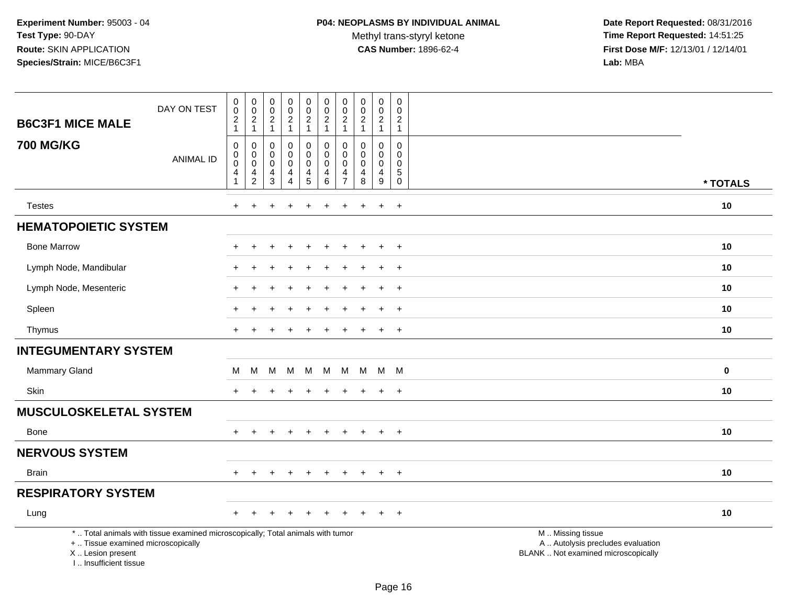| <b>B6C3F1 MICE MALE</b>                                                            | DAY ON TEST                                                                     | $\mathbf 0$<br>$\pmb{0}$<br>$\overline{c}$<br>$\mathbf{1}$ | $\boldsymbol{0}$<br>$\pmb{0}$<br>$\overline{c}$<br>$\mathbf{1}$ | $\pmb{0}$<br>$\mathbf 0$<br>$\frac{2}{1}$                                        | $\pmb{0}$<br>$\frac{0}{2}$<br>$\mathbf{1}$                                         | $\pmb{0}$<br>$\pmb{0}$<br>$\boldsymbol{2}$<br>$\overline{1}$ | $\pmb{0}$<br>$\mathbf 0$<br>$\begin{array}{c} 2 \\ 1 \end{array}$             | $\pmb{0}$<br>$\mathbf 0$<br>$\overline{2}$<br>$\mathbf{1}$          | $\pmb{0}$<br>$\mathbf 0$<br>$\boldsymbol{2}$<br>$\mathbf{1}$ | $\pmb{0}$<br>$\pmb{0}$<br>$\overline{c}$<br>$\mathbf{1}$                                | $\pmb{0}$<br>$\mathbf 0$<br>$\boldsymbol{2}$<br>$\mathbf{1}$           |                                                                                               |          |
|------------------------------------------------------------------------------------|---------------------------------------------------------------------------------|------------------------------------------------------------|-----------------------------------------------------------------|----------------------------------------------------------------------------------|------------------------------------------------------------------------------------|--------------------------------------------------------------|-------------------------------------------------------------------------------|---------------------------------------------------------------------|--------------------------------------------------------------|-----------------------------------------------------------------------------------------|------------------------------------------------------------------------|-----------------------------------------------------------------------------------------------|----------|
| <b>700 MG/KG</b>                                                                   | <b>ANIMAL ID</b>                                                                | $\mathbf 0$<br>0<br>$\mathbf 0$<br>4<br>$\mathbf{1}$       | 0<br>$\pmb{0}$<br>$\pmb{0}$<br>$\frac{4}{2}$                    | 0<br>$\pmb{0}$<br>$\mathsf{O}\xspace$<br>$\overline{\mathbf{4}}$<br>$\mathbf{3}$ | $\mathbf 0$<br>$\pmb{0}$<br>$\pmb{0}$<br>$\overline{\mathbf{4}}$<br>$\overline{4}$ | 0<br>$\mathbf 0$<br>$\mathbf 0$<br>4<br>$\sqrt{5}$           | $\mathbf 0$<br>$\pmb{0}$<br>$\mathbf 0$<br>$\overline{\mathbf{4}}$<br>$\,6\,$ | 0<br>$\mathbf 0$<br>$\mathbf 0$<br>$\overline{4}$<br>$\overline{7}$ | 0<br>$\Omega$<br>$\mathbf 0$<br>$\overline{4}$<br>8          | $\mathbf 0$<br>$\mathbf 0$<br>$\mathsf{O}\xspace$<br>$\overline{4}$<br>$\boldsymbol{9}$ | $\mathbf 0$<br>$\mathbf 0$<br>$\mathbf 0$<br>$\sqrt{5}$<br>$\mathbf 0$ |                                                                                               | * TOTALS |
| <b>Testes</b>                                                                      |                                                                                 | $\ddot{}$                                                  | $\ddot{}$                                                       |                                                                                  |                                                                                    | $\ddot{}$                                                    | $\ddot{}$                                                                     | $\ddot{}$                                                           | $\pm$                                                        | $\ddot{}$                                                                               | $+$                                                                    |                                                                                               | 10       |
| <b>HEMATOPOIETIC SYSTEM</b>                                                        |                                                                                 |                                                            |                                                                 |                                                                                  |                                                                                    |                                                              |                                                                               |                                                                     |                                                              |                                                                                         |                                                                        |                                                                                               |          |
|                                                                                    |                                                                                 |                                                            |                                                                 |                                                                                  |                                                                                    |                                                              |                                                                               |                                                                     |                                                              |                                                                                         |                                                                        |                                                                                               |          |
| <b>Bone Marrow</b>                                                                 |                                                                                 |                                                            |                                                                 |                                                                                  |                                                                                    |                                                              |                                                                               |                                                                     |                                                              | $\ddot{}$                                                                               | $+$                                                                    |                                                                                               | 10       |
| Lymph Node, Mandibular                                                             |                                                                                 |                                                            |                                                                 |                                                                                  |                                                                                    |                                                              |                                                                               |                                                                     |                                                              | $\div$                                                                                  | $^{+}$                                                                 |                                                                                               | 10       |
| Lymph Node, Mesenteric                                                             |                                                                                 |                                                            |                                                                 |                                                                                  |                                                                                    |                                                              |                                                                               |                                                                     |                                                              | $\ddot{}$                                                                               | $+$                                                                    |                                                                                               | 10       |
| Spleen                                                                             |                                                                                 |                                                            |                                                                 |                                                                                  |                                                                                    |                                                              |                                                                               |                                                                     |                                                              |                                                                                         | $\overline{+}$                                                         |                                                                                               | 10       |
| Thymus                                                                             |                                                                                 |                                                            |                                                                 |                                                                                  |                                                                                    |                                                              |                                                                               |                                                                     |                                                              | $\ddot{}$                                                                               | $+$                                                                    |                                                                                               | 10       |
| <b>INTEGUMENTARY SYSTEM</b>                                                        |                                                                                 |                                                            |                                                                 |                                                                                  |                                                                                    |                                                              |                                                                               |                                                                     |                                                              |                                                                                         |                                                                        |                                                                                               |          |
| Mammary Gland                                                                      |                                                                                 | М                                                          | M                                                               | M                                                                                | м                                                                                  | M                                                            | М                                                                             | M                                                                   | M                                                            | M M                                                                                     |                                                                        |                                                                                               | $\bf{0}$ |
| Skin                                                                               |                                                                                 |                                                            |                                                                 |                                                                                  |                                                                                    |                                                              |                                                                               |                                                                     |                                                              | $\ddot{}$                                                                               | $+$                                                                    |                                                                                               | 10       |
| <b>MUSCULOSKELETAL SYSTEM</b>                                                      |                                                                                 |                                                            |                                                                 |                                                                                  |                                                                                    |                                                              |                                                                               |                                                                     |                                                              |                                                                                         |                                                                        |                                                                                               |          |
| Bone                                                                               |                                                                                 | $+$                                                        | $\pm$                                                           | $\ddot{}$                                                                        | $\ddot{}$                                                                          | $+$                                                          | $\overline{+}$                                                                | $\ddot{}$                                                           | $+$                                                          | $+$                                                                                     | $+$                                                                    |                                                                                               | 10       |
| <b>NERVOUS SYSTEM</b>                                                              |                                                                                 |                                                            |                                                                 |                                                                                  |                                                                                    |                                                              |                                                                               |                                                                     |                                                              |                                                                                         |                                                                        |                                                                                               |          |
| <b>Brain</b>                                                                       |                                                                                 | $+$                                                        | $\ddot{}$                                                       |                                                                                  | $\overline{1}$                                                                     | $\ddot{}$                                                    | $\ddot{}$                                                                     | $\ddot{}$                                                           | $\pm$                                                        | $\ddot{}$                                                                               | $+$                                                                    |                                                                                               | 10       |
| <b>RESPIRATORY SYSTEM</b>                                                          |                                                                                 |                                                            |                                                                 |                                                                                  |                                                                                    |                                                              |                                                                               |                                                                     |                                                              |                                                                                         |                                                                        |                                                                                               |          |
| Lung                                                                               |                                                                                 |                                                            |                                                                 |                                                                                  |                                                                                    |                                                              |                                                                               |                                                                     |                                                              |                                                                                         | $\ddot{}$                                                              |                                                                                               | 10       |
| +  Tissue examined microscopically<br>X  Lesion present<br>I., Insufficient tissue | *  Total animals with tissue examined microscopically; Total animals with tumor |                                                            |                                                                 |                                                                                  |                                                                                    |                                                              |                                                                               |                                                                     |                                                              |                                                                                         |                                                                        | M  Missing tissue<br>A  Autolysis precludes evaluation<br>BLANK  Not examined microscopically |          |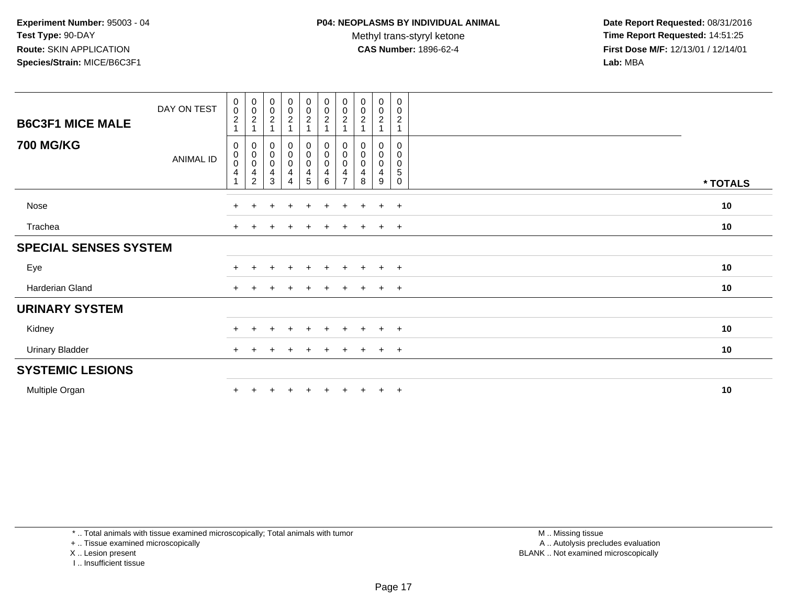**Date Report Requested:** 08/31/2016 **Time Report Requested:** 14:51:25 **First Dose M/F:** 12/13/01 / 12/14/01<br>**Lab:** MBA **Lab:** MBA

| <b>B6C3F1 MICE MALE</b>      | DAY ON TEST      | 0<br>$\mathbf 0$<br>$\overline{c}$            | $\overline{0}$<br>$\mathbf 0$<br>$\sqrt{2}$<br>$\mathbf{1}$                                 | $\pmb{0}$<br>$\pmb{0}$<br>$\boldsymbol{2}$<br>$\mathbf{1}$ | $\begin{smallmatrix}0\0\0\end{smallmatrix}$<br>$\overline{2}$                            | $_0^0$<br>$\overline{c}$ | $\begin{matrix} 0 \\ 0 \\ 2 \end{matrix}$                                    | $\begin{smallmatrix} 0\\0 \end{smallmatrix}$<br>$\overline{c}$<br>$\overline{ }$ | $\mathbf 0$<br>$\pmb{0}$<br>$\overline{c}$ | $\mathbf 0$<br>$\mathsf{O}\xspace$<br>$\overline{c}$ | 0<br>0<br>$\overline{c}$        |          |
|------------------------------|------------------|-----------------------------------------------|---------------------------------------------------------------------------------------------|------------------------------------------------------------|------------------------------------------------------------------------------------------|--------------------------|------------------------------------------------------------------------------|----------------------------------------------------------------------------------|--------------------------------------------|------------------------------------------------------|---------------------------------|----------|
| <b>700 MG/KG</b>             | <b>ANIMAL ID</b> | 0<br>$\pmb{0}$<br>$\pmb{0}$<br>$\overline{4}$ | $\begin{smallmatrix}0\\0\end{smallmatrix}$<br>$\pmb{0}$<br>$\overline{4}$<br>$\overline{c}$ | $\pmb{0}$<br>$\mathbf 0$<br>$\pmb{0}$<br>4<br>3            | $\begin{smallmatrix}0\0\0\end{smallmatrix}$<br>$\pmb{0}$<br>$\overline{\mathbf{4}}$<br>4 | 0<br>0<br>0<br>4<br>5    | $_{\rm 0}^{\rm 0}$<br>$\pmb{0}$<br>$\overline{\mathbf{4}}$<br>$6\phantom{1}$ | 0<br>$\pmb{0}$<br>$\mathbf 0$<br>4<br>$\overline{7}$                             | 0<br>$\pmb{0}$<br>$\pmb{0}$<br>4<br>8      | 0<br>$\pmb{0}$<br>$\mathbf 0$<br>4<br>9              | 0<br>0<br>0<br>5<br>$\mathbf 0$ | * TOTALS |
| Nose                         |                  | $+$                                           | $\pm$                                                                                       | $\div$                                                     | $\pm$                                                                                    | $+$                      | $\pm$                                                                        | $\pm$                                                                            | $\pm$                                      | $+$                                                  | $+$                             | 10       |
| Trachea                      |                  |                                               |                                                                                             |                                                            | $\div$                                                                                   | $\pm$                    |                                                                              |                                                                                  |                                            | $\pm$                                                | $+$                             | 10       |
| <b>SPECIAL SENSES SYSTEM</b> |                  |                                               |                                                                                             |                                                            |                                                                                          |                          |                                                                              |                                                                                  |                                            |                                                      |                                 |          |
| Eye                          |                  |                                               |                                                                                             |                                                            | $\ddot{}$                                                                                | $\ddot{}$                | $+$                                                                          | $\pm$                                                                            | $+$                                        | $+$                                                  | $+$                             | 10       |
| Harderian Gland              |                  | $+$                                           |                                                                                             |                                                            | $\div$                                                                                   | $\ddot{}$                | $\div$                                                                       | $\pm$                                                                            |                                            | $+$                                                  | $+$                             | 10       |
| <b>URINARY SYSTEM</b>        |                  |                                               |                                                                                             |                                                            |                                                                                          |                          |                                                                              |                                                                                  |                                            |                                                      |                                 |          |
| Kidney                       |                  |                                               |                                                                                             |                                                            | $\div$                                                                                   | $\pm$                    | $\div$                                                                       | $\div$                                                                           |                                            | $\ddot{}$                                            | $+$                             | 10       |
| <b>Urinary Bladder</b>       |                  |                                               |                                                                                             |                                                            |                                                                                          | $\pm$                    |                                                                              |                                                                                  |                                            | $\pm$                                                | $+$                             | 10       |
| <b>SYSTEMIC LESIONS</b>      |                  |                                               |                                                                                             |                                                            |                                                                                          |                          |                                                                              |                                                                                  |                                            |                                                      |                                 |          |
| Multiple Organ               |                  |                                               |                                                                                             |                                                            |                                                                                          |                          |                                                                              |                                                                                  |                                            | $+$                                                  | $+$                             | 10       |

\* .. Total animals with tissue examined microscopically; Total animals with tumor

+ .. Tissue examined microscopically

X .. Lesion present

I .. Insufficient tissue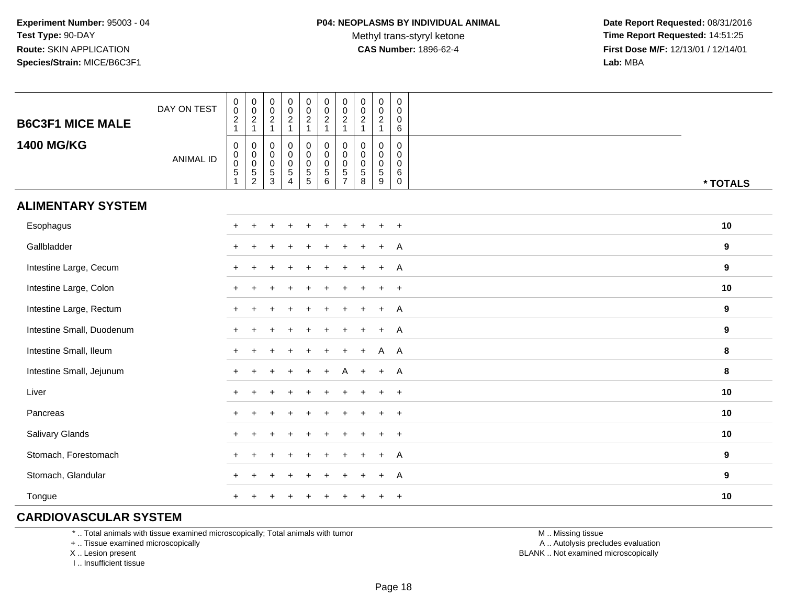**Date Report Requested:** 08/31/2016 **Time Report Requested:** 14:51:25 **First Dose M/F:** 12/13/01 / 12/14/01<br>**Lab:** MBA **Lab:** MBA

| <b>B6C3F1 MICE MALE</b>   | DAY ON TEST      | $\begin{smallmatrix} 0\\0 \end{smallmatrix}$<br>$\frac{2}{1}$ | $\begin{smallmatrix} 0\\0 \end{smallmatrix}$<br>$\frac{2}{1}$ | $\begin{matrix} 0 \\ 0 \\ 2 \\ 1 \end{matrix}$      | $\begin{array}{c} 0 \\ 0 \\ 2 \\ 1 \end{array}$                        | $\begin{smallmatrix} 0\\0 \end{smallmatrix}$<br>$\frac{2}{1}$                    | $\pmb{0}$<br>$\pmb{0}$<br>$\sqrt{2}$<br>$\mathbf{1}$ | $\mathsf 0$<br>$\mathbf 0$<br>$\sqrt{2}$<br>$\mathbf{1}$         | $\begin{smallmatrix} 0\\0 \end{smallmatrix}$<br>$\frac{2}{1}$           | $\pmb{0}$<br>$\mathbf 0$<br>$\frac{2}{1}$                    | $\pmb{0}$<br>$\mathbf 0$<br>0<br>6                  |          |
|---------------------------|------------------|---------------------------------------------------------------|---------------------------------------------------------------|-----------------------------------------------------|------------------------------------------------------------------------|----------------------------------------------------------------------------------|------------------------------------------------------|------------------------------------------------------------------|-------------------------------------------------------------------------|--------------------------------------------------------------|-----------------------------------------------------|----------|
| <b>1400 MG/KG</b>         | <b>ANIMAL ID</b> | $\mathbf 0$<br>$\mathbf 0$<br>$\mathbf 0$<br>5                | 0<br>$_{\rm 0}^{\rm 0}$<br>$\frac{5}{2}$                      | $\mathbf 0$<br>$\overline{0}$<br>0<br>$\frac{5}{3}$ | $\mathbf 0$<br>$\overline{0}$<br>0<br>$\overline{5}$<br>$\overline{4}$ | $\pmb{0}$<br>$\mathsf 0$<br>$\mathbf 0$<br>$\begin{array}{c} 5 \\ 5 \end{array}$ | 0<br>$\mathbf 0$<br>$\mathbf 0$<br>5<br>6            | $\mathbf 0$<br>$\mathbf 0$<br>$\mathbf 0$<br>5<br>$\overline{7}$ | 0<br>$\begin{smallmatrix}0\0\0\end{smallmatrix}$<br>$\overline{5}$<br>8 | $\mathbf 0$<br>$\mathbf 0$<br>$\mathbf 0$<br>$\sqrt{5}$<br>9 | 0<br>$\mathbf 0$<br>$\mathbf 0$<br>6<br>$\mathbf 0$ | * TOTALS |
| <b>ALIMENTARY SYSTEM</b>  |                  |                                                               |                                                               |                                                     |                                                                        |                                                                                  |                                                      |                                                                  |                                                                         |                                                              |                                                     |          |
| Esophagus                 |                  | $\ddot{}$                                                     |                                                               |                                                     |                                                                        |                                                                                  |                                                      |                                                                  |                                                                         |                                                              | $\overline{+}$                                      | 10       |
| Gallbladder               |                  | $\div$                                                        |                                                               |                                                     |                                                                        |                                                                                  |                                                      |                                                                  |                                                                         |                                                              | A                                                   | 9        |
| Intestine Large, Cecum    |                  | ÷                                                             |                                                               |                                                     |                                                                        |                                                                                  |                                                      |                                                                  |                                                                         |                                                              | $\overline{A}$                                      | 9        |
| Intestine Large, Colon    |                  | ÷                                                             |                                                               |                                                     |                                                                        |                                                                                  |                                                      |                                                                  |                                                                         |                                                              | $\ddot{}$                                           | $10$     |
| Intestine Large, Rectum   |                  |                                                               |                                                               |                                                     |                                                                        |                                                                                  |                                                      |                                                                  |                                                                         | $\ddot{}$                                                    | A                                                   | 9        |
| Intestine Small, Duodenum |                  | ÷.                                                            |                                                               |                                                     |                                                                        |                                                                                  |                                                      |                                                                  |                                                                         | $+$                                                          | A                                                   | 9        |
| Intestine Small, Ileum    |                  |                                                               |                                                               |                                                     |                                                                        |                                                                                  |                                                      |                                                                  |                                                                         | A                                                            | A                                                   | 8        |
| Intestine Small, Jejunum  |                  | $\ddot{}$                                                     |                                                               |                                                     |                                                                        |                                                                                  |                                                      |                                                                  | $\ddot{}$                                                               | $+$                                                          | A                                                   | 8        |
| Liver                     |                  | $\ddot{}$                                                     |                                                               |                                                     |                                                                        |                                                                                  |                                                      |                                                                  |                                                                         |                                                              | $\overline{+}$                                      | 10       |
| Pancreas                  |                  | $+$                                                           |                                                               |                                                     |                                                                        |                                                                                  |                                                      |                                                                  |                                                                         |                                                              | $\overline{+}$                                      | 10       |
| Salivary Glands           |                  | $\ddot{}$                                                     |                                                               |                                                     |                                                                        |                                                                                  |                                                      |                                                                  |                                                                         |                                                              | $\overline{+}$                                      | $10$     |
| Stomach, Forestomach      |                  | ÷                                                             |                                                               |                                                     |                                                                        |                                                                                  |                                                      |                                                                  |                                                                         |                                                              | A                                                   | 9        |
| Stomach, Glandular        |                  | ÷                                                             |                                                               |                                                     |                                                                        |                                                                                  |                                                      |                                                                  |                                                                         | $\div$                                                       | A                                                   | 9        |
| Tongue                    |                  |                                                               |                                                               |                                                     |                                                                        |                                                                                  |                                                      |                                                                  |                                                                         |                                                              | $\overline{+}$                                      | 10       |

### **CARDIOVASCULAR SYSTEM**

\* .. Total animals with tissue examined microscopically; Total animals with tumor

+ .. Tissue examined microscopically

X .. Lesion present

I .. Insufficient tissue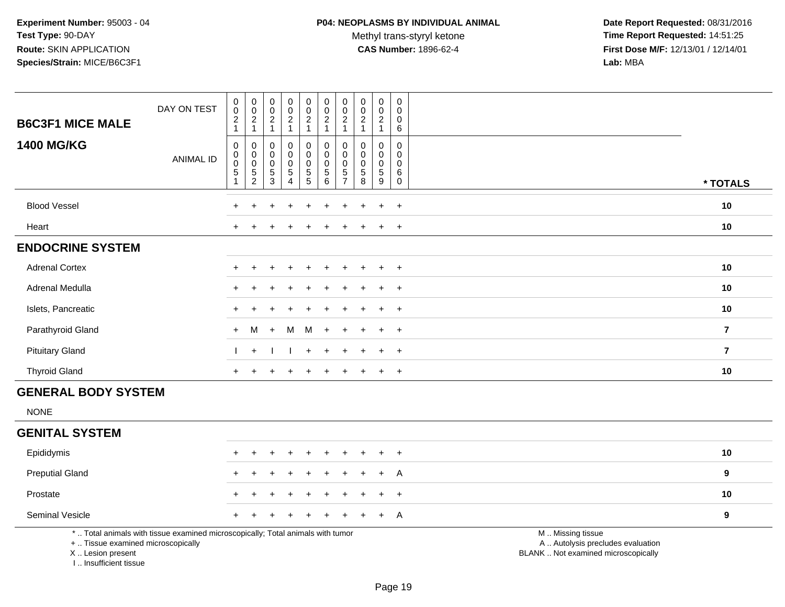Methyl trans-styryl ketone<br>CAS Number: 1896-62-4

| <b>B6C3F1 MICE MALE</b>                                                          | DAY ON TEST                                                                     | $\pmb{0}$<br>$\ddot{\mathbf{0}}$<br>$\overline{c}$<br>1    | $\begin{array}{c} 0 \\ 0 \\ 2 \\ 1 \end{array}$           | 0<br>$\mathbf 0$<br>$\overline{2}$<br>$\mathbf{1}$ | $\pmb{0}$<br>$\pmb{0}$<br>$\boldsymbol{2}$<br>$\mathbf{1}$   | $\pmb{0}$<br>$\pmb{0}$<br>$\overline{c}$<br>$\mathbf{1}$ | $\pmb{0}$<br>$\ddot{\mathbf{0}}$<br>$\boldsymbol{2}$<br>$\mathbf{1}$ | $\pmb{0}$<br>$\ddot{\mathbf{0}}$<br>$\overline{c}$<br>$\mathbf{1}$   | $\mathbf 0$<br>$\mathbf 0$<br>$\overline{2}$<br>$\mathbf{1}$ | $\mathbf 0$<br>$\overline{0}$<br>$\overline{2}$<br>$\mathbf{1}$ | 0<br>$\mathbf 0$<br>$\mathbf 0$<br>$\,6\,$ |                                                                                               |                |
|----------------------------------------------------------------------------------|---------------------------------------------------------------------------------|------------------------------------------------------------|-----------------------------------------------------------|----------------------------------------------------|--------------------------------------------------------------|----------------------------------------------------------|----------------------------------------------------------------------|----------------------------------------------------------------------|--------------------------------------------------------------|-----------------------------------------------------------------|--------------------------------------------|-----------------------------------------------------------------------------------------------|----------------|
| <b>1400 MG/KG</b>                                                                | <b>ANIMAL ID</b>                                                                | $\,0\,$<br>$\pmb{0}$<br>$\ddot{\mathbf{0}}$<br>$\,$ 5 $\,$ | $\pmb{0}$<br>$\pmb{0}$<br>$\overline{0}$<br>$\frac{5}{2}$ | 0<br>0<br>0<br>$\sqrt{5}$<br>3                     | $\mathbf 0$<br>$\mathbf 0$<br>$\mathbf 0$<br>$\sqrt{5}$<br>4 | 0<br>$\pmb{0}$<br>$\pmb{0}$<br>$\frac{5}{5}$             | 0<br>$\pmb{0}$<br>$\pmb{0}$<br>5<br>6                                | $\pmb{0}$<br>$\pmb{0}$<br>$\pmb{0}$<br>$\,$ 5 $\,$<br>$\overline{7}$ | $\mathbf{0}$<br>$\mathbf 0$<br>0<br>$\,$ 5 $\,$<br>8         | $\mathbf 0$<br>$\mathbf 0$<br>$\mathbf 0$<br>$\sqrt{5}$<br>9    | 0<br>0<br>0<br>$\,6\,$<br>$\mathbf 0$      |                                                                                               | * TOTALS       |
| <b>Blood Vessel</b>                                                              |                                                                                 |                                                            |                                                           |                                                    |                                                              |                                                          |                                                                      |                                                                      |                                                              |                                                                 | $+$                                        |                                                                                               | 10             |
| Heart                                                                            |                                                                                 |                                                            |                                                           |                                                    |                                                              |                                                          |                                                                      |                                                                      |                                                              |                                                                 | $+$                                        |                                                                                               | 10             |
| <b>ENDOCRINE SYSTEM</b>                                                          |                                                                                 |                                                            |                                                           |                                                    |                                                              |                                                          |                                                                      |                                                                      |                                                              |                                                                 |                                            |                                                                                               |                |
| <b>Adrenal Cortex</b>                                                            |                                                                                 |                                                            |                                                           |                                                    |                                                              |                                                          |                                                                      |                                                                      |                                                              |                                                                 | $+$                                        |                                                                                               | 10             |
| Adrenal Medulla                                                                  |                                                                                 |                                                            |                                                           |                                                    |                                                              |                                                          |                                                                      |                                                                      |                                                              | $\ddot{}$                                                       | $+$                                        |                                                                                               | 10             |
| Islets, Pancreatic                                                               |                                                                                 |                                                            |                                                           |                                                    |                                                              |                                                          |                                                                      |                                                                      |                                                              |                                                                 | $+$                                        |                                                                                               | 10             |
| Parathyroid Gland                                                                |                                                                                 | $+$                                                        | М                                                         | $+$                                                | M                                                            | M                                                        | $+$                                                                  |                                                                      |                                                              |                                                                 | $+$                                        |                                                                                               | $\overline{7}$ |
| <b>Pituitary Gland</b>                                                           |                                                                                 |                                                            | $+$                                                       |                                                    |                                                              | $\ddot{}$                                                | $\ddot{}$                                                            |                                                                      |                                                              | $+$                                                             | $+$                                        |                                                                                               | $\overline{7}$ |
| <b>Thyroid Gland</b>                                                             |                                                                                 | $+$                                                        | $\div$                                                    |                                                    |                                                              | $\ddot{}$                                                | $\ddot{}$                                                            | $\ddot{}$                                                            |                                                              | $\pm$                                                           | $+$                                        |                                                                                               | 10             |
| <b>GENERAL BODY SYSTEM</b>                                                       |                                                                                 |                                                            |                                                           |                                                    |                                                              |                                                          |                                                                      |                                                                      |                                                              |                                                                 |                                            |                                                                                               |                |
| <b>NONE</b>                                                                      |                                                                                 |                                                            |                                                           |                                                    |                                                              |                                                          |                                                                      |                                                                      |                                                              |                                                                 |                                            |                                                                                               |                |
| <b>GENITAL SYSTEM</b>                                                            |                                                                                 |                                                            |                                                           |                                                    |                                                              |                                                          |                                                                      |                                                                      |                                                              |                                                                 |                                            |                                                                                               |                |
| Epididymis                                                                       |                                                                                 | $+$                                                        | ÷                                                         | +                                                  |                                                              | ÷                                                        |                                                                      | $\ddot{}$                                                            | ÷                                                            | $\pm$                                                           | $+$                                        |                                                                                               | 10             |
| <b>Preputial Gland</b>                                                           |                                                                                 |                                                            |                                                           |                                                    |                                                              |                                                          |                                                                      |                                                                      |                                                              |                                                                 | A                                          |                                                                                               | 9              |
| Prostate                                                                         |                                                                                 |                                                            |                                                           |                                                    |                                                              |                                                          |                                                                      |                                                                      |                                                              |                                                                 | $\overline{+}$                             |                                                                                               | 10             |
| Seminal Vesicle                                                                  |                                                                                 |                                                            |                                                           |                                                    |                                                              |                                                          |                                                                      |                                                                      |                                                              | +                                                               | A                                          |                                                                                               | 9              |
| +  Tissue examined microscopically<br>X  Lesion present<br>I Insufficient tissue | *  Total animals with tissue examined microscopically; Total animals with tumor |                                                            |                                                           |                                                    |                                                              |                                                          |                                                                      |                                                                      |                                                              |                                                                 |                                            | M  Missing tissue<br>A  Autolysis precludes evaluation<br>BLANK  Not examined microscopically |                |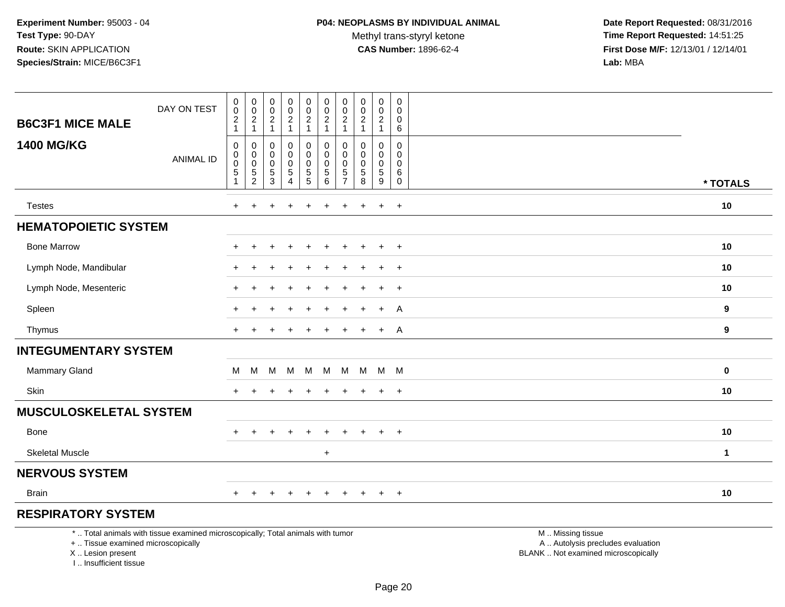Methyl trans-styryl ketone<br>CAS Number: 1896-62-4

| <b>B6C3F1 MICE MALE</b>                                                          | DAY ON TEST                                                                     | $\pmb{0}$<br>$\mathbf 0$<br>$\boldsymbol{2}$<br>$\mathbf{1}$ | $\pmb{0}$<br>$\mathbf 0$<br>$\overline{c}$<br>$\mathbf{1}$ | $\pmb{0}$<br>$\pmb{0}$<br>$\boldsymbol{2}$<br>$\mathbf{1}$ | $\pmb{0}$<br>$\mathbf 0$<br>$\overline{2}$<br>$\mathbf{1}$ | $\pmb{0}$<br>$\mathsf{O}\xspace$<br>$\overline{2}$<br>$\mathbf{1}$ | $\pmb{0}$<br>$\pmb{0}$<br>$\boldsymbol{2}$<br>$\mathbf{1}$ | 0<br>0<br>$\overline{c}$<br>$\mathbf{1}$             | $\pmb{0}$<br>$\mathbf 0$<br>$\overline{c}$<br>$\overline{1}$ | $\pmb{0}$<br>$\pmb{0}$<br>$\overline{2}$<br>$\mathbf{1}$ | $\mathsf 0$<br>$\mathbf 0$<br>0<br>$\,6\,$        |                                                                                               |              |
|----------------------------------------------------------------------------------|---------------------------------------------------------------------------------|--------------------------------------------------------------|------------------------------------------------------------|------------------------------------------------------------|------------------------------------------------------------|--------------------------------------------------------------------|------------------------------------------------------------|------------------------------------------------------|--------------------------------------------------------------|----------------------------------------------------------|---------------------------------------------------|-----------------------------------------------------------------------------------------------|--------------|
| <b>1400 MG/KG</b>                                                                | <b>ANIMAL ID</b>                                                                | $\mathbf 0$<br>$\pmb{0}$<br>$\pmb{0}$<br>$\mathbf 5$         | $\mathbf 0$<br>$\mathbf 0$<br>$\mathsf 0$<br>$\sqrt{5}$    | $\mathbf 0$<br>$\mathbf 0$<br>$\mathbf 0$<br>5             | 0<br>$\pmb{0}$<br>$\mathbf 0$<br>$\overline{5}$            | 0<br>$\mathsf{O}\xspace$<br>$\mathbf 0$<br>$\frac{5}{5}$           | $\mathbf 0$<br>$\pmb{0}$<br>$\mathbf 0$<br>$\,$ 5 $\,$     | $\Omega$<br>$\mathbf 0$<br>$\mathbf 0$<br>$\sqrt{5}$ | $\Omega$<br>$\mathbf 0$<br>$\mathbf 0$<br>$\sqrt{5}$         | $\mathbf 0$<br>0<br>$\mathbf 0$<br>$\overline{5}$        | $\Omega$<br>$\mathbf 0$<br>$\mathbf 0$<br>$\,6\,$ |                                                                                               |              |
|                                                                                  |                                                                                 | 1                                                            | $\overline{c}$                                             | 3                                                          | $\overline{\mathbf{4}}$                                    |                                                                    | $\,6\,$                                                    | $\overline{7}$                                       | 8                                                            | 9                                                        | $\mathbf 0$                                       |                                                                                               | * TOTALS     |
| <b>Testes</b>                                                                    |                                                                                 | $+$                                                          |                                                            |                                                            |                                                            |                                                                    |                                                            | ÷                                                    |                                                              | $\ddot{}$                                                | $+$                                               |                                                                                               | 10           |
| <b>HEMATOPOIETIC SYSTEM</b>                                                      |                                                                                 |                                                              |                                                            |                                                            |                                                            |                                                                    |                                                            |                                                      |                                                              |                                                          |                                                   |                                                                                               |              |
| <b>Bone Marrow</b>                                                               |                                                                                 |                                                              |                                                            |                                                            |                                                            |                                                                    |                                                            |                                                      |                                                              |                                                          | $\ddot{}$                                         |                                                                                               | 10           |
| Lymph Node, Mandibular                                                           |                                                                                 |                                                              |                                                            |                                                            |                                                            |                                                                    |                                                            |                                                      |                                                              |                                                          | $\overline{1}$                                    |                                                                                               | 10           |
| Lymph Node, Mesenteric                                                           |                                                                                 |                                                              |                                                            |                                                            |                                                            |                                                                    |                                                            |                                                      |                                                              | $\ddot{}$                                                | $+$                                               |                                                                                               | 10           |
| Spleen                                                                           |                                                                                 |                                                              |                                                            |                                                            |                                                            |                                                                    |                                                            |                                                      |                                                              | $\ddot{}$                                                | A                                                 |                                                                                               | 9            |
| Thymus                                                                           |                                                                                 |                                                              |                                                            |                                                            |                                                            |                                                                    |                                                            |                                                      |                                                              | $+$                                                      | A                                                 |                                                                                               | 9            |
| <b>INTEGUMENTARY SYSTEM</b>                                                      |                                                                                 |                                                              |                                                            |                                                            |                                                            |                                                                    |                                                            |                                                      |                                                              |                                                          |                                                   |                                                                                               |              |
| <b>Mammary Gland</b>                                                             |                                                                                 | м                                                            | м                                                          | М                                                          | M                                                          | M                                                                  |                                                            | M M                                                  |                                                              | M M M                                                    |                                                   |                                                                                               | $\bf{0}$     |
| Skin                                                                             |                                                                                 | $\ddot{}$                                                    |                                                            |                                                            |                                                            |                                                                    |                                                            |                                                      |                                                              | $\ddot{}$                                                | $+$                                               |                                                                                               | 10           |
| <b>MUSCULOSKELETAL SYSTEM</b>                                                    |                                                                                 |                                                              |                                                            |                                                            |                                                            |                                                                    |                                                            |                                                      |                                                              |                                                          |                                                   |                                                                                               |              |
| Bone                                                                             |                                                                                 | $\ddot{}$                                                    | $\ddot{}$                                                  |                                                            |                                                            |                                                                    |                                                            |                                                      |                                                              | $\ddot{}$                                                | $+$                                               |                                                                                               | 10           |
| <b>Skeletal Muscle</b>                                                           |                                                                                 |                                                              |                                                            |                                                            |                                                            |                                                                    | $+$                                                        |                                                      |                                                              |                                                          |                                                   |                                                                                               | $\mathbf{1}$ |
| <b>NERVOUS SYSTEM</b>                                                            |                                                                                 |                                                              |                                                            |                                                            |                                                            |                                                                    |                                                            |                                                      |                                                              |                                                          |                                                   |                                                                                               |              |
| <b>Brain</b>                                                                     |                                                                                 |                                                              |                                                            |                                                            |                                                            |                                                                    |                                                            |                                                      |                                                              | $\ddot{}$                                                | $+$                                               |                                                                                               | 10           |
| <b>RESPIRATORY SYSTEM</b>                                                        |                                                                                 |                                                              |                                                            |                                                            |                                                            |                                                                    |                                                            |                                                      |                                                              |                                                          |                                                   |                                                                                               |              |
| +  Tissue examined microscopically<br>X  Lesion present<br>I Insufficient tissue | *  Total animals with tissue examined microscopically; Total animals with tumor |                                                              |                                                            |                                                            |                                                            |                                                                    |                                                            |                                                      |                                                              |                                                          |                                                   | M  Missing tissue<br>A  Autolysis precludes evaluation<br>BLANK  Not examined microscopically |              |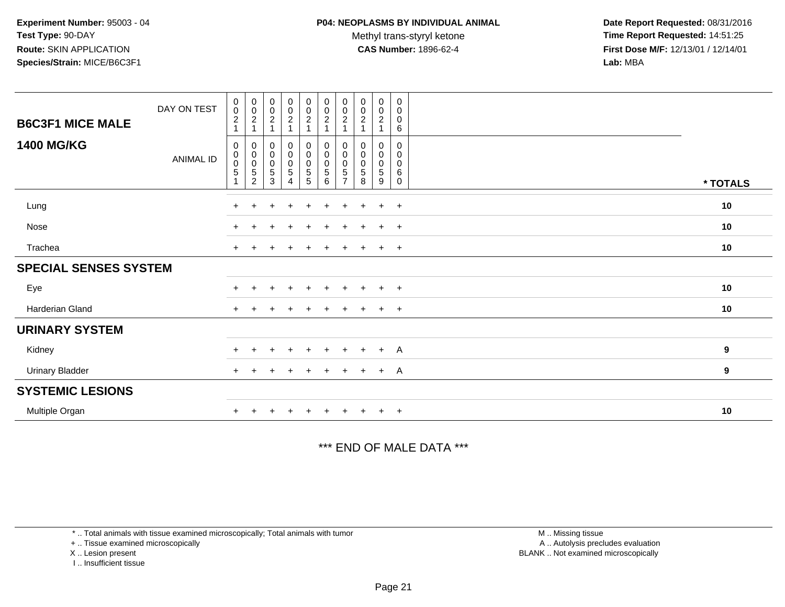Methyl trans-styryl ketone<br>CAS Number: 1896-62-4

 **Date Report Requested:** 08/31/2016 **Time Report Requested:** 14:51:25 **First Dose M/F:** 12/13/01 / 12/14/01<br>**Lab:** MBA **Lab:** MBA

| <b>B6C3F1 MICE MALE</b><br><b>1400 MG/KG</b> | DAY ON TEST<br>ANIMAL ID | 0<br>$\boldsymbol{0}$<br>$\overline{c}$<br>0<br>0<br>0<br>5 | $_{\rm 0}^{\rm 0}$<br>$\overline{c}$<br>0<br>$\pmb{0}$<br>0<br>$\,$ 5 $\,$<br>$\overline{2}$ | $\begin{smallmatrix} 0\\0\\2 \end{smallmatrix}$<br>$\mathbf 0$<br>$\pmb{0}$<br>$\pmb{0}$<br>$\sqrt{5}$<br>3 | $\begin{array}{c} 0 \\ 0 \\ 2 \\ 1 \end{array}$<br>$\begin{smallmatrix} 0\\0 \end{smallmatrix}$<br>$\pmb{0}$<br>$\mathbf 5$<br>4 | $\begin{smallmatrix} 0\\0\\2 \end{smallmatrix}$<br>$\overline{1}$<br>$\pmb{0}$<br>$\pmb{0}$<br>$\pmb{0}$<br>$\,$ 5 $\,$<br>5 | $_{\rm 0}^{\rm 0}$<br>$\overline{c}$<br>$\boldsymbol{0}$<br>$\pmb{0}$<br>$\pmb{0}$<br>5<br>6 | $\begin{smallmatrix} 0\\0 \end{smallmatrix}$<br>$\overline{c}$<br>0<br>0<br>0<br>5 | $\begin{smallmatrix} 0\\0 \end{smallmatrix}$<br>$\boldsymbol{2}$<br>$\mathbf 0$<br>0<br>0<br>5<br>8 | 0<br>$\mathbf 0$<br>$\overline{c}$<br>0<br>0<br>$\mathbf 0$<br>5<br>9 | 0<br>$\mathbf 0$<br>$\mathbf 0$<br>6<br>$\mathbf 0$<br>0<br>0<br>6<br>$\mathbf 0$ | * TOTALS |
|----------------------------------------------|--------------------------|-------------------------------------------------------------|----------------------------------------------------------------------------------------------|-------------------------------------------------------------------------------------------------------------|----------------------------------------------------------------------------------------------------------------------------------|------------------------------------------------------------------------------------------------------------------------------|----------------------------------------------------------------------------------------------|------------------------------------------------------------------------------------|-----------------------------------------------------------------------------------------------------|-----------------------------------------------------------------------|-----------------------------------------------------------------------------------|----------|
| Lung                                         |                          | $+$                                                         | $\pm$                                                                                        |                                                                                                             | $\pm$                                                                                                                            | $\pm$                                                                                                                        | $\ddot{}$                                                                                    | $+$                                                                                | $\div$                                                                                              | $\pm$                                                                 | $+$                                                                               | 10       |
| Nose                                         |                          | $+$                                                         | +                                                                                            | $\div$                                                                                                      | $\overline{+}$                                                                                                                   | $\ddot{}$                                                                                                                    | $+$                                                                                          | $+$                                                                                | $\pm$                                                                                               | $\ddot{}$                                                             | $+$                                                                               | 10       |
| Trachea                                      |                          | $\ddot{}$                                                   |                                                                                              |                                                                                                             |                                                                                                                                  |                                                                                                                              |                                                                                              |                                                                                    |                                                                                                     | $\ddot{}$                                                             | $+$                                                                               | 10       |
| <b>SPECIAL SENSES SYSTEM</b>                 |                          |                                                             |                                                                                              |                                                                                                             |                                                                                                                                  |                                                                                                                              |                                                                                              |                                                                                    |                                                                                                     |                                                                       |                                                                                   |          |
| Eye                                          |                          | $+$                                                         | $+$                                                                                          | $\pm$                                                                                                       | $+$                                                                                                                              | $+$                                                                                                                          | $+$                                                                                          | $+$                                                                                | $+$                                                                                                 | $+$                                                                   | $+$                                                                               | 10       |
| Harderian Gland                              |                          | $\ddot{}$                                                   |                                                                                              |                                                                                                             |                                                                                                                                  |                                                                                                                              | $\div$                                                                                       | ÷                                                                                  |                                                                                                     | $\ddot{}$                                                             | $+$                                                                               | 10       |
| <b>URINARY SYSTEM</b>                        |                          |                                                             |                                                                                              |                                                                                                             |                                                                                                                                  |                                                                                                                              |                                                                                              |                                                                                    |                                                                                                     |                                                                       |                                                                                   |          |
| Kidney                                       |                          | $+$                                                         | $+$                                                                                          | $\ddot{}$                                                                                                   | $+$                                                                                                                              | $+$                                                                                                                          | $+$                                                                                          | $+$                                                                                | $+$                                                                                                 | $+$                                                                   | <sup>A</sup>                                                                      | 9        |
| <b>Urinary Bladder</b>                       |                          | $+$                                                         |                                                                                              |                                                                                                             |                                                                                                                                  |                                                                                                                              | $\ddot{}$                                                                                    | $\ddot{}$                                                                          | $+$                                                                                                 | $+$                                                                   | <sup>A</sup>                                                                      | 9        |
| <b>SYSTEMIC LESIONS</b>                      |                          |                                                             |                                                                                              |                                                                                                             |                                                                                                                                  |                                                                                                                              |                                                                                              |                                                                                    |                                                                                                     |                                                                       |                                                                                   |          |
| Multiple Organ                               |                          |                                                             |                                                                                              |                                                                                                             |                                                                                                                                  |                                                                                                                              |                                                                                              |                                                                                    |                                                                                                     | $\ddot{}$                                                             | $+$                                                                               | 10       |

\*\*\* END OF MALE DATA \*\*\*

\* .. Total animals with tissue examined microscopically; Total animals with tumor

+ .. Tissue examined microscopically

X .. Lesion present

I .. Insufficient tissue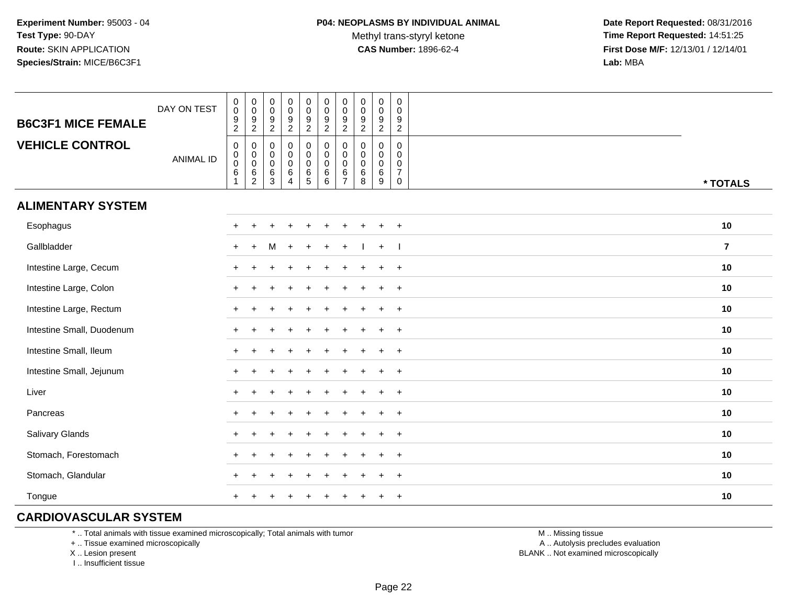Methyl trans-styryl ketone<br>CAS Number: 1896-62-4

 **Date Report Requested:** 08/31/2016 **Time Report Requested:** 14:51:25 **First Dose M/F:** 12/13/01 / 12/14/01<br>**Lab:** MBA **Lab:** MBA

| <b>B6C3F1 MICE FEMALE</b> | DAY ON TEST      | $\begin{smallmatrix} 0\\0 \end{smallmatrix}$<br>$\overline{9}$<br>$\sqrt{2}$ | $\begin{array}{c} 0 \\ 0 \\ 9 \\ 2 \end{array}$    | $\pmb{0}$<br>$\pmb{0}$<br>$\boldsymbol{9}$<br>$\overline{2}$ | $\pmb{0}$<br>$\pmb{0}$<br>$\overline{9}$<br>$\overline{2}$ | $\pmb{0}$<br>$\mathbf 0$<br>$\overline{9}$<br>$\overline{a}$ | $\pmb{0}$<br>$\mathbf 0$<br>$\boldsymbol{9}$<br>$\overline{2}$ | $\pmb{0}$<br>$\pmb{0}$<br>9<br>$\overline{2}$ | $\pmb{0}$<br>$\pmb{0}$<br>$\boldsymbol{9}$<br>$\overline{2}$ | $\pmb{0}$<br>$\pmb{0}$<br>$\overline{9}$<br>$\overline{2}$     | $\pmb{0}$<br>$\mathbf 0$<br>$9\,$<br>$\overline{2}$                     |                |
|---------------------------|------------------|------------------------------------------------------------------------------|----------------------------------------------------|--------------------------------------------------------------|------------------------------------------------------------|--------------------------------------------------------------|----------------------------------------------------------------|-----------------------------------------------|--------------------------------------------------------------|----------------------------------------------------------------|-------------------------------------------------------------------------|----------------|
| <b>VEHICLE CONTROL</b>    | <b>ANIMAL ID</b> | $\pmb{0}$<br>$\pmb{0}$<br>$\frac{0}{6}$                                      | $\mathbf 0$<br>$_{\rm 0}^{\rm 0}$<br>$\frac{6}{2}$ | 0<br>$\pmb{0}$<br>$\mathbf 0$<br>$\,6\,$<br>$\mathbf{3}$     | 0<br>$\pmb{0}$<br>$\mathbf 0$<br>$\,6\,$<br>4              | $\pmb{0}$<br>$\mathsf 0$<br>$\mathsf{O}\xspace$<br>6<br>5    | 0<br>$\mathbf 0$<br>$\mathbf 0$<br>$\,6\,$<br>6                | 0<br>0<br>$\mathsf 0$<br>6<br>$\overline{7}$  | 0<br>0<br>$\mathsf{O}\xspace$<br>$\,6\,$<br>8                | 0<br>$\mathbf 0$<br>$\mathsf{O}\xspace$<br>$6\phantom{a}$<br>9 | $\mathbf 0$<br>$\Omega$<br>$\mathbf 0$<br>$\overline{7}$<br>$\mathbf 0$ | * TOTALS       |
| <b>ALIMENTARY SYSTEM</b>  |                  |                                                                              |                                                    |                                                              |                                                            |                                                              |                                                                |                                               |                                                              |                                                                |                                                                         |                |
| Esophagus                 |                  | $\div$                                                                       |                                                    |                                                              |                                                            |                                                              |                                                                |                                               |                                                              |                                                                | $+$                                                                     | 10             |
| Gallbladder               |                  | $\ddot{}$                                                                    | $+$                                                | M                                                            | $\overline{+}$                                             |                                                              |                                                                |                                               |                                                              | $+$                                                            | $\blacksquare$                                                          | $\overline{7}$ |
| Intestine Large, Cecum    |                  |                                                                              |                                                    |                                                              |                                                            |                                                              |                                                                |                                               |                                                              |                                                                | $\overline{+}$                                                          | 10             |
| Intestine Large, Colon    |                  |                                                                              |                                                    |                                                              |                                                            |                                                              |                                                                |                                               |                                                              |                                                                | $\ddot{}$                                                               | 10             |
| Intestine Large, Rectum   |                  |                                                                              |                                                    |                                                              |                                                            |                                                              |                                                                |                                               |                                                              |                                                                | $+$                                                                     | 10             |
| Intestine Small, Duodenum |                  | ÷                                                                            |                                                    |                                                              |                                                            |                                                              |                                                                |                                               |                                                              | $\ddot{}$                                                      | $+$                                                                     | 10             |
| Intestine Small, Ileum    |                  |                                                                              |                                                    |                                                              |                                                            |                                                              |                                                                |                                               | $\div$                                                       | $\ddot{}$                                                      | $+$                                                                     | 10             |
| Intestine Small, Jejunum  |                  |                                                                              |                                                    |                                                              |                                                            |                                                              |                                                                |                                               |                                                              |                                                                | $+$                                                                     | 10             |
| Liver                     |                  | $+$                                                                          |                                                    |                                                              |                                                            |                                                              |                                                                |                                               |                                                              | $\div$                                                         | $+$                                                                     | 10             |
| Pancreas                  |                  | $+$                                                                          |                                                    |                                                              |                                                            |                                                              |                                                                |                                               |                                                              | $\ddot{}$                                                      | $+$                                                                     | 10             |
| <b>Salivary Glands</b>    |                  |                                                                              |                                                    |                                                              |                                                            |                                                              |                                                                |                                               |                                                              |                                                                | $\overline{+}$                                                          | 10             |
| Stomach, Forestomach      |                  |                                                                              |                                                    |                                                              |                                                            |                                                              |                                                                |                                               |                                                              |                                                                | $\ddot{}$                                                               | 10             |
| Stomach, Glandular        |                  |                                                                              |                                                    |                                                              |                                                            |                                                              |                                                                |                                               |                                                              |                                                                | $\div$                                                                  | 10             |
| Tongue                    |                  |                                                                              |                                                    |                                                              |                                                            |                                                              |                                                                |                                               | $\div$                                                       | $\div$                                                         | $+$                                                                     | 10             |

# **CARDIOVASCULAR SYSTEM**

\* .. Total animals with tissue examined microscopically; Total animals with tumor

+ .. Tissue examined microscopically

X .. Lesion present

I .. Insufficient tissue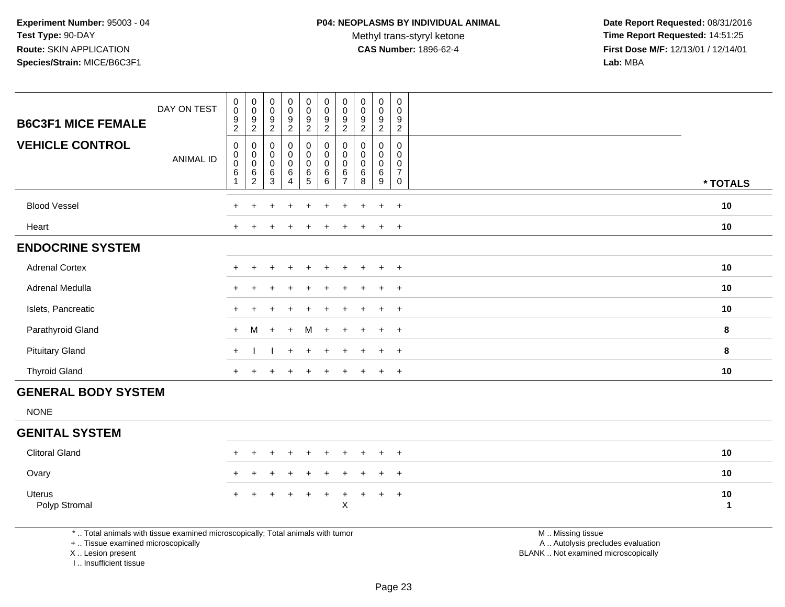Methyl trans-styryl ketone<br>CAS Number: 1896-62-4

 **Date Report Requested:** 08/31/2016 **Time Report Requested:** 14:51:25 **First Dose M/F:** 12/13/01 / 12/14/01<br>**Lab:** MBA **Lab:** MBA

|                            | DAY ON TEST      | 0<br>$\pmb{0}$                                     | $\pmb{0}$<br>$\pmb{0}$                       | 0<br>$\mathbf 0$                            | $\pmb{0}$<br>$\pmb{0}$                                                         | 0<br>$\pmb{0}$                                        | $_{\rm 0}^{\rm 0}$                                                      | $\pmb{0}$<br>$\pmb{0}$                                   | 0<br>$\mathbf 0$                      | $\pmb{0}$<br>$\pmb{0}$                              | 0<br>0                                       |          |
|----------------------------|------------------|----------------------------------------------------|----------------------------------------------|---------------------------------------------|--------------------------------------------------------------------------------|-------------------------------------------------------|-------------------------------------------------------------------------|----------------------------------------------------------|---------------------------------------|-----------------------------------------------------|----------------------------------------------|----------|
| <b>B6C3F1 MICE FEMALE</b>  |                  | $\boldsymbol{9}$<br>$\overline{c}$                 | 9<br>$\overline{c}$                          | $\frac{9}{2}$                               | $\frac{9}{2}$                                                                  | $\frac{9}{2}$                                         | $\frac{9}{2}$                                                           | 9<br>$\sqrt{2}$                                          | $\frac{9}{2}$                         | 9<br>$\overline{2}$                                 | $\frac{9}{2}$                                |          |
| <b>VEHICLE CONTROL</b>     | <b>ANIMAL ID</b> | $\mathbf 0$<br>0<br>0<br>$\,6\,$<br>$\overline{1}$ | 0<br>0<br>$\mathbf 0$<br>6<br>$\overline{c}$ | 0<br>$\pmb{0}$<br>$\pmb{0}$<br>$\,6\,$<br>3 | $\pmb{0}$<br>$\begin{smallmatrix}0\\0\end{smallmatrix}$<br>6<br>$\overline{4}$ | $\mathbf 0$<br>$\mathbf 0$<br>$\pmb{0}$<br>$6\over 5$ | $\pmb{0}$<br>$_{\rm 0}^{\rm 0}$<br>$\begin{matrix} 6 \\ 6 \end{matrix}$ | 0<br>$\mathbf 0$<br>$\pmb{0}$<br>$\,6$<br>$\overline{ }$ | 0<br>$\pmb{0}$<br>$\pmb{0}$<br>6<br>8 | 0<br>0<br>$\begin{matrix} 0 \\ 6 \end{matrix}$<br>9 | 0<br>0<br>0<br>$\overline{\mathcal{I}}$<br>0 | * TOTALS |
| <b>Blood Vessel</b>        |                  | $+$                                                |                                              |                                             | $\div$                                                                         | ÷                                                     |                                                                         |                                                          |                                       | $\overline{+}$                                      | $+$                                          | 10       |
| Heart                      |                  |                                                    |                                              |                                             |                                                                                |                                                       |                                                                         |                                                          |                                       | $\overline{+}$                                      | $+$                                          | 10       |
| <b>ENDOCRINE SYSTEM</b>    |                  |                                                    |                                              |                                             |                                                                                |                                                       |                                                                         |                                                          |                                       |                                                     |                                              |          |
| <b>Adrenal Cortex</b>      |                  |                                                    |                                              |                                             |                                                                                |                                                       |                                                                         |                                                          |                                       | $\ddot{}$                                           | $+$                                          | 10       |
| Adrenal Medulla            |                  |                                                    |                                              |                                             |                                                                                |                                                       |                                                                         |                                                          |                                       | $\ddot{}$                                           | $+$                                          | 10       |
| Islets, Pancreatic         |                  |                                                    |                                              |                                             |                                                                                |                                                       |                                                                         |                                                          |                                       | $+$                                                 | $+$                                          | 10       |
| Parathyroid Gland          |                  | $+$                                                | M                                            | $+$                                         | $+$                                                                            | M                                                     | $+$                                                                     | $+$                                                      | $\ddot{}$                             | $+$                                                 | $+$                                          | $\bf8$   |
| <b>Pituitary Gland</b>     |                  | $+$                                                |                                              |                                             | $+$                                                                            | $\ddot{}$                                             |                                                                         |                                                          |                                       | $+$                                                 | $+$                                          | 8        |
| <b>Thyroid Gland</b>       |                  | $+$                                                | $\overline{+}$                               | $\ddot{}$                                   | $\ddot{}$                                                                      | $\ddot{}$                                             | $+$                                                                     | $\ddot{}$                                                | $\pm$                                 | $+$                                                 | $+$                                          | 10       |
| <b>GENERAL BODY SYSTEM</b> |                  |                                                    |                                              |                                             |                                                                                |                                                       |                                                                         |                                                          |                                       |                                                     |                                              |          |
| <b>NONE</b>                |                  |                                                    |                                              |                                             |                                                                                |                                                       |                                                                         |                                                          |                                       |                                                     |                                              |          |
| <b>GENITAL SYSTEM</b>      |                  |                                                    |                                              |                                             |                                                                                |                                                       |                                                                         |                                                          |                                       |                                                     |                                              |          |

| <b>Clitoral Gland</b>   |  | + + + + + + + + + + |  |  |  |  | 10 |
|-------------------------|--|---------------------|--|--|--|--|----|
| Ovary                   |  | + + + + + + + + + + |  |  |  |  | 10 |
| Uterus<br>Polyp Stromal |  | + + + + + + + + + + |  |  |  |  | 10 |

\* .. Total animals with tissue examined microscopically; Total animals with tumor

+ .. Tissue examined microscopically

X .. Lesion present

I .. Insufficient tissue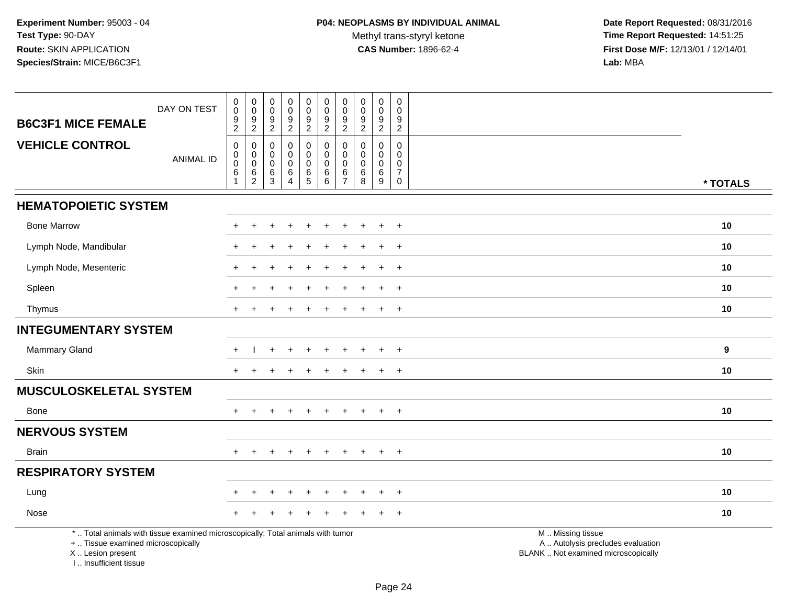| <b>B6C3F1 MICE FEMALE</b>                                                                                                                                          | DAY ON TEST      | $\boldsymbol{0}$<br>$\ddot{\mathbf{0}}$<br>$\frac{9}{2}$ | $\begin{smallmatrix} 0\\0 \end{smallmatrix}$<br>$\frac{9}{2}$             | 0<br>$\mathbf 0$<br>9<br>$\overline{2}$                   | $\pmb{0}$<br>$\pmb{0}$<br>$\frac{9}{2}$                                      | $\pmb{0}$<br>$\pmb{0}$<br>$\frac{9}{2}$                          | $\pmb{0}$<br>$\mathsf{O}\xspace$<br>9<br>$\overline{2}$ | $\pmb{0}$<br>$\mathbf 0$<br>9<br>$\overline{2}$                  | $\pmb{0}$<br>$\mathsf{O}\xspace$<br>9<br>$\overline{2}$ | $_{\rm 0}^{\rm 0}$<br>$\frac{9}{2}$                                             | 0<br>$\Omega$<br>9<br>$\overline{2}$                               |                                                                                               |
|--------------------------------------------------------------------------------------------------------------------------------------------------------------------|------------------|----------------------------------------------------------|---------------------------------------------------------------------------|-----------------------------------------------------------|------------------------------------------------------------------------------|------------------------------------------------------------------|---------------------------------------------------------|------------------------------------------------------------------|---------------------------------------------------------|---------------------------------------------------------------------------------|--------------------------------------------------------------------|-----------------------------------------------------------------------------------------------|
| <b>VEHICLE CONTROL</b>                                                                                                                                             | <b>ANIMAL ID</b> | $\pmb{0}$<br>$_{\rm 0}^{\rm 0}$<br>$\,6\,$<br>1          | $\pmb{0}$<br>$\boldsymbol{0}$<br>$\mathsf 0$<br>$\,6\,$<br>$\overline{2}$ | $\mathbf 0$<br>$\mathbf 0$<br>$\mathbf 0$<br>$\,6\,$<br>3 | $\pmb{0}$<br>$\mathbf 0$<br>$\mathbf 0$<br>$\,6\,$<br>$\boldsymbol{\Lambda}$ | $\pmb{0}$<br>$\mathbf 0$<br>$\mathbf 0$<br>$\,6\,$<br>$\sqrt{5}$ | $\pmb{0}$<br>$\mathsf 0$<br>$\mathbf 0$<br>6<br>6       | $\mathbf 0$<br>$\mathbf 0$<br>$\mathbf 0$<br>6<br>$\overline{7}$ | $\mathbf 0$<br>0<br>0<br>6<br>8                         | $\mathbf 0$<br>$\mathbf 0$<br>$\mathbf 0$<br>$6\phantom{a}$<br>$\boldsymbol{9}$ | $\Omega$<br>0<br>$\mathbf 0$<br>$\overline{7}$<br>$\boldsymbol{0}$ | * TOTALS                                                                                      |
| <b>HEMATOPOIETIC SYSTEM</b>                                                                                                                                        |                  |                                                          |                                                                           |                                                           |                                                                              |                                                                  |                                                         |                                                                  |                                                         |                                                                                 |                                                                    |                                                                                               |
| <b>Bone Marrow</b>                                                                                                                                                 |                  | $+$                                                      | $\ddot{}$                                                                 |                                                           |                                                                              | $\div$                                                           |                                                         |                                                                  |                                                         | $\div$                                                                          | $+$                                                                | 10                                                                                            |
| Lymph Node, Mandibular                                                                                                                                             |                  |                                                          |                                                                           |                                                           |                                                                              |                                                                  |                                                         |                                                                  |                                                         |                                                                                 | $\overline{ }$                                                     | 10                                                                                            |
| Lymph Node, Mesenteric                                                                                                                                             |                  |                                                          |                                                                           |                                                           |                                                                              |                                                                  |                                                         |                                                                  |                                                         |                                                                                 | $\ddot{}$                                                          | 10                                                                                            |
| Spleen                                                                                                                                                             |                  | $\pm$                                                    |                                                                           |                                                           |                                                                              |                                                                  |                                                         |                                                                  |                                                         | $\ddot{}$                                                                       | $+$                                                                | 10                                                                                            |
| Thymus                                                                                                                                                             |                  |                                                          |                                                                           |                                                           |                                                                              |                                                                  |                                                         | $\ddot{}$                                                        |                                                         | $\ddot{}$                                                                       | $+$                                                                | 10                                                                                            |
| <b>INTEGUMENTARY SYSTEM</b>                                                                                                                                        |                  |                                                          |                                                                           |                                                           |                                                                              |                                                                  |                                                         |                                                                  |                                                         |                                                                                 |                                                                    |                                                                                               |
| Mammary Gland                                                                                                                                                      |                  | $\pm$                                                    |                                                                           |                                                           |                                                                              |                                                                  |                                                         |                                                                  |                                                         |                                                                                 | $\ddot{}$                                                          | 9                                                                                             |
| Skin                                                                                                                                                               |                  | $+$                                                      | $\ddot{}$                                                                 |                                                           |                                                                              |                                                                  |                                                         |                                                                  |                                                         | $\ddot{}$                                                                       | $+$                                                                | 10                                                                                            |
| <b>MUSCULOSKELETAL SYSTEM</b>                                                                                                                                      |                  |                                                          |                                                                           |                                                           |                                                                              |                                                                  |                                                         |                                                                  |                                                         |                                                                                 |                                                                    |                                                                                               |
| <b>Bone</b>                                                                                                                                                        |                  |                                                          |                                                                           |                                                           |                                                                              |                                                                  |                                                         |                                                                  |                                                         |                                                                                 | $\overline{+}$                                                     | 10                                                                                            |
| <b>NERVOUS SYSTEM</b>                                                                                                                                              |                  |                                                          |                                                                           |                                                           |                                                                              |                                                                  |                                                         |                                                                  |                                                         |                                                                                 |                                                                    |                                                                                               |
| <b>Brain</b>                                                                                                                                                       |                  | $+$                                                      | $+$                                                                       | $\div$                                                    | $\div$                                                                       | $\pm$                                                            | $\ddot{}$                                               | $+$                                                              | $+$                                                     | $+$                                                                             | $+$                                                                | 10                                                                                            |
| <b>RESPIRATORY SYSTEM</b>                                                                                                                                          |                  |                                                          |                                                                           |                                                           |                                                                              |                                                                  |                                                         |                                                                  |                                                         |                                                                                 |                                                                    |                                                                                               |
| Lung                                                                                                                                                               |                  |                                                          |                                                                           |                                                           |                                                                              |                                                                  |                                                         |                                                                  |                                                         |                                                                                 | $\overline{+}$                                                     | 10                                                                                            |
| Nose                                                                                                                                                               |                  |                                                          |                                                                           |                                                           |                                                                              |                                                                  |                                                         |                                                                  |                                                         |                                                                                 | $\overline{+}$                                                     | 10                                                                                            |
| *  Total animals with tissue examined microscopically; Total animals with tumor<br>+  Tissue examined microscopically<br>X Lesion present<br>I Insufficient tissue |                  |                                                          |                                                                           |                                                           |                                                                              |                                                                  |                                                         |                                                                  |                                                         |                                                                                 |                                                                    | M  Missing tissue<br>A  Autolysis precludes evaluation<br>BLANK  Not examined microscopically |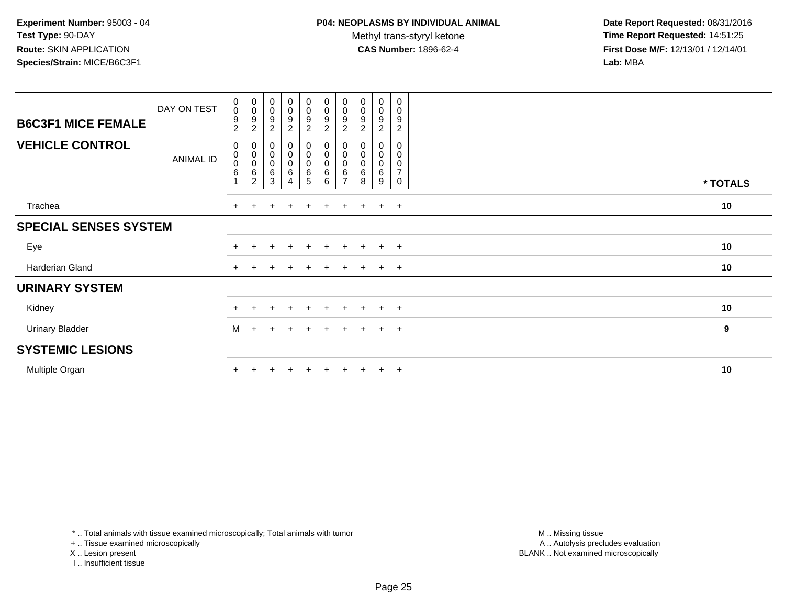Methyl trans-styryl ketone<br>CAS Number: 1896-62-4

 **Date Report Requested:** 08/31/2016 **Time Report Requested:** 14:51:25 **First Dose M/F:** 12/13/01 / 12/14/01<br>**Lab:** MBA **Lab:** MBA

|                              | DAY ON TEST      | $\boldsymbol{0}$<br>$\mathbf 0$      | $_{\rm 0}^{\rm 0}$                                       | $_{\rm 0}^{\rm 0}$                                        | $\begin{smallmatrix} 0\\0 \end{smallmatrix}$ | $\begin{smallmatrix} 0\\0 \end{smallmatrix}$ | $\begin{smallmatrix}0\0\0\end{smallmatrix}$                | $_{\rm 0}^{\rm 0}$                 | $\begin{smallmatrix}0\0\0\9\end{smallmatrix}$ | $\begin{smallmatrix}0\0\0\9\end{smallmatrix}$ | 0<br>$\mathbf 0$                           |                  |  |
|------------------------------|------------------|--------------------------------------|----------------------------------------------------------|-----------------------------------------------------------|----------------------------------------------|----------------------------------------------|------------------------------------------------------------|------------------------------------|-----------------------------------------------|-----------------------------------------------|--------------------------------------------|------------------|--|
| <b>B6C3F1 MICE FEMALE</b>    |                  | 9<br>$\overline{c}$                  | $\boldsymbol{9}$<br>$\overline{c}$                       | $\boldsymbol{9}$<br>$\overline{c}$                        | $\boldsymbol{9}$<br>$\boldsymbol{2}$         | $\boldsymbol{9}$<br>$\overline{c}$           | 9<br>$\overline{c}$                                        | $\boldsymbol{9}$<br>$\overline{c}$ | $\overline{c}$                                | $\overline{c}$                                | 9<br>$\overline{c}$                        |                  |  |
| <b>VEHICLE CONTROL</b>       | <b>ANIMAL ID</b> | 0<br>$\pmb{0}$<br>$\pmb{0}$<br>$\,6$ | 0<br>$\pmb{0}$<br>$\mathsf 0$<br>$\,6$<br>$\overline{c}$ | 0<br>$\begin{smallmatrix}0\\0\end{smallmatrix}$<br>6<br>3 | $_{\rm 0}^{\rm 0}$<br>$\pmb{0}$<br>6<br>4    | $_{\rm 0}^{\rm 0}$<br>$\pmb{0}$<br>6<br>5    | $\begin{smallmatrix}0\0\0\end{smallmatrix}$<br>0<br>6<br>6 | 0<br>0<br>6                        | 0<br>$\pmb{0}$<br>$\pmb{0}$<br>$\,6\,$<br>8   | 0<br>$\pmb{0}$<br>$\pmb{0}$<br>$\,6\,$<br>9   | 0<br>0<br>$\pmb{0}$<br>$\overline{7}$<br>0 | * TOTALS         |  |
| Trachea                      |                  | $\pm$                                |                                                          |                                                           | $\pm$                                        |                                              |                                                            |                                    |                                               | $+$                                           | $+$                                        | 10               |  |
| <b>SPECIAL SENSES SYSTEM</b> |                  |                                      |                                                          |                                                           |                                              |                                              |                                                            |                                    |                                               |                                               |                                            |                  |  |
| Eye                          |                  |                                      |                                                          |                                                           | $\pm$                                        | $+$                                          | $+$                                                        | $+$                                | $+$                                           | $+$                                           | $+$                                        | 10               |  |
| Harderian Gland              |                  | $+$                                  |                                                          |                                                           | $\div$                                       |                                              | $\ddot{}$                                                  | $+$                                | $\pm$                                         | $+$                                           | $+$                                        | 10               |  |
| <b>URINARY SYSTEM</b>        |                  |                                      |                                                          |                                                           |                                              |                                              |                                                            |                                    |                                               |                                               |                                            |                  |  |
| Kidney                       |                  |                                      | +                                                        | $\div$                                                    | $\pm$                                        | $+$                                          | $+$                                                        | $+$                                | $+$                                           | $+$                                           | $+$                                        | 10               |  |
| <b>Urinary Bladder</b>       |                  | M                                    | $+$                                                      | $\ddot{}$                                                 | $\ddot{}$                                    | $\pm$                                        | $+$                                                        | $+$                                | $+$                                           | $+$                                           | $+$                                        | $\boldsymbol{9}$ |  |
| <b>SYSTEMIC LESIONS</b>      |                  |                                      |                                                          |                                                           |                                              |                                              |                                                            |                                    |                                               |                                               |                                            |                  |  |
| Multiple Organ               |                  |                                      |                                                          |                                                           |                                              |                                              |                                                            |                                    |                                               | $\pm$                                         | $^{+}$                                     | 10               |  |

\* .. Total animals with tissue examined microscopically; Total animals with tumor

+ .. Tissue examined microscopically

X .. Lesion present

I .. Insufficient tissue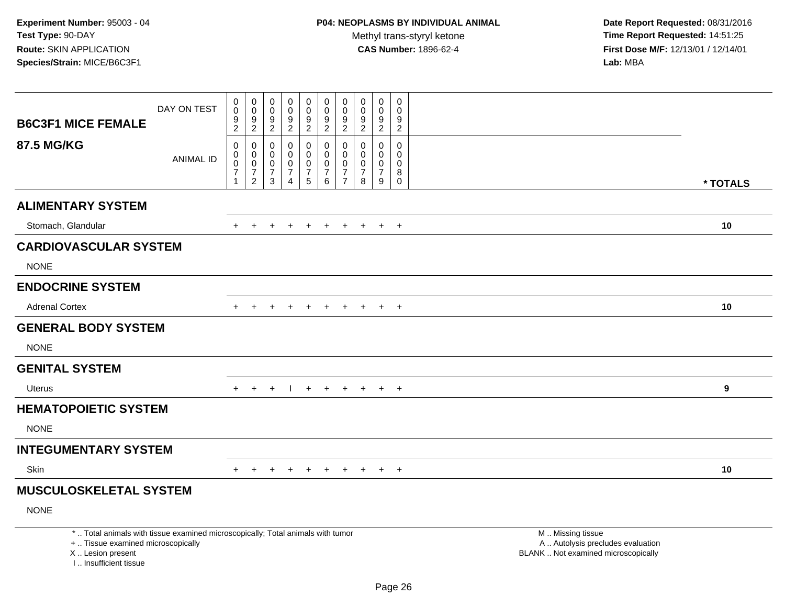| <b>B6C3F1 MICE FEMALE</b>                                                                                                                                             | DAY ON TEST      | $_0^0$<br>$\frac{9}{2}$                                               | 0<br>$\overline{0}$<br>$\frac{9}{2}$                                        | 0<br>$\ddot{\mathbf{0}}$<br>9<br>$\overline{2}$        | 0<br>$\ddot{\mathbf{0}}$<br>$\boldsymbol{9}$<br>$\overline{2}$                | 0<br>$\pmb{0}$<br>$\boldsymbol{9}$<br>$\overline{2}$                | 0<br>$\overline{0}$<br>$\boldsymbol{9}$<br>$\overline{2}$        | 0<br>$\mathbf 0$<br>9<br>$\overline{2}$                                 | $\begin{smallmatrix}0\0\0\end{smallmatrix}$<br>$\frac{9}{2}$ | 0<br>$\mathbf{0}$<br>$\boldsymbol{9}$<br>$\overline{2}$    | 0<br>$\mathbf 0$<br>9<br>$\overline{2}$                    |                                                                                               |          |
|-----------------------------------------------------------------------------------------------------------------------------------------------------------------------|------------------|-----------------------------------------------------------------------|-----------------------------------------------------------------------------|--------------------------------------------------------|-------------------------------------------------------------------------------|---------------------------------------------------------------------|------------------------------------------------------------------|-------------------------------------------------------------------------|--------------------------------------------------------------|------------------------------------------------------------|------------------------------------------------------------|-----------------------------------------------------------------------------------------------|----------|
| <b>87.5 MG/KG</b>                                                                                                                                                     | <b>ANIMAL ID</b> | $\pmb{0}$<br>$\pmb{0}$<br>$\pmb{0}$<br>$\overline{7}$<br>$\mathbf{1}$ | $\pmb{0}$<br>$\mathbf 0$<br>$\mathbf 0$<br>$\overline{7}$<br>$\overline{2}$ | $\mathbf 0$<br>$\mathbf 0$<br>0<br>$\overline{7}$<br>3 | $\mathbf 0$<br>$\mathbf 0$<br>$\mathbf 0$<br>$\overline{7}$<br>$\overline{4}$ | 0<br>$\mathbf 0$<br>$\mathbf 0$<br>$\overline{7}$<br>$\overline{5}$ | $\mathbf 0$<br>$\mathbf 0$<br>$\mathbf 0$<br>$\overline{7}$<br>6 | $\Omega$<br>$\Omega$<br>$\mathbf 0$<br>$\overline{7}$<br>$\overline{7}$ | $\mathbf 0$<br>$\mathbf 0$<br>0<br>$\overline{7}$<br>8       | $\Omega$<br>$\Omega$<br>$\mathbf 0$<br>$\overline{7}$<br>9 | $\Omega$<br>$\mathbf 0$<br>$\mathbf 0$<br>8<br>$\mathbf 0$ |                                                                                               | * TOTALS |
| <b>ALIMENTARY SYSTEM</b>                                                                                                                                              |                  |                                                                       |                                                                             |                                                        |                                                                               |                                                                     |                                                                  |                                                                         |                                                              |                                                            |                                                            |                                                                                               |          |
| Stomach, Glandular                                                                                                                                                    |                  | $+$                                                                   | $+$                                                                         | ÷                                                      |                                                                               | $+$                                                                 | $\div$                                                           | $\pm$                                                                   | $+$                                                          | $+$                                                        | $+$                                                        |                                                                                               | 10       |
| <b>CARDIOVASCULAR SYSTEM</b>                                                                                                                                          |                  |                                                                       |                                                                             |                                                        |                                                                               |                                                                     |                                                                  |                                                                         |                                                              |                                                            |                                                            |                                                                                               |          |
| <b>NONE</b>                                                                                                                                                           |                  |                                                                       |                                                                             |                                                        |                                                                               |                                                                     |                                                                  |                                                                         |                                                              |                                                            |                                                            |                                                                                               |          |
| <b>ENDOCRINE SYSTEM</b>                                                                                                                                               |                  |                                                                       |                                                                             |                                                        |                                                                               |                                                                     |                                                                  |                                                                         |                                                              |                                                            |                                                            |                                                                                               |          |
| <b>Adrenal Cortex</b>                                                                                                                                                 |                  |                                                                       |                                                                             |                                                        |                                                                               |                                                                     |                                                                  |                                                                         |                                                              | $\ddot{}$                                                  | $+$                                                        |                                                                                               | 10       |
| <b>GENERAL BODY SYSTEM</b>                                                                                                                                            |                  |                                                                       |                                                                             |                                                        |                                                                               |                                                                     |                                                                  |                                                                         |                                                              |                                                            |                                                            |                                                                                               |          |
| <b>NONE</b>                                                                                                                                                           |                  |                                                                       |                                                                             |                                                        |                                                                               |                                                                     |                                                                  |                                                                         |                                                              |                                                            |                                                            |                                                                                               |          |
| <b>GENITAL SYSTEM</b>                                                                                                                                                 |                  |                                                                       |                                                                             |                                                        |                                                                               |                                                                     |                                                                  |                                                                         |                                                              |                                                            |                                                            |                                                                                               |          |
| Uterus                                                                                                                                                                |                  | $+$                                                                   | $+$                                                                         | $+$                                                    | $\mathbf{I}$                                                                  | $+$                                                                 | $+$                                                              |                                                                         | $+$ $+$ $+$ $+$                                              |                                                            |                                                            |                                                                                               | 9        |
| <b>HEMATOPOIETIC SYSTEM</b>                                                                                                                                           |                  |                                                                       |                                                                             |                                                        |                                                                               |                                                                     |                                                                  |                                                                         |                                                              |                                                            |                                                            |                                                                                               |          |
| <b>NONE</b>                                                                                                                                                           |                  |                                                                       |                                                                             |                                                        |                                                                               |                                                                     |                                                                  |                                                                         |                                                              |                                                            |                                                            |                                                                                               |          |
| <b>INTEGUMENTARY SYSTEM</b>                                                                                                                                           |                  |                                                                       |                                                                             |                                                        |                                                                               |                                                                     |                                                                  |                                                                         |                                                              |                                                            |                                                            |                                                                                               |          |
| Skin                                                                                                                                                                  |                  | $+$                                                                   | $\ddot{}$                                                                   |                                                        |                                                                               | $\div$                                                              |                                                                  | $\div$                                                                  |                                                              | $+$                                                        | $+$                                                        |                                                                                               | 10       |
| <b>MUSCULOSKELETAL SYSTEM</b>                                                                                                                                         |                  |                                                                       |                                                                             |                                                        |                                                                               |                                                                     |                                                                  |                                                                         |                                                              |                                                            |                                                            |                                                                                               |          |
| <b>NONE</b>                                                                                                                                                           |                  |                                                                       |                                                                             |                                                        |                                                                               |                                                                     |                                                                  |                                                                         |                                                              |                                                            |                                                            |                                                                                               |          |
| *  Total animals with tissue examined microscopically; Total animals with tumor<br>+  Tissue examined microscopically<br>X  Lesion present<br>I., Insufficient tissue |                  |                                                                       |                                                                             |                                                        |                                                                               |                                                                     |                                                                  |                                                                         |                                                              |                                                            |                                                            | M  Missing tissue<br>A  Autolysis precludes evaluation<br>BLANK  Not examined microscopically |          |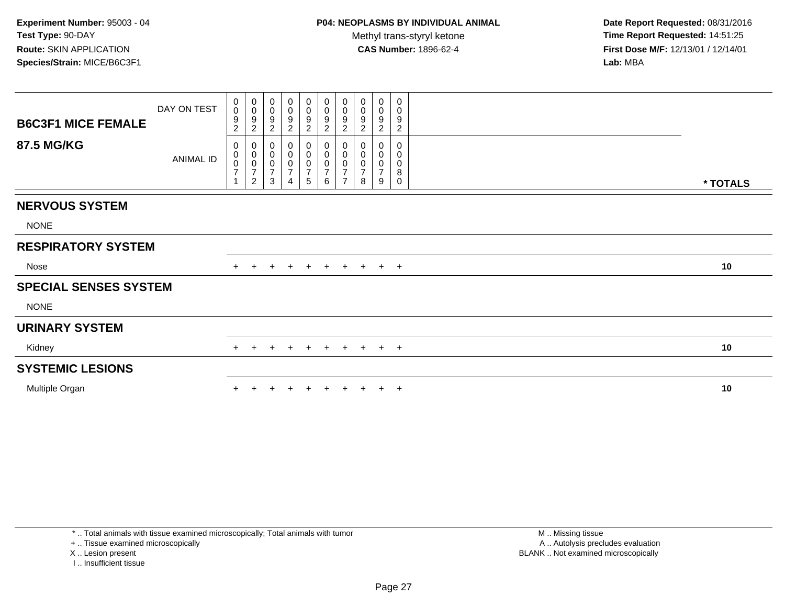**Date Report Requested:** 08/31/2016 **Time Report Requested:** 14:51:25 **First Dose M/F:** 12/13/01 / 12/14/01<br>**Lab:** MBA **Lab:** MBA

|                              | DAY ON TEST | 0                            | $_{\rm 0}^{\rm 0}$                             | $\boldsymbol{0}$                                              | 0                                  |                                                               | $\mathbf 0$                      | 0                                                 | $\pmb{0}$              | $\pmb{0}$                    | $\,0\,$                          |          |
|------------------------------|-------------|------------------------------|------------------------------------------------|---------------------------------------------------------------|------------------------------------|---------------------------------------------------------------|----------------------------------|---------------------------------------------------|------------------------|------------------------------|----------------------------------|----------|
| <b>B6C3F1 MICE FEMALE</b>    |             | $\mathbf 0$<br>9             | $\boldsymbol{9}$<br>$\overline{c}$             | $\pmb{0}$<br>$\boldsymbol{9}$<br>$\overline{2}$               | $\pmb{0}$<br>9<br>$\boldsymbol{2}$ | $\begin{array}{c} 0 \\ 0 \\ 9 \\ 2 \end{array}$               | $\pmb{0}$<br>9<br>$\overline{2}$ | $\pmb{0}$<br>$\boldsymbol{9}$<br>$\boldsymbol{2}$ | $\pmb{0}$<br>9         | $\pmb{0}$<br>9<br>$\sqrt{2}$ | $\pmb{0}$<br>9<br>$\overline{c}$ |          |
| <b>87.5 MG/KG</b>            |             | $\overline{\mathbf{c}}$<br>0 |                                                |                                                               | 0                                  |                                                               |                                  | 0                                                 | $\boldsymbol{2}$<br>0  | 0                            | 0                                |          |
|                              | ANIMAL ID   | $_{\rm 0}^{\rm 0}$           | 0<br>$\begin{matrix} 0 \\ 0 \\ 7 \end{matrix}$ | $\boldsymbol{0}$<br>$\begin{matrix} 0 \\ 0 \\ 7 \end{matrix}$ | $\pmb{0}$                          | $\boldsymbol{0}$<br>$\begin{matrix} 0 \\ 0 \\ 7 \end{matrix}$ | 0<br>$\pmb{0}$                   | $\pmb{0}$<br>$\pmb{0}$                            | $\pmb{0}$<br>$\pmb{0}$ | $\pmb{0}$<br>$\pmb{0}$       | $\pmb{0}$<br>$\pmb{0}$           |          |
|                              |             | $\overline{7}$               |                                                |                                                               | $\pmb{0}$<br>$\overline{7}$        |                                                               | $\frac{0}{7}$                    | $\overline{7}$                                    | $\overline{7}$         | $\overline{7}$               | $\,8\,$                          |          |
|                              |             |                              | $\overline{2}$                                 | $\sqrt{3}$                                                    | $\overline{4}$                     | $\sqrt{5}$                                                    | 6                                | $\overline{7}$                                    | 8                      | 9                            | $\mathbf 0$                      | * TOTALS |
| <b>NERVOUS SYSTEM</b>        |             |                              |                                                |                                                               |                                    |                                                               |                                  |                                                   |                        |                              |                                  |          |
| <b>NONE</b>                  |             |                              |                                                |                                                               |                                    |                                                               |                                  |                                                   |                        |                              |                                  |          |
| <b>RESPIRATORY SYSTEM</b>    |             |                              |                                                |                                                               |                                    |                                                               |                                  |                                                   |                        |                              |                                  |          |
| Nose                         |             | $+$                          | $+$                                            | $+$                                                           | $+$                                | $+$                                                           | $+$                              |                                                   | $+$ $+$                |                              | $+$ $+$                          | 10       |
| <b>SPECIAL SENSES SYSTEM</b> |             |                              |                                                |                                                               |                                    |                                                               |                                  |                                                   |                        |                              |                                  |          |
| <b>NONE</b>                  |             |                              |                                                |                                                               |                                    |                                                               |                                  |                                                   |                        |                              |                                  |          |
| <b>URINARY SYSTEM</b>        |             |                              |                                                |                                                               |                                    |                                                               |                                  |                                                   |                        |                              |                                  |          |
| Kidney                       |             | $+$                          | $+$                                            | $+$                                                           | $+$                                |                                                               |                                  |                                                   | + + + + + +            |                              |                                  | 10       |
| <b>SYSTEMIC LESIONS</b>      |             |                              |                                                |                                                               |                                    |                                                               |                                  |                                                   |                        |                              |                                  |          |
| Multiple Organ               |             |                              |                                                |                                                               |                                    |                                                               |                                  |                                                   |                        |                              | $\overline{ }$                   | 10       |

\* .. Total animals with tissue examined microscopically; Total animals with tumor

+ .. Tissue examined microscopically

X .. Lesion present

I .. Insufficient tissue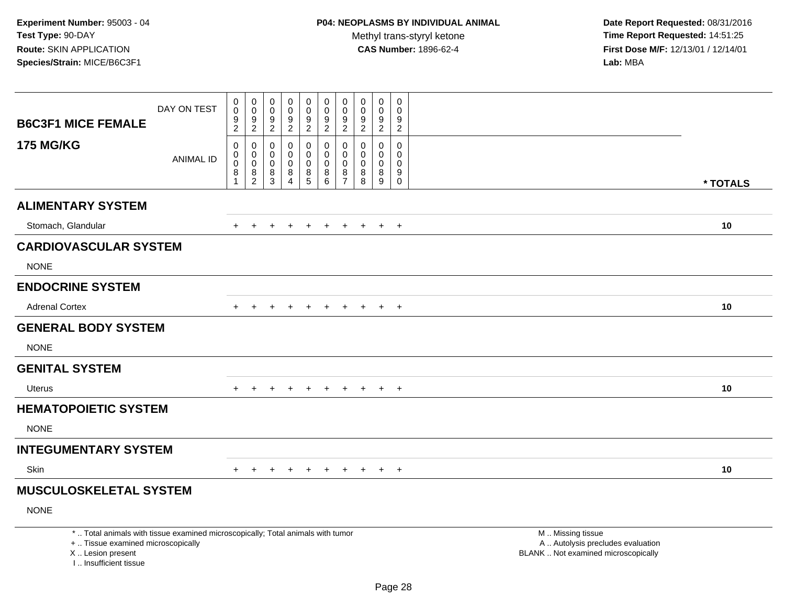| <b>B6C3F1 MICE FEMALE</b>                                                                                                                                             | DAY ON TEST      | 0<br>$\mathbf 0$<br>$\mathsf g$<br>$\overline{2}$                     | $\begin{smallmatrix} 0\\0 \end{smallmatrix}$<br>$\overline{9}$<br>$\overline{2}$ | 0<br>$\mathbf 0$<br>$\boldsymbol{9}$<br>2 | $\mathbf 0$<br>0<br>$\boldsymbol{9}$<br>$\overline{2}$       | $\pmb{0}$<br>$\mathbf 0$<br>$\boldsymbol{9}$<br>$\overline{2}$                     | 0<br>$\mathbf 0$<br>$\boldsymbol{9}$<br>$\overline{2}$ | $\begin{smallmatrix}0\\0\end{smallmatrix}$<br>$\overline{9}$<br>$\overline{2}$ | $\mathbf 0$<br>$\mathbf 0$<br>9<br>$\overline{2}$ | $\mathsf{O}\xspace$<br>0<br>$\boldsymbol{9}$<br>$\overline{2}$ | $\mathbf 0$<br>$\mathsf 0$<br>$\boldsymbol{9}$<br>$\overline{2}$   |                                                                                               |          |
|-----------------------------------------------------------------------------------------------------------------------------------------------------------------------|------------------|-----------------------------------------------------------------------|----------------------------------------------------------------------------------|-------------------------------------------|--------------------------------------------------------------|------------------------------------------------------------------------------------|--------------------------------------------------------|--------------------------------------------------------------------------------|---------------------------------------------------|----------------------------------------------------------------|--------------------------------------------------------------------|-----------------------------------------------------------------------------------------------|----------|
| <b>175 MG/KG</b>                                                                                                                                                      | <b>ANIMAL ID</b> | $\mathbf 0$<br>$\mathsf{O}$<br>$\bar{0}$<br>8<br>$\blacktriangleleft$ | $\pmb{0}$<br>$\begin{smallmatrix} 0\\0 \end{smallmatrix}$<br>$\frac{8}{2}$       | 0<br>$\mathbf 0$<br>$\mathsf 0$<br>$^8_3$ | 0<br>$\mathbf 0$<br>$\mathbf 0$<br>$\bf 8$<br>$\overline{4}$ | $\mathbf 0$<br>$\mathbf 0$<br>$\mathbf 0$<br>$\begin{array}{c} 8 \\ 5 \end{array}$ | 0<br>$\mathbf 0$<br>0<br>8<br>$\overline{6}$           | 0<br>$\mathbf 0$<br>$\ddot{\mathbf{0}}$<br>$\frac{8}{7}$                       | 0<br>$\mathbf 0$<br>$\Omega$<br>8<br>8            | 0<br>0<br>0<br>$\bf 8$<br>$\boldsymbol{9}$                     | $\mathsf 0$<br>$\mathbf 0$<br>0<br>$\boldsymbol{9}$<br>$\mathbf 0$ |                                                                                               | * TOTALS |
| <b>ALIMENTARY SYSTEM</b>                                                                                                                                              |                  |                                                                       |                                                                                  |                                           |                                                              |                                                                                    |                                                        |                                                                                |                                                   |                                                                |                                                                    |                                                                                               |          |
| Stomach, Glandular                                                                                                                                                    |                  | $\div$                                                                | $\div$                                                                           | $\div$                                    |                                                              | $\pm$                                                                              | $+$                                                    | $\pm$                                                                          | $\pm$                                             | $+$                                                            | $+$                                                                |                                                                                               | 10       |
| <b>CARDIOVASCULAR SYSTEM</b>                                                                                                                                          |                  |                                                                       |                                                                                  |                                           |                                                              |                                                                                    |                                                        |                                                                                |                                                   |                                                                |                                                                    |                                                                                               |          |
| <b>NONE</b>                                                                                                                                                           |                  |                                                                       |                                                                                  |                                           |                                                              |                                                                                    |                                                        |                                                                                |                                                   |                                                                |                                                                    |                                                                                               |          |
| <b>ENDOCRINE SYSTEM</b>                                                                                                                                               |                  |                                                                       |                                                                                  |                                           |                                                              |                                                                                    |                                                        |                                                                                |                                                   |                                                                |                                                                    |                                                                                               |          |
| <b>Adrenal Cortex</b>                                                                                                                                                 |                  | $+$                                                                   | $\ddot{}$                                                                        |                                           |                                                              | $\ddot{}$                                                                          | $+$                                                    | $+$                                                                            | $+$                                               | $+$                                                            | $+$                                                                |                                                                                               | 10       |
| <b>GENERAL BODY SYSTEM</b>                                                                                                                                            |                  |                                                                       |                                                                                  |                                           |                                                              |                                                                                    |                                                        |                                                                                |                                                   |                                                                |                                                                    |                                                                                               |          |
| <b>NONE</b>                                                                                                                                                           |                  |                                                                       |                                                                                  |                                           |                                                              |                                                                                    |                                                        |                                                                                |                                                   |                                                                |                                                                    |                                                                                               |          |
| <b>GENITAL SYSTEM</b>                                                                                                                                                 |                  |                                                                       |                                                                                  |                                           |                                                              |                                                                                    |                                                        |                                                                                |                                                   |                                                                |                                                                    |                                                                                               |          |
| Uterus                                                                                                                                                                |                  | $+$                                                                   | $\pm$                                                                            | $\pm$                                     | +                                                            | $\pm$                                                                              | $+$                                                    | $\pm$                                                                          | $+$                                               | $+$                                                            | $+$                                                                |                                                                                               | 10       |
| <b>HEMATOPOIETIC SYSTEM</b>                                                                                                                                           |                  |                                                                       |                                                                                  |                                           |                                                              |                                                                                    |                                                        |                                                                                |                                                   |                                                                |                                                                    |                                                                                               |          |
| <b>NONE</b>                                                                                                                                                           |                  |                                                                       |                                                                                  |                                           |                                                              |                                                                                    |                                                        |                                                                                |                                                   |                                                                |                                                                    |                                                                                               |          |
| <b>INTEGUMENTARY SYSTEM</b>                                                                                                                                           |                  |                                                                       |                                                                                  |                                           |                                                              |                                                                                    |                                                        |                                                                                |                                                   |                                                                |                                                                    |                                                                                               |          |
| Skin                                                                                                                                                                  |                  |                                                                       |                                                                                  |                                           |                                                              | $\ddot{}$                                                                          | $\div$                                                 |                                                                                | $+$                                               | $+$                                                            | $+$                                                                |                                                                                               | 10       |
| <b>MUSCULOSKELETAL SYSTEM</b>                                                                                                                                         |                  |                                                                       |                                                                                  |                                           |                                                              |                                                                                    |                                                        |                                                                                |                                                   |                                                                |                                                                    |                                                                                               |          |
| <b>NONE</b>                                                                                                                                                           |                  |                                                                       |                                                                                  |                                           |                                                              |                                                                                    |                                                        |                                                                                |                                                   |                                                                |                                                                    |                                                                                               |          |
| *  Total animals with tissue examined microscopically; Total animals with tumor<br>+  Tissue examined microscopically<br>X  Lesion present<br>I., Insufficient tissue |                  |                                                                       |                                                                                  |                                           |                                                              |                                                                                    |                                                        |                                                                                |                                                   |                                                                |                                                                    | M  Missing tissue<br>A  Autolysis precludes evaluation<br>BLANK  Not examined microscopically |          |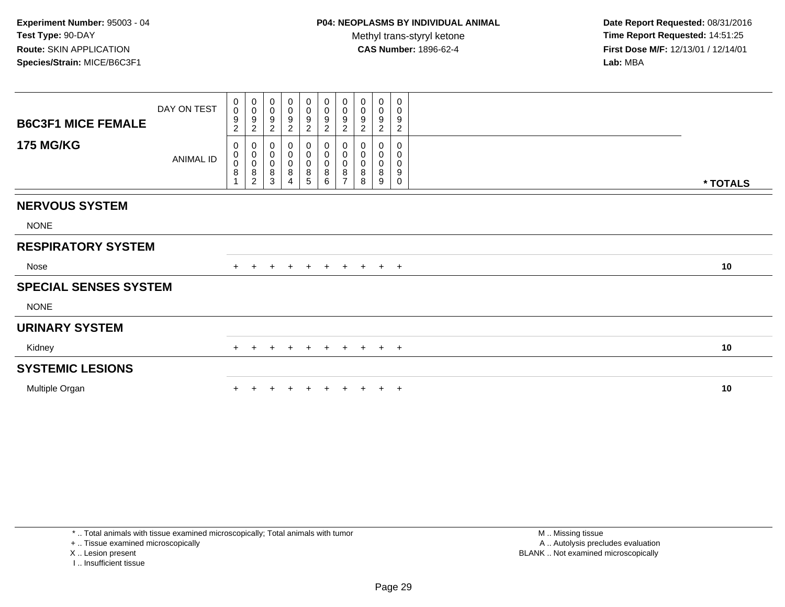**Date Report Requested:** 08/31/2016 **Time Report Requested:** 14:51:25 **First Dose M/F:** 12/13/01 / 12/14/01<br>**Lab:** MBA **Lab:** MBA

| <b>B6C3F1 MICE FEMALE</b><br><b>175 MG/KG</b> | DAY ON TEST      | 0<br>$\mathbf 0$<br>9<br>$\overline{c}$<br>0<br>0 | $\begin{array}{c} 0 \\ 0 \\ 9 \\ 2 \end{array}$ | $\pmb{0}$<br>$\pmb{0}$<br>$\boldsymbol{9}$<br>$\overline{c}$<br>0<br>$\pmb{0}$ | $_{\rm 0}^{\rm 0}$<br>$\frac{9}{2}$<br>0<br>$\pmb{0}$ | $_{\rm 0}^{\rm 0}$<br>$\overline{9}$<br>$\sqrt{2}$<br>0 | $\begin{smallmatrix}0\0\0\end{smallmatrix}$<br>9<br>$\overline{c}$<br>0<br>$\mathsf{O}\xspace$ | $\stackrel{0}{\scriptstyle{0}}$<br>$\boldsymbol{9}$<br>$\overline{c}$<br>$\pmb{0}$<br>$\pmb{0}$ | 0<br>$\pmb{0}$<br>$9\,$<br>$\boldsymbol{2}$<br>0<br>$\mathbf 0$ | 0<br>$\pmb{0}$<br>9<br>$\overline{2}$<br>0 | $\pmb{0}$<br>$\pmb{0}$<br>$\boldsymbol{9}$<br>$\sqrt{2}$<br>0<br>$\mathbf 0$ |          |  |
|-----------------------------------------------|------------------|---------------------------------------------------|-------------------------------------------------|--------------------------------------------------------------------------------|-------------------------------------------------------|---------------------------------------------------------|------------------------------------------------------------------------------------------------|-------------------------------------------------------------------------------------------------|-----------------------------------------------------------------|--------------------------------------------|------------------------------------------------------------------------------|----------|--|
|                                               | <b>ANIMAL ID</b> | $\bar{0}$<br>8                                    | 0<br>0<br>0<br>8<br>2                           | $\overline{0}$<br>$\bf 8$<br>3                                                 | $\overline{0}$<br>$\bf 8$<br>$\overline{4}$           | $_{\rm 0}^{\rm 0}$<br>$\bf 8$<br>5                      | 0<br>8<br>6                                                                                    | $\mathbf 0$<br>8<br>$\overline{ }$                                                              | $\pmb{0}$<br>8<br>8                                             | 0<br>8<br>9                                | $\pmb{0}$<br>$\boldsymbol{9}$<br>0                                           | * TOTALS |  |
| <b>NERVOUS SYSTEM</b>                         |                  |                                                   |                                                 |                                                                                |                                                       |                                                         |                                                                                                |                                                                                                 |                                                                 |                                            |                                                                              |          |  |
| <b>NONE</b>                                   |                  |                                                   |                                                 |                                                                                |                                                       |                                                         |                                                                                                |                                                                                                 |                                                                 |                                            |                                                                              |          |  |
| <b>RESPIRATORY SYSTEM</b>                     |                  |                                                   |                                                 |                                                                                |                                                       |                                                         |                                                                                                |                                                                                                 |                                                                 |                                            |                                                                              |          |  |
| Nose                                          |                  | $+$                                               | $+$                                             | $+$                                                                            | $+$                                                   | $+$                                                     | $+$                                                                                            | $+$                                                                                             | $+$                                                             |                                            | $+$ $+$                                                                      | 10       |  |
| <b>SPECIAL SENSES SYSTEM</b>                  |                  |                                                   |                                                 |                                                                                |                                                       |                                                         |                                                                                                |                                                                                                 |                                                                 |                                            |                                                                              |          |  |
| <b>NONE</b>                                   |                  |                                                   |                                                 |                                                                                |                                                       |                                                         |                                                                                                |                                                                                                 |                                                                 |                                            |                                                                              |          |  |
| <b>URINARY SYSTEM</b>                         |                  |                                                   |                                                 |                                                                                |                                                       |                                                         |                                                                                                |                                                                                                 |                                                                 |                                            |                                                                              |          |  |
| Kidney                                        |                  | $+$                                               | $\pm$                                           | $\pm$                                                                          | $\pm$                                                 | $\pm$                                                   | $+$                                                                                            | $+$                                                                                             | $+$                                                             |                                            | $+$ $+$                                                                      | 10       |  |
| <b>SYSTEMIC LESIONS</b>                       |                  |                                                   |                                                 |                                                                                |                                                       |                                                         |                                                                                                |                                                                                                 |                                                                 |                                            |                                                                              |          |  |
| Multiple Organ                                |                  |                                                   |                                                 |                                                                                |                                                       |                                                         |                                                                                                |                                                                                                 |                                                                 |                                            | $\pm$                                                                        | 10       |  |

+ .. Tissue examined microscopically

X .. Lesion present

I .. Insufficient tissue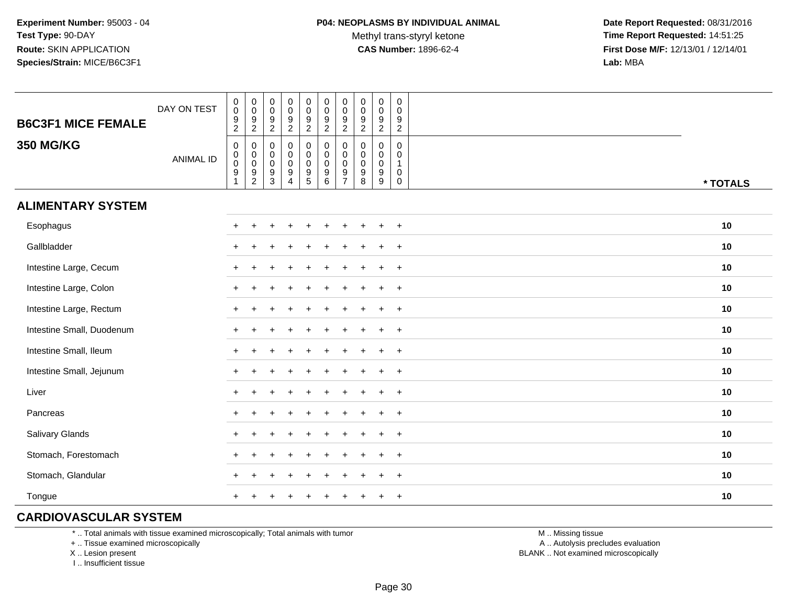**Date Report Requested:** 08/31/2016 **Time Report Requested:** 14:51:25 **First Dose M/F:** 12/13/01 / 12/14/01<br>**Lab:** MBA **Lab:** MBA

| <b>B6C3F1 MICE FEMALE</b> | DAY ON TEST      | $\begin{smallmatrix}0\0\0\end{smallmatrix}$<br>$\frac{9}{2}$  | $\begin{smallmatrix} 0\\0 \end{smallmatrix}$<br>$\frac{9}{2}$ | $\begin{array}{c} 0 \\ 0 \\ 9 \\ 2 \end{array}$    | $_{\rm 0}^{\rm 0}$<br>$\frac{9}{2}$                                      | $\pmb{0}$<br>$\ddot{\mathbf{0}}$<br>$\boldsymbol{9}$<br>$\overline{2}$                  | $\pmb{0}$<br>$\pmb{0}$<br>$\boldsymbol{9}$<br>$\boldsymbol{2}$        | $\mathbf 0$<br>$\mathbf 0$<br>$\boldsymbol{9}$<br>$\overline{2}$                | $\begin{smallmatrix} 0\\0 \end{smallmatrix}$<br>$\boldsymbol{9}$<br>$\overline{2}$ | $\pmb{0}$<br>$\mathbf 0$<br>$\frac{9}{2}$                          | $\pmb{0}$<br>$\mathbf 0$<br>9<br>$\overline{2}$               |          |
|---------------------------|------------------|---------------------------------------------------------------|---------------------------------------------------------------|----------------------------------------------------|--------------------------------------------------------------------------|-----------------------------------------------------------------------------------------|-----------------------------------------------------------------------|---------------------------------------------------------------------------------|------------------------------------------------------------------------------------|--------------------------------------------------------------------|---------------------------------------------------------------|----------|
| <b>350 MG/KG</b>          | <b>ANIMAL ID</b> | $\mathbf 0$<br>$\mathbf 0$<br>$\mathbf 0$<br>$\boldsymbol{9}$ | 0<br>$_{\rm 0}^{\rm 0}$<br>$\frac{9}{2}$                      | $\mathbf 0$<br>$_{\rm 0}^{\rm 0}$<br>$\frac{9}{3}$ | $\mathbf 0$<br>$\overline{0}$<br>0<br>$\boldsymbol{9}$<br>$\overline{4}$ | $\boldsymbol{0}$<br>$\mathsf 0$<br>$\mathbf 0$<br>$\begin{array}{c} 9 \\ 5 \end{array}$ | 0<br>$\mathbf 0$<br>$\mathbf 0$<br>$\boldsymbol{9}$<br>$6\phantom{a}$ | $\mathbf 0$<br>$\mathbf 0$<br>$\mathbf 0$<br>$\boldsymbol{9}$<br>$\overline{7}$ | 0<br>$\mathbf 0$<br>$\mathbf 0$<br>$\boldsymbol{9}$<br>8                           | $\mathbf 0$<br>$\mathbf 0$<br>$\mathbf 0$<br>$\boldsymbol{9}$<br>9 | 0<br>$\mathbf 0$<br>$\mathbf 1$<br>$\mathbf 0$<br>$\mathbf 0$ | * TOTALS |
| <b>ALIMENTARY SYSTEM</b>  |                  |                                                               |                                                               |                                                    |                                                                          |                                                                                         |                                                                       |                                                                                 |                                                                                    |                                                                    |                                                               |          |
| Esophagus                 |                  | $+$                                                           |                                                               |                                                    |                                                                          |                                                                                         |                                                                       |                                                                                 |                                                                                    | $\ddot{}$                                                          | $\overline{+}$                                                | 10       |
| Gallbladder               |                  | $\ddot{}$                                                     |                                                               |                                                    |                                                                          |                                                                                         |                                                                       |                                                                                 |                                                                                    |                                                                    | $\overline{+}$                                                | 10       |
| Intestine Large, Cecum    |                  | $\ddot{}$                                                     |                                                               |                                                    |                                                                          |                                                                                         |                                                                       |                                                                                 |                                                                                    |                                                                    | $\ddot{}$                                                     | 10       |
| Intestine Large, Colon    |                  | $\ddot{}$                                                     |                                                               |                                                    |                                                                          |                                                                                         |                                                                       |                                                                                 |                                                                                    |                                                                    | $+$                                                           | 10       |
| Intestine Large, Rectum   |                  |                                                               |                                                               |                                                    |                                                                          |                                                                                         |                                                                       |                                                                                 |                                                                                    |                                                                    | $\overline{+}$                                                | 10       |
| Intestine Small, Duodenum |                  | $\ddot{}$                                                     |                                                               |                                                    |                                                                          |                                                                                         |                                                                       |                                                                                 |                                                                                    | $\ddot{}$                                                          | $+$                                                           | 10       |
| Intestine Small, Ileum    |                  | $\ddot{}$                                                     |                                                               |                                                    |                                                                          |                                                                                         |                                                                       |                                                                                 |                                                                                    | $\pm$                                                              | $+$                                                           | 10       |
| Intestine Small, Jejunum  |                  | $\ddot{}$                                                     |                                                               |                                                    |                                                                          |                                                                                         |                                                                       |                                                                                 |                                                                                    | $\ddot{}$                                                          | $+$                                                           | 10       |
| Liver                     |                  | $+$                                                           |                                                               |                                                    |                                                                          |                                                                                         |                                                                       |                                                                                 |                                                                                    | $\div$                                                             | $+$                                                           | 10       |
| Pancreas                  |                  | $+$                                                           |                                                               |                                                    |                                                                          |                                                                                         |                                                                       |                                                                                 |                                                                                    | $\ddot{}$                                                          | $+$                                                           | 10       |
| Salivary Glands           |                  | $\ddot{}$                                                     |                                                               |                                                    |                                                                          |                                                                                         |                                                                       |                                                                                 |                                                                                    |                                                                    | $\overline{+}$                                                | 10       |
| Stomach, Forestomach      |                  | $\ddot{}$                                                     |                                                               |                                                    |                                                                          |                                                                                         |                                                                       |                                                                                 |                                                                                    |                                                                    | $\ddot{}$                                                     | 10       |
| Stomach, Glandular        |                  |                                                               |                                                               |                                                    |                                                                          |                                                                                         |                                                                       |                                                                                 |                                                                                    |                                                                    | $\ddot{}$                                                     | 10       |
| Tongue                    |                  | $\ddot{}$                                                     |                                                               |                                                    |                                                                          |                                                                                         |                                                                       |                                                                                 |                                                                                    | $\ddot{}$                                                          | $\overline{+}$                                                | 10       |

### **CARDIOVASCULAR SYSTEM**

\* .. Total animals with tissue examined microscopically; Total animals with tumor

+ .. Tissue examined microscopically

X .. Lesion present

I .. Insufficient tissue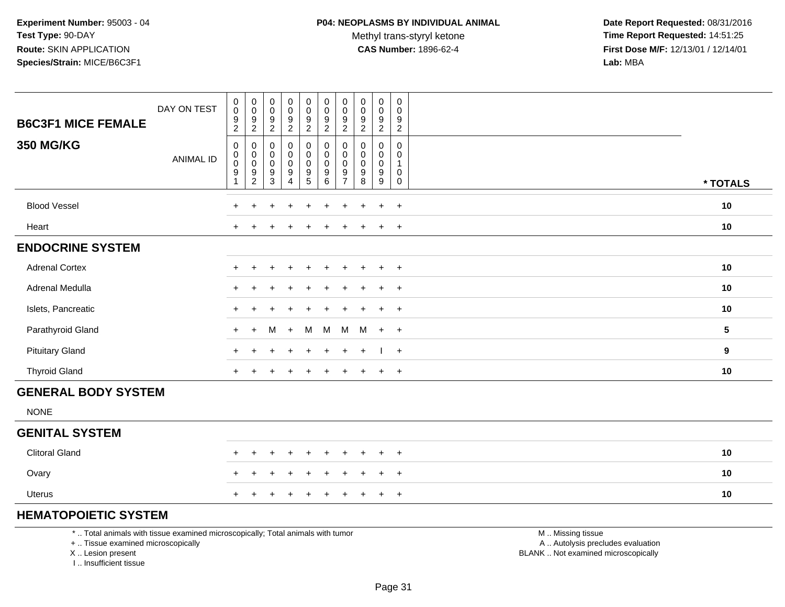Methyl trans-styryl ketone<br>CAS Number: 1896-62-4

 **Date Report Requested:** 08/31/2016 **Time Report Requested:** 14:51:25 **First Dose M/F:** 12/13/01 / 12/14/01<br>**Lab:** MBA **Lab:** MBA

| <b>B6C3F1 MICE FEMALE</b>  | DAY ON TEST      | $\pmb{0}$<br>$\mathbf 0$<br>$\frac{9}{2}$                                             | $\mathbf 0$<br>$\boldsymbol{0}$<br>$\frac{9}{2}$        | $\pmb{0}$<br>$\pmb{0}$<br>$\frac{9}{2}$                                           | $\begin{smallmatrix}0\0\0\end{smallmatrix}$<br>$\frac{9}{2}$                                  | 0<br>0<br>$\frac{9}{2}$                                           | $\pmb{0}$<br>$\boldsymbol{0}$<br>$\frac{9}{2}$                                       | $\pmb{0}$<br>$\mathbf 0$<br>9<br>$\sqrt{2}$                         | $\mathsf 0$<br>$\pmb{0}$<br>$\frac{9}{2}$                      | $\mathbf 0$<br>$\mathbf 0$<br>$\frac{9}{2}$                                               | $\mathsf{O}$<br>$\mathbf 0$<br>$\frac{9}{2}$                  |                 |
|----------------------------|------------------|---------------------------------------------------------------------------------------|---------------------------------------------------------|-----------------------------------------------------------------------------------|-----------------------------------------------------------------------------------------------|-------------------------------------------------------------------|--------------------------------------------------------------------------------------|---------------------------------------------------------------------|----------------------------------------------------------------|-------------------------------------------------------------------------------------------|---------------------------------------------------------------|-----------------|
| <b>350 MG/KG</b>           | <b>ANIMAL ID</b> | $\mathbf 0$<br>$\boldsymbol{0}$<br>$\overline{0}$<br>$\boldsymbol{9}$<br>$\mathbf{1}$ | $\boldsymbol{0}$<br>$_{\rm 0}^{\rm 0}$<br>$\frac{9}{2}$ | $\pmb{0}$<br>$\mathsf{O}\xspace$<br>$\pmb{0}$<br>$\boldsymbol{9}$<br>$\mathbf{3}$ | $\mathsf{O}\xspace$<br>$\mathsf{O}\xspace$<br>$\pmb{0}$<br>$\boldsymbol{9}$<br>$\overline{4}$ | 0<br>$\overline{0}$<br>0<br>$\begin{array}{c} 9 \\ 5 \end{array}$ | $\pmb{0}$<br>$\overline{0}$<br>$\overline{0}$<br>$\boldsymbol{9}$<br>$6\overline{6}$ | 0<br>$\mathbf 0$<br>$\pmb{0}$<br>$\boldsymbol{9}$<br>$\overline{7}$ | $\pmb{0}$<br>$\mathbf 0$<br>$\pmb{0}$<br>$\boldsymbol{9}$<br>8 | $\mathsf{O}$<br>$\mathsf{O}$<br>$\mathsf{O}\xspace$<br>$\boldsymbol{9}$<br>$\overline{9}$ | $\mathsf{O}$<br>0<br>$\mathbf{1}$<br>0<br>$\mathsf{O}\xspace$ | * TOTALS        |
| <b>Blood Vessel</b>        |                  | $+$                                                                                   | $\ddot{}$                                               | $\div$                                                                            | $\ddot{}$                                                                                     | $\ddot{}$                                                         | $\ddot{}$                                                                            | $\ddot{}$                                                           | $\div$                                                         | $\ddot{}$                                                                                 | $+$                                                           | $10$            |
| Heart                      |                  | $+$                                                                                   |                                                         |                                                                                   | $\div$                                                                                        | ÷                                                                 |                                                                                      |                                                                     |                                                                | $+$                                                                                       | $+$                                                           | $10$            |
| <b>ENDOCRINE SYSTEM</b>    |                  |                                                                                       |                                                         |                                                                                   |                                                                                               |                                                                   |                                                                                      |                                                                     |                                                                |                                                                                           |                                                               |                 |
| <b>Adrenal Cortex</b>      |                  | $\ddot{}$                                                                             | $\ddot{}$                                               |                                                                                   |                                                                                               | ÷                                                                 |                                                                                      |                                                                     |                                                                | $\ddot{}$                                                                                 | $+$                                                           | 10              |
| Adrenal Medulla            |                  | $\pm$                                                                                 | ÷                                                       |                                                                                   |                                                                                               |                                                                   |                                                                                      |                                                                     |                                                                | $\ddot{}$                                                                                 | $+$                                                           | 10              |
| Islets, Pancreatic         |                  | $\ddot{}$                                                                             |                                                         |                                                                                   |                                                                                               |                                                                   |                                                                                      |                                                                     |                                                                | $\ddot{}$                                                                                 | $+$                                                           | 10              |
| Parathyroid Gland          |                  | $+$                                                                                   | $+$                                                     | м                                                                                 | $\ddot{}$                                                                                     | м                                                                 | M                                                                                    | M                                                                   | M                                                              | $+$                                                                                       | $+$                                                           | $5\phantom{.0}$ |
| <b>Pituitary Gland</b>     |                  | $\ddot{}$                                                                             |                                                         |                                                                                   | $\ddot{}$                                                                                     | ÷                                                                 | $\ddot{}$                                                                            | $\ddot{}$                                                           | $\div$                                                         |                                                                                           | $+$                                                           | 9               |
| <b>Thyroid Gland</b>       |                  | $+$                                                                                   |                                                         |                                                                                   | $\ddot{}$                                                                                     | $\ddot{}$                                                         | $\ddot{}$                                                                            |                                                                     |                                                                | $+$                                                                                       | $+$                                                           | 10              |
| <b>GENERAL BODY SYSTEM</b> |                  |                                                                                       |                                                         |                                                                                   |                                                                                               |                                                                   |                                                                                      |                                                                     |                                                                |                                                                                           |                                                               |                 |
| <b>NONE</b>                |                  |                                                                                       |                                                         |                                                                                   |                                                                                               |                                                                   |                                                                                      |                                                                     |                                                                |                                                                                           |                                                               |                 |
| <b>GENITAL SYSTEM</b>      |                  |                                                                                       |                                                         |                                                                                   |                                                                                               |                                                                   |                                                                                      |                                                                     |                                                                |                                                                                           |                                                               |                 |
| <b>Clitoral Gland</b>      |                  |                                                                                       | ÷.                                                      |                                                                                   | $\overline{1}$                                                                                | $\div$                                                            |                                                                                      | $\div$                                                              |                                                                | $\ddot{}$                                                                                 | $+$                                                           | 10              |
| Ovary                      |                  |                                                                                       |                                                         |                                                                                   | $\overline{1}$                                                                                | $\ddot{}$                                                         |                                                                                      | ÷                                                                   |                                                                | $\ddot{}$                                                                                 | $+$                                                           | 10              |
| <b>Uterus</b>              |                  |                                                                                       |                                                         |                                                                                   |                                                                                               |                                                                   |                                                                                      |                                                                     |                                                                | $\ddot{}$                                                                                 | $+$                                                           | 10              |

# **HEMATOPOIETIC SYSTEM**

\* .. Total animals with tissue examined microscopically; Total animals with tumor

T

+ .. Tissue examined microscopically

X .. Lesion present

I .. Insufficient tissue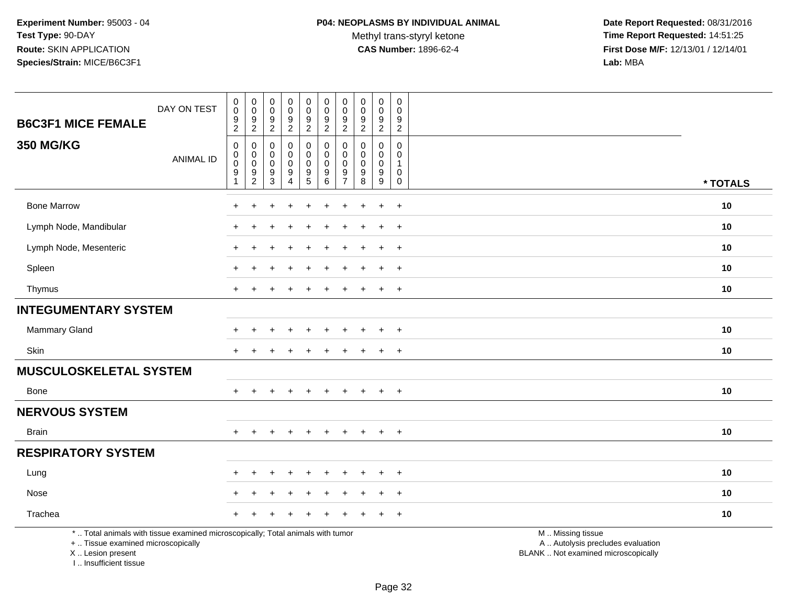Methyl trans-styryl ketone<br>CAS Number: 1896-62-4

 **Date Report Requested:** 08/31/2016 **Time Report Requested:** 14:51:25 **First Dose M/F:** 12/13/01 / 12/14/01<br>Lab: MBA **Lab:** MBA

| <b>B6C3F1 MICE FEMALE</b>                                                                                                                  | DAY ON TEST      | $\pmb{0}$<br>$\mathbf 0$<br>$\boldsymbol{9}$<br>$\overline{c}$ | 0<br>$\pmb{0}$<br>$9\,$<br>$\overline{2}$   | 0<br>$\mathbf 0$<br>9<br>$\sqrt{2}$ | $\pmb{0}$<br>$\pmb{0}$<br>$\boldsymbol{9}$<br>$\boldsymbol{2}$ | $\mathbf 0$<br>$\mathsf 0$<br>9<br>$\overline{2}$                        | $\mathsf 0$<br>$\mathbf 0$<br>$\boldsymbol{9}$<br>$\overline{2}$ | $\pmb{0}$<br>$\mathbf 0$<br>9<br>$\overline{2}$     | $\pmb{0}$<br>$\pmb{0}$<br>$\boldsymbol{9}$<br>$\overline{c}$ | $\mathsf 0$<br>$\mathbf 0$<br>9<br>$\overline{a}$ | $\pmb{0}$<br>$\mathbf 0$<br>9<br>$\overline{2}$                                    |                                                                                               |          |
|--------------------------------------------------------------------------------------------------------------------------------------------|------------------|----------------------------------------------------------------|---------------------------------------------|-------------------------------------|----------------------------------------------------------------|--------------------------------------------------------------------------|------------------------------------------------------------------|-----------------------------------------------------|--------------------------------------------------------------|---------------------------------------------------|------------------------------------------------------------------------------------|-----------------------------------------------------------------------------------------------|----------|
| <b>350 MG/KG</b>                                                                                                                           | <b>ANIMAL ID</b> | $\mathbf 0$<br>$\pmb{0}$<br>$\boldsymbol{0}$<br>$\frac{9}{1}$  | 0<br>0<br>$\boldsymbol{0}$<br>$\frac{9}{2}$ | 0<br>0<br>0<br>$\frac{9}{3}$        | 0<br>$\mathbf 0$<br>0<br>9<br>$\overline{4}$                   | 0<br>$\mathbf 0$<br>$\mathbf 0$<br>$\begin{array}{c} 9 \\ 5 \end{array}$ | $\mathbf 0$<br>$\mathbf 0$<br>$\mathbf 0$<br>$^9$ 6              | 0<br>$\mathbf 0$<br>$\Omega$<br>9<br>$\overline{7}$ | $\mathbf 0$<br>$\mathbf 0$<br>$\mathbf 0$<br>$_{8}^{\rm 9}$  | $\mathbf 0$<br>0<br>$\mathsf{O}$<br>$^9_9$        | $\mathbf 0$<br>$\mathbf{0}$<br>$\mathbf{1}$<br>$\mathsf{O}$<br>$\mathsf{O}\xspace$ |                                                                                               | * TOTALS |
| <b>Bone Marrow</b>                                                                                                                         |                  |                                                                |                                             |                                     |                                                                |                                                                          |                                                                  |                                                     |                                                              | $\ddot{}$                                         | $\overline{+}$                                                                     |                                                                                               | 10       |
| Lymph Node, Mandibular                                                                                                                     |                  |                                                                |                                             |                                     |                                                                |                                                                          |                                                                  |                                                     |                                                              | $\overline{ }$                                    | $+$                                                                                |                                                                                               | 10       |
| Lymph Node, Mesenteric                                                                                                                     |                  |                                                                |                                             |                                     |                                                                |                                                                          |                                                                  |                                                     |                                                              | $\ddot{}$                                         | $\overline{+}$                                                                     |                                                                                               | 10       |
| Spleen                                                                                                                                     |                  |                                                                |                                             |                                     |                                                                |                                                                          |                                                                  |                                                     |                                                              | $\ddot{}$                                         | $\ddot{}$                                                                          |                                                                                               | 10       |
| Thymus                                                                                                                                     |                  | $+$                                                            |                                             |                                     |                                                                | ÷                                                                        |                                                                  |                                                     |                                                              | $\ddot{}$                                         | $+$                                                                                |                                                                                               | 10       |
| <b>INTEGUMENTARY SYSTEM</b>                                                                                                                |                  |                                                                |                                             |                                     |                                                                |                                                                          |                                                                  |                                                     |                                                              |                                                   |                                                                                    |                                                                                               |          |
| Mammary Gland                                                                                                                              |                  |                                                                |                                             |                                     |                                                                |                                                                          |                                                                  |                                                     |                                                              | ÷                                                 | $\overline{+}$                                                                     |                                                                                               | 10       |
| Skin                                                                                                                                       |                  | $\pm$                                                          |                                             |                                     |                                                                |                                                                          |                                                                  |                                                     |                                                              | $\pm$                                             | $+$                                                                                |                                                                                               | 10       |
| <b>MUSCULOSKELETAL SYSTEM</b>                                                                                                              |                  |                                                                |                                             |                                     |                                                                |                                                                          |                                                                  |                                                     |                                                              |                                                   |                                                                                    |                                                                                               |          |
| Bone                                                                                                                                       |                  |                                                                |                                             |                                     |                                                                |                                                                          |                                                                  |                                                     |                                                              | $\ddot{}$                                         | $+$                                                                                |                                                                                               | 10       |
| <b>NERVOUS SYSTEM</b>                                                                                                                      |                  |                                                                |                                             |                                     |                                                                |                                                                          |                                                                  |                                                     |                                                              |                                                   |                                                                                    |                                                                                               |          |
| <b>Brain</b>                                                                                                                               |                  | $+$                                                            | $+$                                         | $+$                                 | $+$                                                            | $+$                                                                      | $+$                                                              | $+$                                                 | $+$                                                          | $+$                                               | $+$                                                                                |                                                                                               | 10       |
| <b>RESPIRATORY SYSTEM</b>                                                                                                                  |                  |                                                                |                                             |                                     |                                                                |                                                                          |                                                                  |                                                     |                                                              |                                                   |                                                                                    |                                                                                               |          |
| Lung                                                                                                                                       |                  |                                                                |                                             |                                     |                                                                |                                                                          |                                                                  |                                                     |                                                              |                                                   | $\ddot{}$                                                                          |                                                                                               | 10       |
| Nose                                                                                                                                       |                  |                                                                |                                             |                                     | +                                                              |                                                                          |                                                                  |                                                     |                                                              | $\overline{+}$                                    | $+$                                                                                |                                                                                               | 10       |
| Trachea                                                                                                                                    |                  |                                                                |                                             |                                     |                                                                |                                                                          |                                                                  |                                                     |                                                              |                                                   | $+$                                                                                |                                                                                               | 10       |
| *  Total animals with tissue examined microscopically; Total animals with tumor<br>+  Tissue examined microscopically<br>X  Lesion present |                  |                                                                |                                             |                                     |                                                                |                                                                          |                                                                  |                                                     |                                                              |                                                   |                                                                                    | M  Missing tissue<br>A  Autolysis precludes evaluation<br>BLANK  Not examined microscopically |          |

I .. Insufficient tissue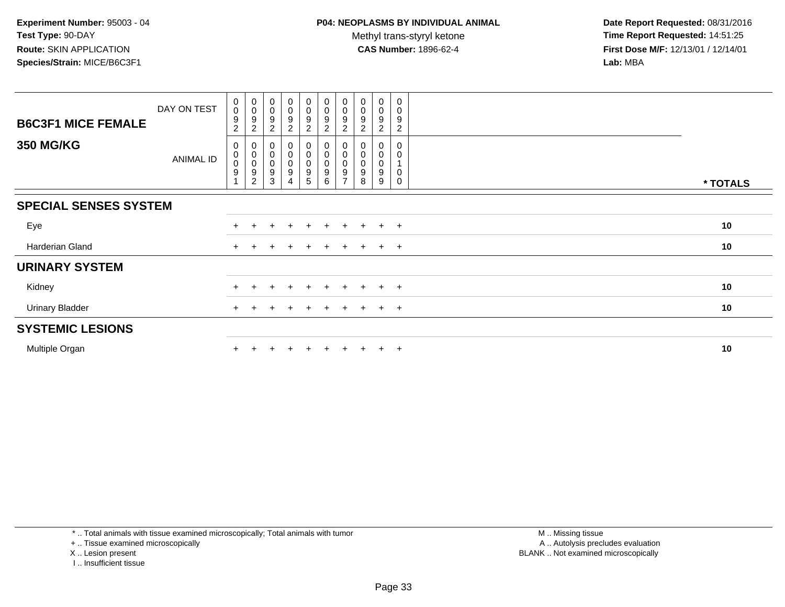**Date Report Requested:** 08/31/2016 **Time Report Requested:** 14:51:25 **First Dose M/F:** 12/13/01 / 12/14/01<br>**Lab:** MBA **Lab:** MBA

| <b>B6C3F1 MICE FEMALE</b>    | DAY ON TEST | 0<br>$\pmb{0}$<br>$\boldsymbol{9}$<br>$\overline{c}$              | $\begin{smallmatrix}0\\0\end{smallmatrix}$<br>$\boldsymbol{9}$<br>$\overline{c}$ | $_{\rm 0}^{\rm 0}$<br>$\boldsymbol{9}$<br>$\overline{2}$    | $_{\rm 0}^{\rm 0}$<br>$\boldsymbol{9}$<br>$\sqrt{2}$                              | $\begin{smallmatrix}0\0\0\end{smallmatrix}$<br>$\boldsymbol{9}$<br>$\overline{2}$ | $_{\rm 0}^{\rm 0}$<br>$\boldsymbol{9}$<br>$\boldsymbol{2}$ | $\begin{smallmatrix}0\\0\end{smallmatrix}$<br>9<br>$\overline{c}$ | $\pmb{0}$<br>$\pmb{0}$<br>9<br>$\overline{2}$ | $\pmb{0}$<br>$\pmb{0}$<br>9<br>$\overline{2}$ | $\mathbf 0$<br>0<br>9<br>$\overline{c}$ |          |
|------------------------------|-------------|-------------------------------------------------------------------|----------------------------------------------------------------------------------|-------------------------------------------------------------|-----------------------------------------------------------------------------------|-----------------------------------------------------------------------------------|------------------------------------------------------------|-------------------------------------------------------------------|-----------------------------------------------|-----------------------------------------------|-----------------------------------------|----------|
| <b>350 MG/KG</b>             | ANIMAL ID   | 0<br>$\pmb{0}$<br>$\pmb{0}$<br>$\boldsymbol{9}$<br>$\overline{A}$ | 0<br>$\pmb{0}$<br>$\pmb{0}$<br>$\boldsymbol{9}$<br>$\overline{c}$                | 0<br>$_{\rm 0}^{\rm 0}$<br>$\boldsymbol{9}$<br>$\mathbf{3}$ | $\pmb{0}$<br>$\begin{smallmatrix}0\0\0\end{smallmatrix}$<br>$\boldsymbol{9}$<br>4 | 0<br>$\boldsymbol{0}$<br>$\pmb{0}$<br>9<br>5                                      | $\mathsf 0$<br>$\pmb{0}$<br>9<br>6                         | $\pmb{0}$<br>$\pmb{0}$<br>9<br>$\rightarrow$                      | 0<br>0<br>9<br>8                              | 0<br>0<br>9<br>9                              | $\overline{0}$<br>0<br>1<br>0<br>0      | * TOTALS |
| <b>SPECIAL SENSES SYSTEM</b> |             |                                                                   |                                                                                  |                                                             |                                                                                   |                                                                                   |                                                            |                                                                   |                                               |                                               |                                         |          |
| Eye                          |             | $+$                                                               |                                                                                  |                                                             | ÷                                                                                 | $\div$                                                                            | $\pm$                                                      | $\pm$                                                             | ÷.                                            | $+$                                           | $+$                                     | 10       |
| Harderian Gland              |             | $+$                                                               |                                                                                  |                                                             |                                                                                   | $\pm$                                                                             | $\pm$                                                      | $\pm$                                                             | $+$                                           | $+$ $+$                                       |                                         | 10       |
| <b>URINARY SYSTEM</b>        |             |                                                                   |                                                                                  |                                                             |                                                                                   |                                                                                   |                                                            |                                                                   |                                               |                                               |                                         |          |
| Kidney                       |             |                                                                   |                                                                                  |                                                             |                                                                                   |                                                                                   |                                                            | $\pm$                                                             | $+$                                           | $+$                                           | $+$                                     | 10       |
| <b>Urinary Bladder</b>       |             |                                                                   |                                                                                  |                                                             |                                                                                   |                                                                                   |                                                            | $\pm$                                                             | ÷.                                            | $+$                                           | $+$                                     | 10       |
| <b>SYSTEMIC LESIONS</b>      |             |                                                                   |                                                                                  |                                                             |                                                                                   |                                                                                   |                                                            |                                                                   |                                               |                                               |                                         |          |
| Multiple Organ               |             |                                                                   |                                                                                  |                                                             |                                                                                   | $\div$                                                                            | $+$                                                        | $+$                                                               |                                               | $+$                                           | $+$                                     | 10       |

\* .. Total animals with tissue examined microscopically; Total animals with tumor

+ .. Tissue examined microscopically

X .. Lesion present

I .. Insufficient tissue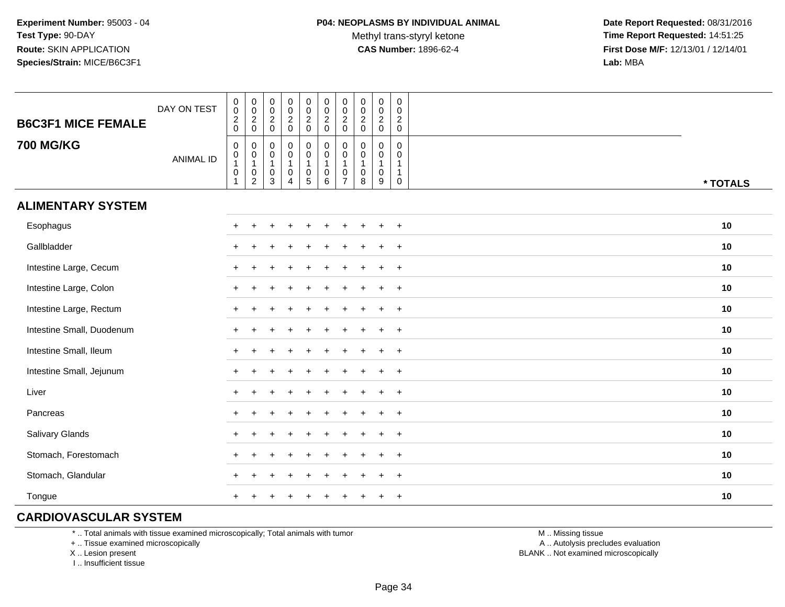**Date Report Requested:** 08/31/2016 **Time Report Requested:** 14:51:25 **First Dose M/F:** 12/13/01 / 12/14/01<br>**Lab:** MBA **Lab:** MBA

| <b>B6C3F1 MICE FEMALE</b> | DAY ON TEST      | $\pmb{0}$<br>$\overline{0}$<br>$\frac{2}{0}$                                         | $\,0\,$<br>$\ddot{\mathbf{0}}$<br>$\overline{c}$<br>$\mathsf{O}\xspace$ | $\pmb{0}$<br>$\ddot{\mathbf{0}}$<br>$\frac{2}{0}$ | $\begin{matrix} 0 \\ 0 \\ 2 \\ 0 \end{matrix}$     | $\begin{matrix} 0 \\ 0 \\ 2 \\ 0 \end{matrix}$                                                   | $\pmb{0}$<br>$\frac{0}{2}$                                   | $\pmb{0}$<br>$\mathbf 0$<br>$\boldsymbol{2}$<br>$\mathbf 0$ | $\pmb{0}$<br>$\mathbf 0$<br>$\overline{c}$<br>$\pmb{0}$ | $_{\rm 0}^{\rm 0}$<br>$\overline{2}$<br>$\pmb{0}$ | $\boldsymbol{0}$<br>$\mathbf 0$<br>$\overline{2}$<br>$\mathbf 0$          |          |
|---------------------------|------------------|--------------------------------------------------------------------------------------|-------------------------------------------------------------------------|---------------------------------------------------|----------------------------------------------------|--------------------------------------------------------------------------------------------------|--------------------------------------------------------------|-------------------------------------------------------------|---------------------------------------------------------|---------------------------------------------------|---------------------------------------------------------------------------|----------|
| <b>700 MG/KG</b>          | <b>ANIMAL ID</b> | $\pmb{0}$<br>$\begin{smallmatrix}0\\1\end{smallmatrix}$<br>$\pmb{0}$<br>$\mathbf{1}$ | 0<br>$\pmb{0}$<br>$\mathbf{1}$<br>$\pmb{0}$<br>$\overline{2}$           | 0<br>0<br>$\mathbf{1}$<br>$\mathbf 0$<br>3        | 0<br>$\pmb{0}$<br>1<br>$\pmb{0}$<br>$\overline{4}$ | $\pmb{0}$<br>$\begin{smallmatrix}0\\1\end{smallmatrix}$<br>$\begin{array}{c} 0 \\ 5 \end{array}$ | $\pmb{0}$<br>$\mathbf 0$<br>$\overline{1}$<br>$\pmb{0}$<br>6 | 0<br>0<br>1<br>$\mathbf 0$<br>$\overline{7}$                | $\mathbf 0$<br>$\mathbf 0$<br>$\mathbf{1}$<br>0<br>8    | 0<br>0<br>$\mathbf{1}$<br>$\pmb{0}$<br>9          | $\mathbf 0$<br>$\mathbf 0$<br>$\mathbf{1}$<br>$\mathbf{1}$<br>$\mathbf 0$ | * TOTALS |
| <b>ALIMENTARY SYSTEM</b>  |                  |                                                                                      |                                                                         |                                                   |                                                    |                                                                                                  |                                                              |                                                             |                                                         |                                                   |                                                                           |          |
| Esophagus                 |                  |                                                                                      |                                                                         |                                                   |                                                    |                                                                                                  |                                                              |                                                             |                                                         |                                                   | $+$                                                                       | 10       |
| Gallbladder               |                  |                                                                                      |                                                                         |                                                   |                                                    |                                                                                                  |                                                              |                                                             |                                                         |                                                   | $\ddot{}$                                                                 | 10       |
| Intestine Large, Cecum    |                  |                                                                                      |                                                                         |                                                   |                                                    |                                                                                                  |                                                              |                                                             |                                                         |                                                   | $\ddot{}$                                                                 | 10       |
| Intestine Large, Colon    |                  |                                                                                      |                                                                         |                                                   |                                                    |                                                                                                  |                                                              |                                                             |                                                         |                                                   | $\ddot{}$                                                                 | 10       |
| Intestine Large, Rectum   |                  |                                                                                      |                                                                         |                                                   |                                                    |                                                                                                  |                                                              |                                                             |                                                         | $\div$                                            | $\ddot{}$                                                                 | 10       |
| Intestine Small, Duodenum |                  |                                                                                      |                                                                         |                                                   |                                                    |                                                                                                  |                                                              |                                                             |                                                         | $\div$                                            | $+$                                                                       | 10       |
| Intestine Small, Ileum    |                  |                                                                                      |                                                                         |                                                   |                                                    |                                                                                                  |                                                              |                                                             |                                                         | $\ddot{}$                                         | $+$                                                                       | 10       |
| Intestine Small, Jejunum  |                  |                                                                                      |                                                                         |                                                   |                                                    |                                                                                                  |                                                              |                                                             |                                                         | $\ddot{}$                                         | $+$                                                                       | 10       |
| Liver                     |                  | $+$                                                                                  |                                                                         |                                                   |                                                    |                                                                                                  |                                                              |                                                             |                                                         | ÷                                                 | $+$                                                                       | 10       |
| Pancreas                  |                  | $+$                                                                                  |                                                                         |                                                   |                                                    |                                                                                                  |                                                              |                                                             |                                                         | $\ddot{}$                                         | $+$                                                                       | 10       |
| Salivary Glands           |                  | $\pm$                                                                                |                                                                         |                                                   |                                                    |                                                                                                  |                                                              |                                                             |                                                         | $\mathbf +$                                       | $+$                                                                       | 10       |
| Stomach, Forestomach      |                  |                                                                                      |                                                                         |                                                   |                                                    |                                                                                                  |                                                              |                                                             |                                                         |                                                   | $\overline{+}$                                                            | 10       |
| Stomach, Glandular        |                  |                                                                                      |                                                                         |                                                   |                                                    |                                                                                                  |                                                              |                                                             |                                                         |                                                   | $\ddot{}$                                                                 | 10       |
| Tongue                    |                  |                                                                                      |                                                                         |                                                   |                                                    |                                                                                                  |                                                              |                                                             |                                                         | $\ddot{}$                                         | $\overline{+}$                                                            | 10       |

### **CARDIOVASCULAR SYSTEM**

\* .. Total animals with tissue examined microscopically; Total animals with tumor

+ .. Tissue examined microscopically

X .. Lesion present

I .. Insufficient tissue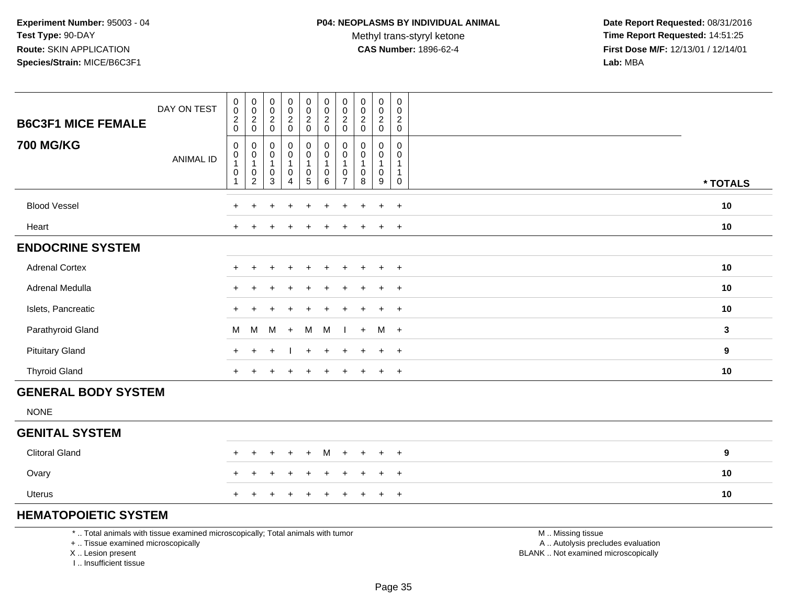Methyl trans-styryl ketone<br>CAS Number: 1896-62-4

 **Date Report Requested:** 08/31/2016 **Time Report Requested:** 14:51:25 **First Dose M/F:** 12/13/01 / 12/14/01<br>**Lab:** MBA **Lab:** MBA

| <b>B6C3F1 MICE FEMALE</b>  | DAY ON TEST      | $\pmb{0}$<br>$\pmb{0}$<br>$\sqrt{2}$<br>$\mathbf 0$     | $\begin{smallmatrix} 0\\0 \end{smallmatrix}$<br>$\frac{2}{0}$                                     | $\pmb{0}$<br>$\mathbf 0$<br>$\frac{2}{0}$                                      | 0<br>$\pmb{0}$<br>$\frac{2}{0}$                                           | $\pmb{0}$<br>$\mathbf 0$<br>$\overline{2}$<br>$\mathbf 0$                   | $\pmb{0}$<br>$\mathbf 0$<br>$\overline{2}$<br>$\mathbf 0$     | $\pmb{0}$<br>$\pmb{0}$<br>$\sqrt{2}$<br>$\mathbf 0$                           | $\pmb{0}$<br>$\pmb{0}$<br>$\sqrt{2}$<br>$\mathbf 0$        | 0<br>$\mathbf 0$<br>$\overline{c}$<br>$\mathbf 0$  | $\mathbf 0$<br>$\mathbf 0$<br>$\sqrt{2}$<br>$\mathbf 0$   |             |
|----------------------------|------------------|---------------------------------------------------------|---------------------------------------------------------------------------------------------------|--------------------------------------------------------------------------------|---------------------------------------------------------------------------|-----------------------------------------------------------------------------|---------------------------------------------------------------|-------------------------------------------------------------------------------|------------------------------------------------------------|----------------------------------------------------|-----------------------------------------------------------|-------------|
| <b>700 MG/KG</b>           | <b>ANIMAL ID</b> | $\mathbf 0$<br>$\mathbf 0$<br>$\pmb{0}$<br>$\mathbf{1}$ | $\pmb{0}$<br>$\pmb{0}$<br>$\overline{\mathbf{1}}$<br>$\begin{smallmatrix} 0\\2 \end{smallmatrix}$ | $\pmb{0}$<br>$\mathbf 0$<br>$\overline{1}$<br>$\boldsymbol{0}$<br>$\mathbf{3}$ | $\pmb{0}$<br>$\mathbf 0$<br>$\mathbf{1}$<br>$\mathsf 0$<br>$\overline{4}$ | $\pmb{0}$<br>$\mathbf 0$<br>$\overline{1}$<br>$\mathsf 0$<br>$\overline{5}$ | 0<br>$\pmb{0}$<br>$\mathbf{1}$<br>$\pmb{0}$<br>$6\phantom{1}$ | $\mathbf 0$<br>$\mathbf 0$<br>$\overline{1}$<br>$\mathbf 0$<br>$\overline{7}$ | $\pmb{0}$<br>$\mathbf 0$<br>$\mathbf{1}$<br>$\pmb{0}$<br>8 | $\mathbf 0$<br>0<br>$\mathbf{1}$<br>$\pmb{0}$<br>9 | 0<br>0<br>$\overline{1}$<br>$\overline{1}$<br>$\mathbf 0$ | * TOTALS    |
| <b>Blood Vessel</b>        |                  | $\ddot{}$                                               | $\ddot{}$                                                                                         | $\ddot{}$                                                                      | $\ddot{}$                                                                 | $\ddot{}$                                                                   | $\ddot{}$                                                     | $\ddot{}$                                                                     | $\ddot{}$                                                  | $\ddot{}$                                          | $+$                                                       | $10$        |
| Heart                      |                  | $+$                                                     |                                                                                                   |                                                                                |                                                                           |                                                                             | $\div$                                                        |                                                                               | $\div$                                                     | $\ddot{}$                                          | $+$                                                       | $10$        |
| <b>ENDOCRINE SYSTEM</b>    |                  |                                                         |                                                                                                   |                                                                                |                                                                           |                                                                             |                                                               |                                                                               |                                                            |                                                    |                                                           |             |
| <b>Adrenal Cortex</b>      |                  | $+$                                                     |                                                                                                   |                                                                                |                                                                           |                                                                             |                                                               |                                                                               |                                                            | $\ddot{}$                                          | $+$                                                       | 10          |
| Adrenal Medulla            |                  | $\ddot{}$                                               |                                                                                                   |                                                                                |                                                                           |                                                                             |                                                               |                                                                               |                                                            | $\ddot{}$                                          | $\ddot{}$                                                 | 10          |
| Islets, Pancreatic         |                  | $\div$                                                  |                                                                                                   |                                                                                |                                                                           |                                                                             |                                                               |                                                                               |                                                            | ÷                                                  | $\ddot{}$                                                 | 10          |
| Parathyroid Gland          |                  | м                                                       | M                                                                                                 | M                                                                              | $\ddot{}$                                                                 | M                                                                           | M                                                             |                                                                               | $+$                                                        | M                                                  | $+$                                                       | $\mathbf 3$ |
| <b>Pituitary Gland</b>     |                  | $+$                                                     | $+$                                                                                               | ÷                                                                              |                                                                           | $+$                                                                         | $\ddot{}$                                                     | ÷                                                                             | $\ddot{}$                                                  | $\ddot{}$                                          | $+$                                                       | 9           |
| <b>Thyroid Gland</b>       |                  | $+$                                                     |                                                                                                   |                                                                                | $\ddot{}$                                                                 | $\ddot{}$                                                                   | $\ddot{}$                                                     |                                                                               | $\div$                                                     | $+$                                                | $+$                                                       | 10          |
| <b>GENERAL BODY SYSTEM</b> |                  |                                                         |                                                                                                   |                                                                                |                                                                           |                                                                             |                                                               |                                                                               |                                                            |                                                    |                                                           |             |
| <b>NONE</b>                |                  |                                                         |                                                                                                   |                                                                                |                                                                           |                                                                             |                                                               |                                                                               |                                                            |                                                    |                                                           |             |
| <b>GENITAL SYSTEM</b>      |                  |                                                         |                                                                                                   |                                                                                |                                                                           |                                                                             |                                                               |                                                                               |                                                            |                                                    |                                                           |             |
| <b>Clitoral Gland</b>      |                  | $\ddot{}$                                               | ÷                                                                                                 |                                                                                | $\div$                                                                    | $+$                                                                         | M                                                             | $+$                                                                           | $\ddot{}$                                                  | $\ddot{}$                                          | $+$                                                       | 9           |
| Ovary                      |                  | $\ddot{}$                                               |                                                                                                   |                                                                                |                                                                           | ÷.                                                                          | $\ddot{}$                                                     |                                                                               |                                                            | $\ddot{}$                                          | $+$                                                       | 10          |
| <b>Uterus</b>              |                  | $\pm$                                                   |                                                                                                   |                                                                                |                                                                           |                                                                             |                                                               |                                                                               |                                                            | $\ddot{}$                                          | $+$                                                       | 10          |

# **HEMATOPOIETIC SYSTEM**

\* .. Total animals with tissue examined microscopically; Total animals with tumor

┰

+ .. Tissue examined microscopically

X .. Lesion present

I .. Insufficient tissue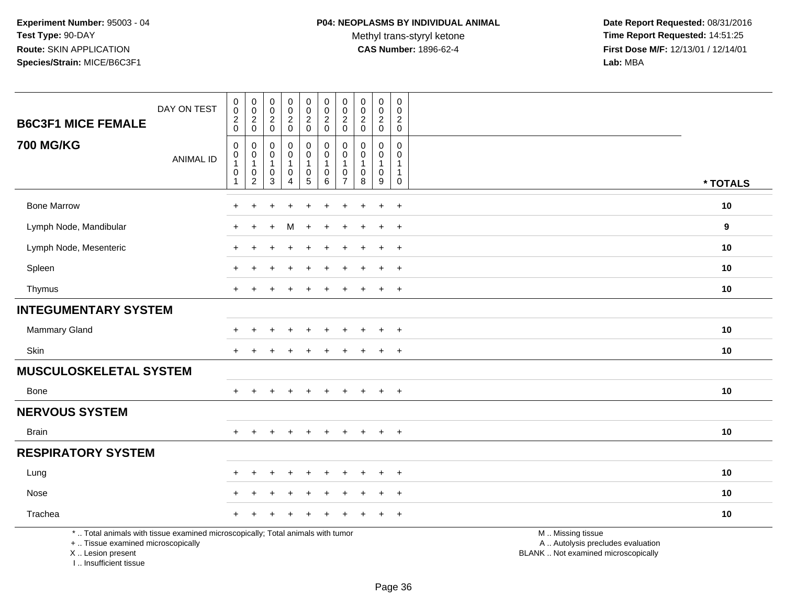Methyl trans-styryl ketone<br>CAS Number: 1896-62-4

 **Date Report Requested:** 08/31/2016 **Time Report Requested:** 14:51:25 **First Dose M/F:** 12/13/01 / 12/14/01<br>Lab: MBA **Lab:** MBA

| <b>B6C3F1 MICE FEMALE</b>                                                                                                                  | DAY ON TEST      | $\pmb{0}$<br>$\pmb{0}$<br>$\boldsymbol{2}$<br>$\mathbf 0$ | $\pmb{0}$<br>$\mathbf 0$<br>$\boldsymbol{2}$<br>$\mathbf 0$       | $\pmb{0}$<br>$\mathsf{O}\xspace$<br>$\frac{2}{0}$ | 0<br>$\mathsf 0$<br>$\overline{2}$<br>$\pmb{0}$ | $\pmb{0}$<br>$\begin{matrix} 0 \\ 2 \\ 0 \end{matrix}$                  | $\pmb{0}$<br>$\pmb{0}$<br>$\sqrt{2}$<br>$\mathsf 0$                  | $\pmb{0}$<br>$\mathbf 0$<br>$\overline{2}$<br>$\mathbf 0$ | $\pmb{0}$<br>$\mathbf 0$<br>$\boldsymbol{2}$<br>$\mathbf 0$ | $\pmb{0}$<br>$\mathbf 0$<br>$\overline{2}$<br>$\mathbf 0$ | $\mathsf{O}\xspace$<br>$\mathbf 0$<br>$\overline{c}$<br>$\mathbf 0$       |                                                                                               |          |
|--------------------------------------------------------------------------------------------------------------------------------------------|------------------|-----------------------------------------------------------|-------------------------------------------------------------------|---------------------------------------------------|-------------------------------------------------|-------------------------------------------------------------------------|----------------------------------------------------------------------|-----------------------------------------------------------|-------------------------------------------------------------|-----------------------------------------------------------|---------------------------------------------------------------------------|-----------------------------------------------------------------------------------------------|----------|
| <b>700 MG/KG</b>                                                                                                                           | <b>ANIMAL ID</b> | $\mathbf 0$<br>0<br>$\overline{1}$<br>$\mathbf 0$<br>1    | $\mathbf 0$<br>$\mathbf 0$<br>$\mathbf{1}$<br>0<br>$\overline{c}$ | 0<br>$\mathbf 0$<br>1<br>$\pmb{0}$<br>3           | 0<br>0<br>1<br>0<br>$\overline{4}$              | 0<br>$\mathsf{O}\xspace$<br>$\mathbf{1}$<br>$\pmb{0}$<br>$\overline{5}$ | $\mathbf 0$<br>$\mathbf 0$<br>$\overline{1}$<br>0<br>$6\phantom{1}6$ | 0<br>$\Omega$<br>0<br>$\overline{7}$                      | $\Omega$<br>$\Omega$<br>1<br>0<br>8                         | $\mathbf 0$<br>0<br>$\mathbf{1}$<br>$\mathbf 0$<br>9      | $\mathbf 0$<br>$\mathbf 0$<br>$\mathbf{1}$<br>$\mathbf{1}$<br>$\mathbf 0$ |                                                                                               | * TOTALS |
| <b>Bone Marrow</b>                                                                                                                         |                  | ÷                                                         | +                                                                 |                                                   |                                                 | ٠                                                                       |                                                                      | ÷                                                         |                                                             | $\ddot{}$                                                 | $+$                                                                       |                                                                                               | 10       |
| Lymph Node, Mandibular                                                                                                                     |                  | $\pm$                                                     | $\ddot{}$                                                         |                                                   | м                                               | $\ddot{}$                                                               | $\div$                                                               | $\pm$                                                     |                                                             | $\ddot{}$                                                 | $+$                                                                       |                                                                                               | 9        |
| Lymph Node, Mesenteric                                                                                                                     |                  |                                                           |                                                                   |                                                   |                                                 |                                                                         |                                                                      |                                                           |                                                             |                                                           | $\ddot{}$                                                                 |                                                                                               | 10       |
| Spleen                                                                                                                                     |                  |                                                           |                                                                   |                                                   |                                                 | ÷.                                                                      |                                                                      |                                                           |                                                             | $\pm$                                                     | $+$                                                                       |                                                                                               | 10       |
| Thymus                                                                                                                                     |                  | $+$                                                       | $\ddot{}$                                                         |                                                   | $\ddot{}$                                       | $\ddot{}$                                                               | $\ddot{}$                                                            | $\ddot{}$                                                 | $\ddot{}$                                                   | $\ddot{}$                                                 | $+$                                                                       |                                                                                               | 10       |
| <b>INTEGUMENTARY SYSTEM</b>                                                                                                                |                  |                                                           |                                                                   |                                                   |                                                 |                                                                         |                                                                      |                                                           |                                                             |                                                           |                                                                           |                                                                                               |          |
| <b>Mammary Gland</b>                                                                                                                       |                  |                                                           |                                                                   |                                                   |                                                 |                                                                         |                                                                      |                                                           |                                                             | $\div$                                                    | $\overline{+}$                                                            |                                                                                               | 10       |
| <b>Skin</b>                                                                                                                                |                  | $\pm$                                                     |                                                                   |                                                   |                                                 |                                                                         |                                                                      |                                                           |                                                             | $\ddot{}$                                                 | $+$                                                                       |                                                                                               | 10       |
| <b>MUSCULOSKELETAL SYSTEM</b>                                                                                                              |                  |                                                           |                                                                   |                                                   |                                                 |                                                                         |                                                                      |                                                           |                                                             |                                                           |                                                                           |                                                                                               |          |
| Bone                                                                                                                                       |                  |                                                           |                                                                   |                                                   |                                                 |                                                                         |                                                                      |                                                           |                                                             | $\ddot{}$                                                 | $+$                                                                       |                                                                                               | 10       |
| <b>NERVOUS SYSTEM</b>                                                                                                                      |                  |                                                           |                                                                   |                                                   |                                                 |                                                                         |                                                                      |                                                           |                                                             |                                                           |                                                                           |                                                                                               |          |
| <b>Brain</b>                                                                                                                               |                  | $+$                                                       | $+$                                                               | $+$                                               | $+$                                             | $+$                                                                     | $+$                                                                  | $+$                                                       | $+$                                                         | $+$                                                       | $+$                                                                       |                                                                                               | 10       |
| <b>RESPIRATORY SYSTEM</b>                                                                                                                  |                  |                                                           |                                                                   |                                                   |                                                 |                                                                         |                                                                      |                                                           |                                                             |                                                           |                                                                           |                                                                                               |          |
| Lung                                                                                                                                       |                  |                                                           |                                                                   |                                                   |                                                 |                                                                         |                                                                      |                                                           |                                                             | $\ddot{}$                                                 | $\ddot{}$                                                                 |                                                                                               | 10       |
| Nose                                                                                                                                       |                  |                                                           |                                                                   |                                                   |                                                 |                                                                         |                                                                      |                                                           |                                                             | $\ddot{}$                                                 | $+$                                                                       |                                                                                               | 10       |
| Trachea                                                                                                                                    |                  |                                                           |                                                                   |                                                   |                                                 |                                                                         |                                                                      |                                                           |                                                             |                                                           | $+$                                                                       |                                                                                               | 10       |
| *  Total animals with tissue examined microscopically; Total animals with tumor<br>+  Tissue examined microscopically<br>X  Lesion present |                  |                                                           |                                                                   |                                                   |                                                 |                                                                         |                                                                      |                                                           |                                                             |                                                           |                                                                           | M  Missing tissue<br>A  Autolysis precludes evaluation<br>BLANK  Not examined microscopically |          |

I .. Insufficient tissue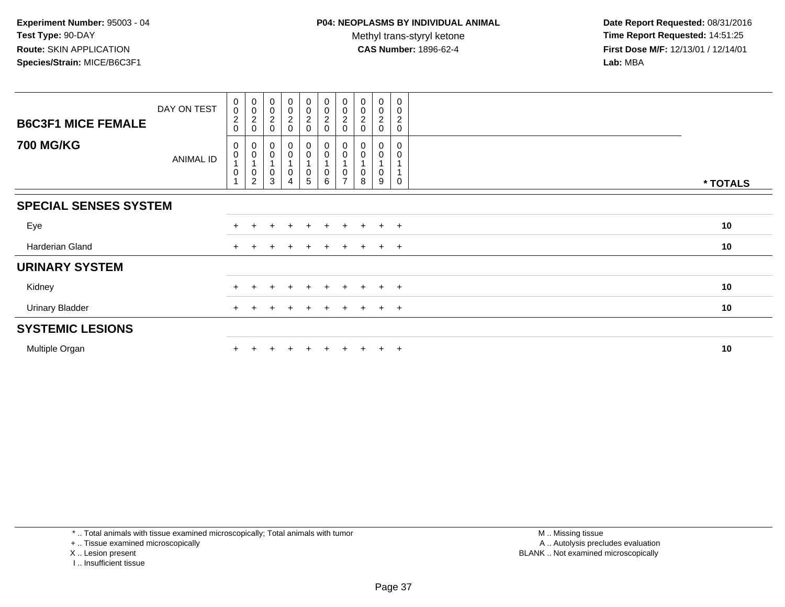**Date Report Requested:** 08/31/2016 **Time Report Requested:** 14:51:25 **First Dose M/F:** 12/13/01 / 12/14/01<br>**Lab:** MBA **Lab:** MBA

| <b>B6C3F1 MICE FEMALE</b>    | DAY ON TEST      | $\mathbf 0$<br>$\mathbf 0$<br>$\overline{c}$<br>$\mathbf 0$ | $\begin{matrix} 0 \\ 0 \\ 2 \\ 0 \end{matrix}$ | $\begin{matrix} 0 \\ 0 \\ 2 \end{matrix}$<br>$\mathbf 0$ | 0<br>$\begin{smallmatrix} 0\\2 \end{smallmatrix}$<br>$\mathbf 0$ | $\pmb{0}$<br>$\begin{smallmatrix} 0\\2 \end{smallmatrix}$<br>$\Omega$ | $\pmb{0}$<br>$\pmb{0}$<br>$\boldsymbol{2}$<br>$\mathbf 0$ | $\pmb{0}$<br>0<br>$\boldsymbol{2}$<br>$\mathbf{0}$ | $_{\rm 0}^{\rm 0}$<br>$\sqrt{2}$<br>0 | $\begin{smallmatrix} 0\\0\\2 \end{smallmatrix}$<br>0           | 0<br>0<br>$\boldsymbol{2}$<br>0 |          |
|------------------------------|------------------|-------------------------------------------------------------|------------------------------------------------|----------------------------------------------------------|------------------------------------------------------------------|-----------------------------------------------------------------------|-----------------------------------------------------------|----------------------------------------------------|---------------------------------------|----------------------------------------------------------------|---------------------------------|----------|
| <b>700 MG/KG</b>             | <b>ANIMAL ID</b> | 0<br>0<br>$\mathbf 0$                                       | $_{\rm 0}^{\rm 0}$<br>$^{\rm 0}_{\rm 2}$       | $\pmb{0}$<br>$\mathbf 0$<br>$\,0\,$<br>3                 | 0<br>0<br>0<br>4                                                 | $\boldsymbol{0}$<br>$\pmb{0}$<br>$\mathbf 0$<br>5                     | 0<br>$\pmb{0}$<br>0<br>6                                  |                                                    | $\pmb{0}$<br>$\pmb{0}$<br>8           | $\begin{smallmatrix} 0\\0 \end{smallmatrix}$<br>$\pmb{0}$<br>9 | 0<br>0<br>$\Omega$              | * TOTALS |
| <b>SPECIAL SENSES SYSTEM</b> |                  |                                                             |                                                |                                                          |                                                                  |                                                                       |                                                           |                                                    |                                       |                                                                |                                 |          |
| Eye                          |                  | $+$                                                         |                                                |                                                          | $\ddot{}$                                                        |                                                                       | $\ddot{}$                                                 | $+$                                                | $\div$                                | $\ddot{}$                                                      | $+$                             | 10       |
| Harderian Gland              |                  | $+$                                                         |                                                |                                                          | $\ddot{}$                                                        |                                                                       | $\pm$                                                     | $+$                                                | $+$                                   | $+$                                                            | $+$                             | 10       |
| <b>URINARY SYSTEM</b>        |                  |                                                             |                                                |                                                          |                                                                  |                                                                       |                                                           |                                                    |                                       |                                                                |                                 |          |
| Kidney                       |                  |                                                             |                                                |                                                          |                                                                  |                                                                       |                                                           |                                                    |                                       | $\pm$                                                          | $^{+}$                          | 10       |
| <b>Urinary Bladder</b>       |                  |                                                             |                                                |                                                          | $\div$                                                           | $\pm$                                                                 | $+$                                                       | $+$                                                | $\pm$                                 | $+$                                                            | $+$                             | 10       |
| <b>SYSTEMIC LESIONS</b>      |                  |                                                             |                                                |                                                          |                                                                  |                                                                       |                                                           |                                                    |                                       |                                                                |                                 |          |
| Multiple Organ               |                  |                                                             |                                                |                                                          | $\ddot{}$                                                        |                                                                       | $+$                                                       | $+$                                                |                                       | $+$                                                            | $+$                             | 10       |

\* .. Total animals with tissue examined microscopically; Total animals with tumor

+ .. Tissue examined microscopically

X .. Lesion present

I .. Insufficient tissue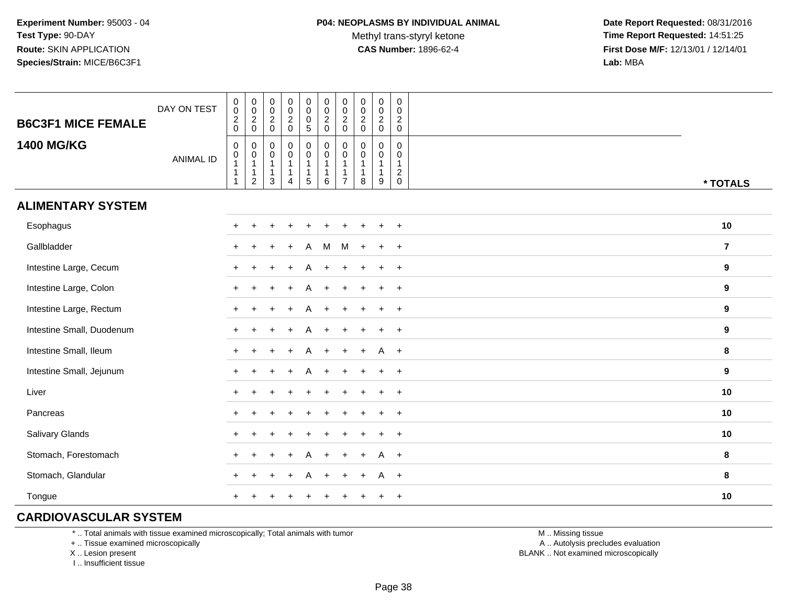**Date Report Requested:** 08/31/2016 **Time Report Requested:** 14:51:25 **First Dose M/F:** 12/13/01 / 12/14/01<br>**Lab:** MBA **Lab:** MBA

| <b>B6C3F1 MICE FEMALE</b> | DAY ON TEST      | $_{\rm 0}^{\rm 0}$<br>$\frac{2}{0}$                                                              | $_{\rm 0}^{\rm 0}$<br>$\frac{2}{0}$                              | $\pmb{0}$<br>$\mathsf{O}\xspace$<br>$\frac{2}{0}$ | $\begin{matrix} 0 \\ 0 \\ 2 \\ 0 \end{matrix}$  | $\begin{smallmatrix} 0\\0 \end{smallmatrix}$<br>$\frac{0}{5}$                                   | $\begin{matrix} 0 \\ 0 \\ 2 \\ 0 \end{matrix}$                      | $\pmb{0}$<br>$\mathbf 0$<br>$\boldsymbol{2}$<br>$\mathsf{O}\xspace$ | $\pmb{0}$<br>$\mathbf 0$<br>$\frac{2}{0}$ | $_{\rm 0}^{\rm 0}$<br>$\frac{2}{0}$ | $\mathbf 0$<br>$\mathbf 0$<br>$^2_{\rm 0}$                              |                  |
|---------------------------|------------------|--------------------------------------------------------------------------------------------------|------------------------------------------------------------------|---------------------------------------------------|-------------------------------------------------|-------------------------------------------------------------------------------------------------|---------------------------------------------------------------------|---------------------------------------------------------------------|-------------------------------------------|-------------------------------------|-------------------------------------------------------------------------|------------------|
| <b>1400 MG/KG</b>         | <b>ANIMAL ID</b> | $\boldsymbol{0}$<br>$\begin{smallmatrix}0\\1\end{smallmatrix}$<br>$\overline{1}$<br>$\mathbf{1}$ | 0<br>$\pmb{0}$<br>$\mathbf{1}$<br>$\mathbf{1}$<br>$\overline{2}$ | 0<br>0<br>$\mathbf{1}$<br>$\mathbf{1}$<br>3       | $\pmb{0}$<br>$\pmb{0}$<br>$\mathbf 1$<br>1<br>4 | $\begin{smallmatrix} 0\\0 \end{smallmatrix}$<br>$\overline{1}$<br>$\overline{1}$<br>$\,$ 5 $\,$ | $\pmb{0}$<br>$\mathbf 0$<br>$\mathbf{1}$<br>$\mathbf{1}$<br>$\,6\,$ | 0<br>$\mathbf 0$<br>$\overline{7}$                                  | $\mathbf 0$<br>$\Omega$<br>1<br>8         | 0<br>0<br>1<br>$\mathbf{1}$<br>9    | $\mathbf 0$<br>$\mathbf 0$<br>$\mathbf{1}$<br>$\sqrt{2}$<br>$\mathbf 0$ | * TOTALS         |
| <b>ALIMENTARY SYSTEM</b>  |                  |                                                                                                  |                                                                  |                                                   |                                                 |                                                                                                 |                                                                     |                                                                     |                                           |                                     |                                                                         |                  |
| Esophagus                 |                  | $+$                                                                                              |                                                                  |                                                   |                                                 |                                                                                                 |                                                                     |                                                                     |                                           |                                     | $+$                                                                     | 10               |
| Gallbladder               |                  |                                                                                                  |                                                                  |                                                   |                                                 | A                                                                                               | M                                                                   | M                                                                   |                                           | $\ddot{}$                           | $+$                                                                     | $\overline{7}$   |
| Intestine Large, Cecum    |                  |                                                                                                  |                                                                  |                                                   |                                                 |                                                                                                 |                                                                     |                                                                     |                                           |                                     | $\overline{+}$                                                          | $\boldsymbol{9}$ |
| Intestine Large, Colon    |                  |                                                                                                  |                                                                  |                                                   |                                                 |                                                                                                 |                                                                     |                                                                     |                                           | $\div$                              | $\ddot{}$                                                               | 9                |
| Intestine Large, Rectum   |                  |                                                                                                  |                                                                  |                                                   |                                                 |                                                                                                 |                                                                     |                                                                     |                                           |                                     | $\ddot{}$                                                               | 9                |
| Intestine Small, Duodenum |                  |                                                                                                  |                                                                  |                                                   |                                                 | Α                                                                                               |                                                                     |                                                                     |                                           |                                     | $\ddot{}$                                                               | 9                |
| Intestine Small, Ileum    |                  |                                                                                                  |                                                                  |                                                   |                                                 | A                                                                                               |                                                                     |                                                                     |                                           |                                     | $A +$                                                                   | 8                |
| Intestine Small, Jejunum  |                  |                                                                                                  |                                                                  |                                                   |                                                 | A                                                                                               |                                                                     |                                                                     |                                           | $+$                                 | $+$                                                                     | $\boldsymbol{9}$ |
| Liver                     |                  |                                                                                                  |                                                                  |                                                   |                                                 |                                                                                                 |                                                                     |                                                                     |                                           |                                     | $\overline{+}$                                                          | 10               |
| Pancreas                  |                  | $+$                                                                                              |                                                                  |                                                   |                                                 |                                                                                                 |                                                                     |                                                                     |                                           |                                     | $+$                                                                     | 10               |
| Salivary Glands           |                  |                                                                                                  |                                                                  |                                                   |                                                 |                                                                                                 |                                                                     |                                                                     |                                           |                                     | $\overline{+}$                                                          | 10               |
| Stomach, Forestomach      |                  |                                                                                                  |                                                                  |                                                   |                                                 |                                                                                                 |                                                                     |                                                                     |                                           | А                                   | $+$                                                                     | 8                |
| Stomach, Glandular        |                  |                                                                                                  |                                                                  |                                                   |                                                 | А                                                                                               |                                                                     |                                                                     |                                           | A                                   | $+$                                                                     | 8                |
| Tongue                    |                  |                                                                                                  |                                                                  |                                                   | $\pm$                                           |                                                                                                 |                                                                     |                                                                     |                                           | $\div$                              | $+$                                                                     | 10               |

### **CARDIOVASCULAR SYSTEM**

\* .. Total animals with tissue examined microscopically; Total animals with tumor

+ .. Tissue examined microscopically

X .. Lesion present

I .. Insufficient tissue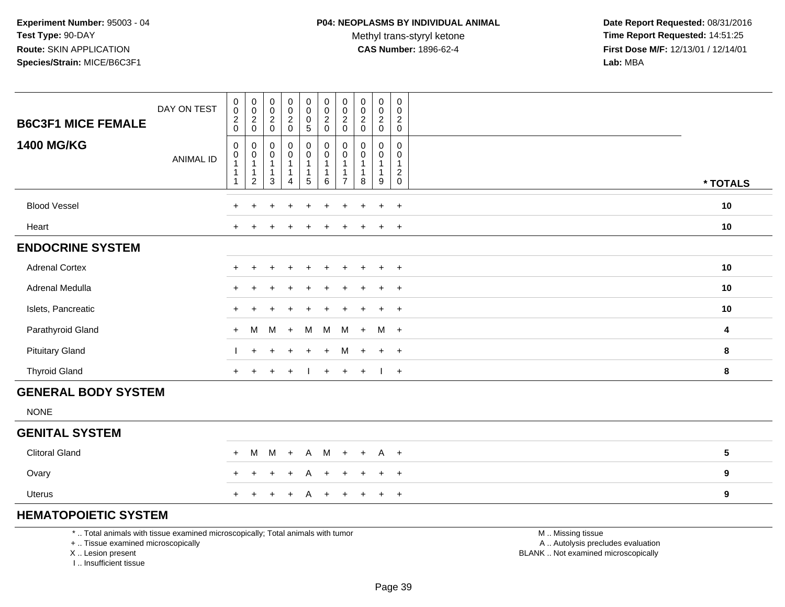Methyl trans-styryl ketone<br>CAS Number: 1896-62-4

 **Date Report Requested:** 08/31/2016 **Time Report Requested:** 14:51:25 **First Dose M/F:** 12/13/01 / 12/14/01<br>**Lab:** MBA **Lab:** MBA

| <b>B6C3F1 MICE FEMALE</b><br><b>1400 MG/KG</b> | DAY ON TEST      | $\pmb{0}$<br>$\mathbf 0$<br>$\frac{2}{0}$<br>$\mathbf 0$        | $\mathbf 0$<br>$\boldsymbol{0}$<br>$\frac{2}{0}$<br>$\mathbf 0$    | $\pmb{0}$<br>$\mathsf{O}\xspace$<br>$\frac{2}{0}$<br>$\,0\,$ | $\begin{matrix} 0 \\ 0 \\ 2 \\ 0 \end{matrix}$<br>$\pmb{0}$      | $\mathbf 0$<br>$\mathbf 0$<br>$\frac{0}{5}$<br>0 | $_{\rm 0}^{\rm 0}$<br>$\frac{2}{0}$<br>$\pmb{0}$          | $\pmb{0}$<br>$\mathbf 0$<br>$\overline{\mathbf{c}}$<br>$\mathbf 0$<br>0 | $\pmb{0}$<br>$\mathbf 0$<br>$\frac{2}{0}$<br>$\pmb{0}$ | $\begin{smallmatrix}0\0\0\end{smallmatrix}$<br>$\frac{2}{0}$<br>$\mathsf{O}$ | $\mathsf{O}$<br>0<br>$\overline{c}$<br>$\mathbf 0$<br>$\mathbf 0$ |                         |
|------------------------------------------------|------------------|-----------------------------------------------------------------|--------------------------------------------------------------------|--------------------------------------------------------------|------------------------------------------------------------------|--------------------------------------------------|-----------------------------------------------------------|-------------------------------------------------------------------------|--------------------------------------------------------|------------------------------------------------------------------------------|-------------------------------------------------------------------|-------------------------|
|                                                | <b>ANIMAL ID</b> | $\boldsymbol{0}$<br>$\mathbf{1}$<br>$\mathbf 1$<br>$\mathbf{1}$ | $\boldsymbol{0}$<br>$\mathbf{1}$<br>$\mathbf{1}$<br>$\overline{c}$ | $\pmb{0}$<br>$\mathbf{1}$<br>$\mathbf{1}$<br>$\sqrt{3}$      | $\overline{0}$<br>$\mathbf{1}$<br>$\mathbf{1}$<br>$\overline{4}$ | $\mathsf{O}\xspace$<br>1<br>5                    | $\overline{0}$<br>$\mathbf{1}$<br>$\mathbf{1}$<br>$\,6\,$ | $\mathbf 0$<br>$\mathbf{1}$<br>1<br>$\overline{7}$                      | $\pmb{0}$<br>$\mathbf{1}$<br>$\mathbf{1}$<br>8         | $\mathsf{O}$<br>$\mathbf{1}$<br>$\mathbf{1}$<br>9                            | 0<br>$\mathbf{1}$<br>$\overline{c}$<br>$\pmb{0}$                  | * TOTALS                |
| <b>Blood Vessel</b>                            |                  | $\ddot{}$                                                       | $\ddot{}$                                                          | ÷                                                            | $\ddot{}$                                                        | $\ddot{}$                                        | $\ddot{}$                                                 | $\ddot{}$                                                               | $\ddot{}$                                              | $\ddot{}$                                                                    | $+$                                                               | $10$                    |
| Heart                                          |                  |                                                                 |                                                                    |                                                              |                                                                  |                                                  |                                                           |                                                                         |                                                        | $+$                                                                          | $+$                                                               | $10$                    |
| <b>ENDOCRINE SYSTEM</b>                        |                  |                                                                 |                                                                    |                                                              |                                                                  |                                                  |                                                           |                                                                         |                                                        |                                                                              |                                                                   |                         |
| <b>Adrenal Cortex</b>                          |                  | $\div$                                                          |                                                                    |                                                              |                                                                  |                                                  |                                                           |                                                                         |                                                        | $\overline{+}$                                                               | $+$                                                               | 10                      |
| Adrenal Medulla                                |                  |                                                                 |                                                                    |                                                              |                                                                  |                                                  |                                                           |                                                                         |                                                        | $\ddot{}$                                                                    | $\overline{+}$                                                    | 10                      |
| Islets, Pancreatic                             |                  |                                                                 |                                                                    |                                                              |                                                                  |                                                  |                                                           |                                                                         |                                                        | $\ddot{}$                                                                    | $\overline{+}$                                                    | 10                      |
| Parathyroid Gland                              |                  | $+$                                                             | M                                                                  | M                                                            | $+$                                                              | M                                                | M                                                         | M                                                                       | $+$                                                    | M                                                                            | $+$                                                               | $\overline{\mathbf{4}}$ |
| <b>Pituitary Gland</b>                         |                  |                                                                 | $+$                                                                |                                                              | $\div$                                                           | $\ddot{}$                                        | $+$                                                       | M                                                                       | $+$                                                    | $+$                                                                          | $+$                                                               | 8                       |
| <b>Thyroid Gland</b>                           |                  | $+$                                                             |                                                                    |                                                              | $\ddot{}$                                                        |                                                  | $+$                                                       | $+$                                                                     | $+$                                                    | $\mathbf{I}$                                                                 | $+$                                                               | 8                       |
| <b>GENERAL BODY SYSTEM</b>                     |                  |                                                                 |                                                                    |                                                              |                                                                  |                                                  |                                                           |                                                                         |                                                        |                                                                              |                                                                   |                         |
| <b>NONE</b>                                    |                  |                                                                 |                                                                    |                                                              |                                                                  |                                                  |                                                           |                                                                         |                                                        |                                                                              |                                                                   |                         |
| <b>GENITAL SYSTEM</b>                          |                  |                                                                 |                                                                    |                                                              |                                                                  |                                                  |                                                           |                                                                         |                                                        |                                                                              |                                                                   |                         |
| <b>Clitoral Gland</b>                          |                  | $+$                                                             | M                                                                  | M                                                            | $+$                                                              | $\mathsf{A}$                                     | M                                                         | $+$                                                                     | $+$                                                    | $A +$                                                                        |                                                                   | $5\phantom{.0}$         |
| Ovary                                          |                  | $\div$                                                          |                                                                    |                                                              | $\ddot{}$                                                        | A                                                | $\ddot{}$                                                 | $\ddot{}$                                                               | $\div$                                                 | $+$                                                                          | $+$                                                               | 9                       |
| <b>Uterus</b>                                  |                  | $+$                                                             |                                                                    |                                                              | $\ddot{}$                                                        | A                                                | $+$                                                       | $\ddot{}$                                                               |                                                        | $+$                                                                          | $+$                                                               | $\boldsymbol{9}$        |
|                                                |                  |                                                                 |                                                                    |                                                              |                                                                  |                                                  |                                                           |                                                                         |                                                        |                                                                              |                                                                   |                         |

# **HEMATOPOIETIC SYSTEM**

\* .. Total animals with tissue examined microscopically; Total animals with tumor

T

+ .. Tissue examined microscopically

X .. Lesion present

I .. Insufficient tissue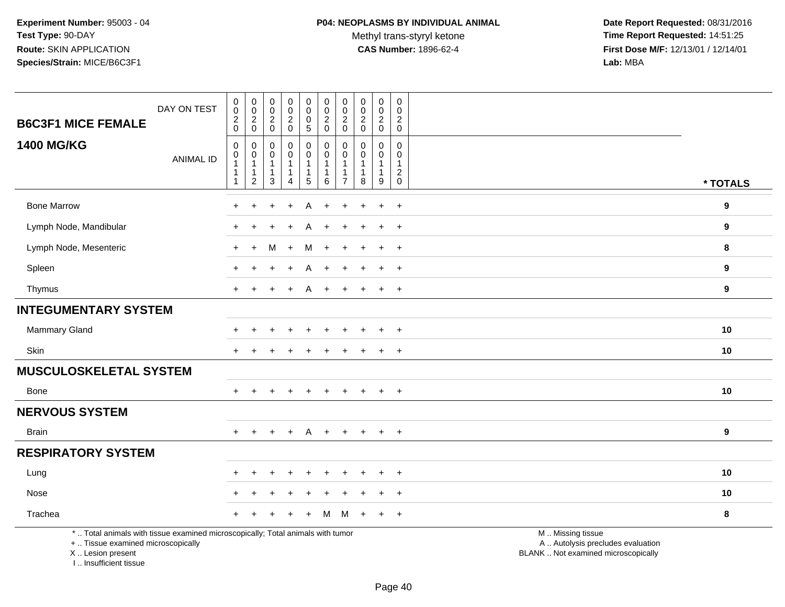Methyl trans-styryl ketone<br>CAS Number: 1896-62-4

 **Date Report Requested:** 08/31/2016 **Time Report Requested:** 14:51:25 **First Dose M/F:** 12/13/01 / 12/14/01<br>Lab: MBA **Lab:** MBA

| <b>B6C3F1 MICE FEMALE</b>                                                                                                                  | DAY ON TEST      | $\pmb{0}$<br>$\overline{0}$<br>$\boldsymbol{2}$                       | $\pmb{0}$<br>$\pmb{0}$<br>$\boldsymbol{2}$                               | 0<br>$\mathsf{O}\xspace$<br>$\boldsymbol{2}$                | $\boldsymbol{0}$<br>$\pmb{0}$<br>$\overline{c}$                               | $\pmb{0}$<br>$\mathsf{O}\xspace$<br>0                                                         | $\pmb{0}$<br>$\mathbf 0$<br>$\boldsymbol{2}$        | $\mathbf 0$<br>$\pmb{0}$<br>$\sqrt{2}$                                      | $\pmb{0}$<br>$\mathbf 0$<br>$\overline{c}$                                  | 0<br>$\mathbf 0$<br>$\overline{c}$                | $\mathbf 0$<br>$\mathbf 0$<br>$\boldsymbol{2}$                         |                                                                                               |                  |
|--------------------------------------------------------------------------------------------------------------------------------------------|------------------|-----------------------------------------------------------------------|--------------------------------------------------------------------------|-------------------------------------------------------------|-------------------------------------------------------------------------------|-----------------------------------------------------------------------------------------------|-----------------------------------------------------|-----------------------------------------------------------------------------|-----------------------------------------------------------------------------|---------------------------------------------------|------------------------------------------------------------------------|-----------------------------------------------------------------------------------------------|------------------|
| <b>1400 MG/KG</b>                                                                                                                          | <b>ANIMAL ID</b> | $\mathbf 0$<br>$\mathbf 0$<br>$\pmb{0}$<br>-1<br>-1<br>$\overline{1}$ | $\mathbf 0$<br>$\mathbf 0$<br>0<br>$\mathbf{1}$<br>1<br>$\boldsymbol{2}$ | $\mathsf{O}\xspace$<br>$\Omega$<br>$\Omega$<br>-1<br>1<br>3 | $\mathbf 0$<br>0<br>0<br>$\mathbf 1$<br>$\mathbf 1$<br>$\boldsymbol{\Lambda}$ | $\sqrt{5}$<br>$\mathbf 0$<br>$\overline{0}$<br>$\mathbf{1}$<br>$\mathbf{1}$<br>$\overline{5}$ | $\mathbf 0$<br>$\mathbf 0$<br>$\mathbf 0$<br>1<br>6 | $\mathbf 0$<br>$\mathbf 0$<br>$\mathbf 0$<br>$\mathbf{1}$<br>$\overline{7}$ | $\mathbf 0$<br>$\Omega$<br>$\mathbf 0$<br>$\mathbf{1}$<br>$\mathbf{1}$<br>8 | $\mathbf 0$<br>$\Omega$<br>$\mathbf{0}$<br>1<br>9 | $\mathbf 0$<br>$\Omega$<br>$\mathbf 0$<br>$\mathbf{1}$<br>$^2_{\rm 0}$ |                                                                                               | * TOTALS         |
| <b>Bone Marrow</b>                                                                                                                         |                  | +                                                                     | +                                                                        |                                                             | $\ddot{}$                                                                     | A                                                                                             | +                                                   | +                                                                           | ÷                                                                           | $\ddot{}$                                         | $\overline{+}$                                                         |                                                                                               | 9                |
| Lymph Node, Mandibular                                                                                                                     |                  |                                                                       |                                                                          |                                                             |                                                                               |                                                                                               |                                                     |                                                                             |                                                                             | $\ddot{}$                                         | $+$                                                                    |                                                                                               | 9                |
| Lymph Node, Mesenteric                                                                                                                     |                  | $\pm$                                                                 | $\ddot{}$                                                                | М                                                           | $+$                                                                           | M                                                                                             | $\ddot{}$                                           | $\div$                                                                      |                                                                             | $\ddot{}$                                         | $+$                                                                    |                                                                                               | 8                |
| Spleen                                                                                                                                     |                  | ÷                                                                     |                                                                          |                                                             | $\ddot{}$                                                                     | A                                                                                             | $\ddot{}$                                           |                                                                             |                                                                             | $\ddot{}$                                         | $\ddot{}$                                                              |                                                                                               | 9                |
| Thymus                                                                                                                                     |                  | $+$                                                                   | $\ddot{}$                                                                |                                                             | $+$                                                                           | A                                                                                             | $\ddot{}$                                           | $+$                                                                         | $\ddot{}$                                                                   | $+$                                               | $+$                                                                    |                                                                                               | 9                |
| <b>INTEGUMENTARY SYSTEM</b>                                                                                                                |                  |                                                                       |                                                                          |                                                             |                                                                               |                                                                                               |                                                     |                                                                             |                                                                             |                                                   |                                                                        |                                                                                               |                  |
| <b>Mammary Gland</b>                                                                                                                       |                  |                                                                       |                                                                          |                                                             |                                                                               |                                                                                               |                                                     |                                                                             |                                                                             |                                                   |                                                                        |                                                                                               | 10               |
| Skin                                                                                                                                       |                  |                                                                       |                                                                          |                                                             |                                                                               |                                                                                               |                                                     |                                                                             |                                                                             | $\overline{+}$                                    | $^{+}$                                                                 |                                                                                               | 10               |
| <b>MUSCULOSKELETAL SYSTEM</b>                                                                                                              |                  |                                                                       |                                                                          |                                                             |                                                                               |                                                                                               |                                                     |                                                                             |                                                                             |                                                   |                                                                        |                                                                                               |                  |
| Bone                                                                                                                                       |                  |                                                                       |                                                                          |                                                             |                                                                               | ÷                                                                                             | $\div$                                              |                                                                             |                                                                             | $\ddot{}$                                         | $^{+}$                                                                 |                                                                                               | 10               |
| <b>NERVOUS SYSTEM</b>                                                                                                                      |                  |                                                                       |                                                                          |                                                             |                                                                               |                                                                                               |                                                     |                                                                             |                                                                             |                                                   |                                                                        |                                                                                               |                  |
| <b>Brain</b>                                                                                                                               |                  | $+$                                                                   | $+$                                                                      | $+$                                                         | $+$                                                                           | A                                                                                             | $+$                                                 | $+$                                                                         | $+$                                                                         | $+$                                               | $+$                                                                    |                                                                                               | $\boldsymbol{9}$ |
| <b>RESPIRATORY SYSTEM</b>                                                                                                                  |                  |                                                                       |                                                                          |                                                             |                                                                               |                                                                                               |                                                     |                                                                             |                                                                             |                                                   |                                                                        |                                                                                               |                  |
| Lung                                                                                                                                       |                  |                                                                       |                                                                          |                                                             |                                                                               |                                                                                               |                                                     |                                                                             |                                                                             |                                                   | $\ddot{}$                                                              |                                                                                               | 10               |
| Nose                                                                                                                                       |                  |                                                                       |                                                                          |                                                             |                                                                               |                                                                                               |                                                     |                                                                             |                                                                             |                                                   | $\overline{+}$                                                         |                                                                                               | 10               |
| Trachea                                                                                                                                    |                  |                                                                       |                                                                          |                                                             |                                                                               |                                                                                               | м                                                   | м                                                                           |                                                                             | $\ddot{}$                                         | $^{+}$                                                                 |                                                                                               | 8                |
| *  Total animals with tissue examined microscopically; Total animals with tumor<br>+  Tissue examined microscopically<br>X  Lesion present |                  |                                                                       |                                                                          |                                                             |                                                                               |                                                                                               |                                                     |                                                                             |                                                                             |                                                   |                                                                        | M  Missing tissue<br>A  Autolysis precludes evaluation<br>BLANK  Not examined microscopically |                  |

I .. Insufficient tissue